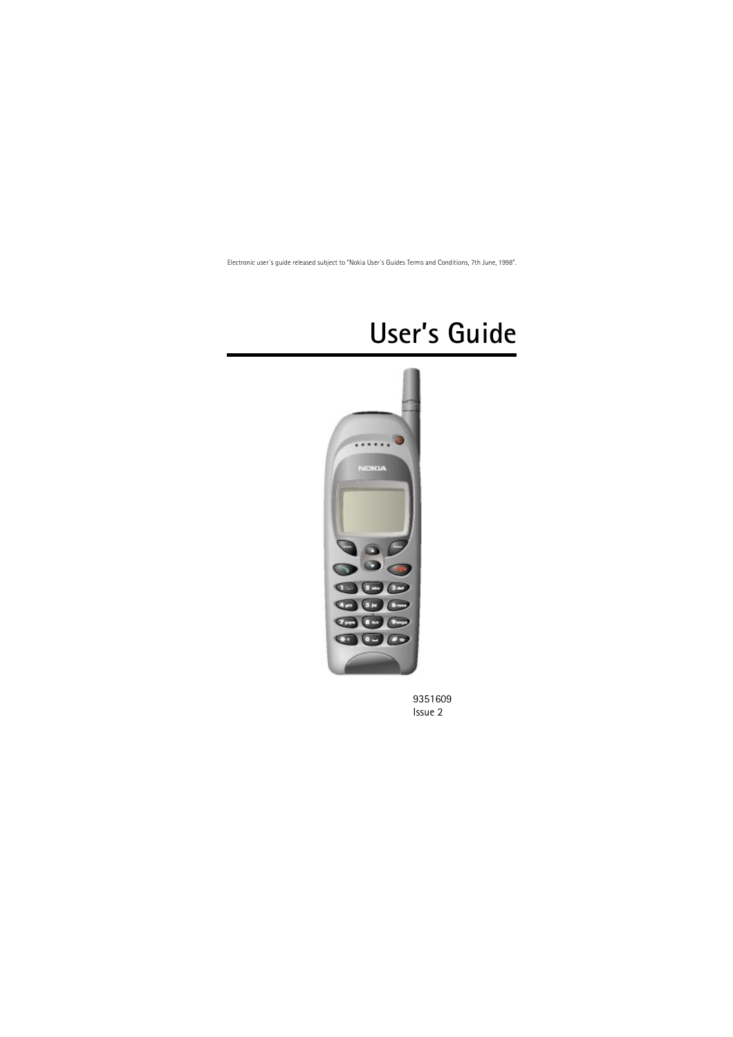# **User's Guide**



9351609 Issue 2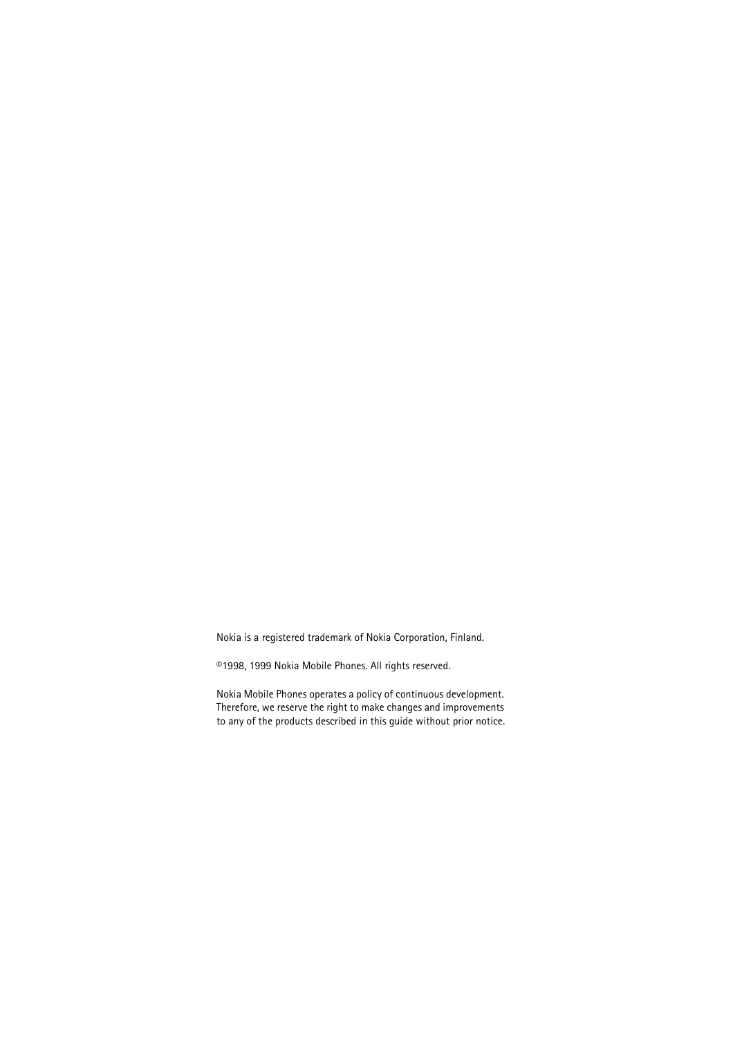Nokia is a registered trademark of Nokia Corporation, Finland.

©1998, 1999 Nokia Mobile Phones. All rights reserved.

Nokia Mobile Phones operates a policy of continuous development. Therefore, we reserve the right to make changes and improvements to any of the products described in this guide without prior notice.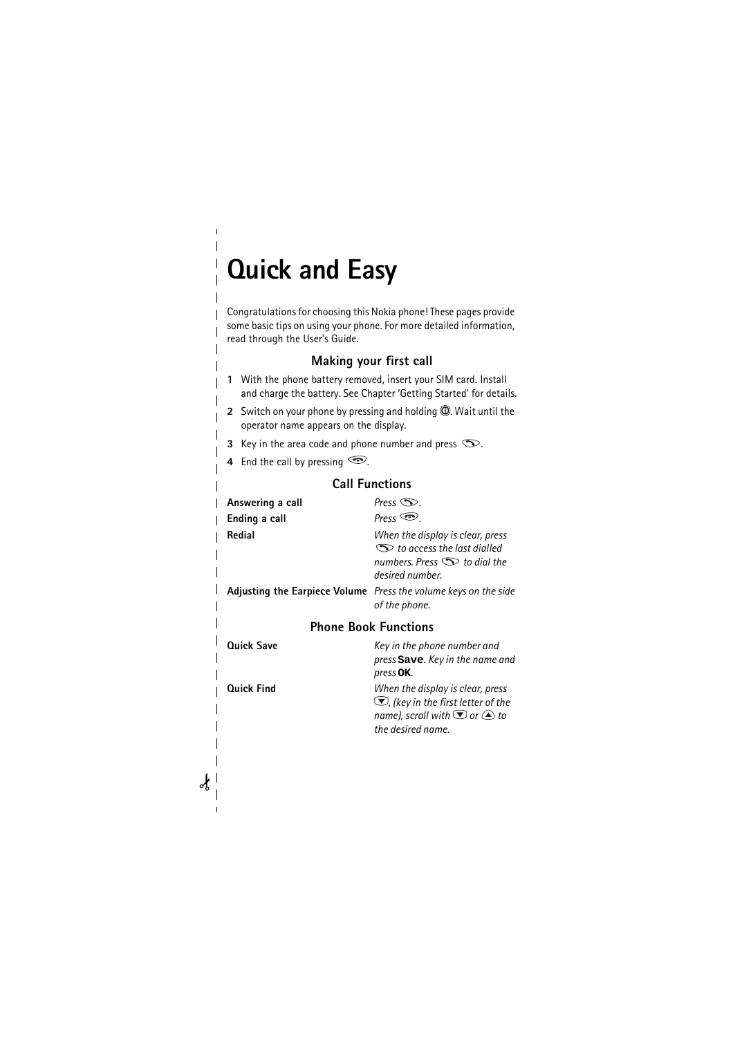# <span id="page-2-0"></span>**Quick and Easy**

 $\overline{\phantom{a}}$ 

Congratulations for choosing this Nokia phone! These pages provide some basic tips on using your phone. For more detailed information, read through the User's Guide.

#### **Making your first call**

- **1** With the phone battery removed, insert your SIM card. Install and charge the battery. See Chapter 'Getting Started' for details.
- **2** Switch on your phone by pressing and holding **(0)**. Wait until the operator name appears on the display.
- **3** Key in the area code and phone number and press  $\infty$ .
- **4** End the call by pressing  $\circled{?}$ .

#### **Call Functions**

| Answering a call  | Press $\infty$ .                                                                                                                                    |
|-------------------|-----------------------------------------------------------------------------------------------------------------------------------------------------|
| Ending a call     | Press $\mathfrak{S}$ .                                                                                                                              |
| Redial            | When the display is clear, press<br>$\mathcal D$ to access the last dialled<br>numbers. Press $\mathbb D$ to dial the<br>desired number.            |
|                   | <b>Adjusting the Earpiece Volume</b> Press the volume keys on the side<br>of the phone.                                                             |
|                   | <b>Phone Book Functions</b>                                                                                                                         |
| <b>Ouick Save</b> | Key in the phone number and<br>press Save. Key in the name and<br>press <b>OK</b> .                                                                 |
| <b>Ouick Find</b> | When the display is clear, press<br>$\Box$ , (key in the first letter of the<br>name), scroll with $\bigcirc$ or $\bigcirc$ to<br>the desired name. |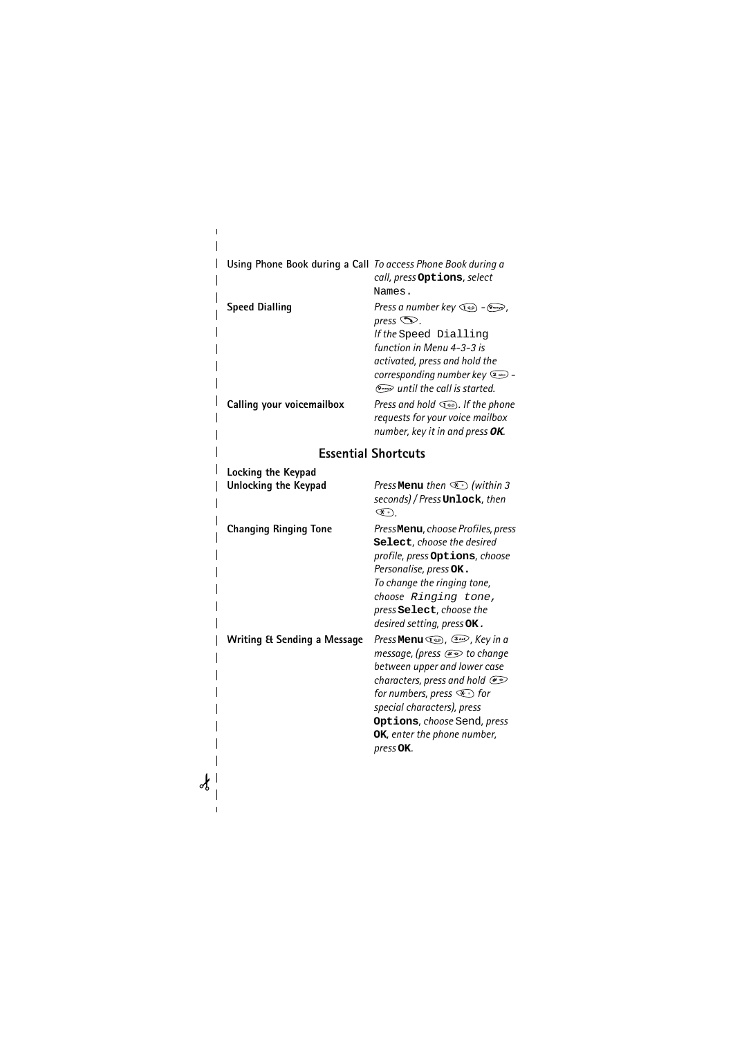| Using Phone Book during a Call To access Phone Book during a | call, press Options, select<br>Names.                                                                                                                                                                                                                                                                    |
|--------------------------------------------------------------|----------------------------------------------------------------------------------------------------------------------------------------------------------------------------------------------------------------------------------------------------------------------------------------------------------|
| <b>Speed Dialling</b>                                        | Press a number key $\text{C}\text{D}$ - $\text{C}\text{C}\text{D}$ ,<br>press $\infty$ .<br>If the Speed Dialling<br>function in Menu 4-3-3 is<br>activated, press and hold the<br>corresponding number key (2 nbc) -<br>(The call is started.)                                                          |
| Calling your voicemailbox                                    | Press and hold $\textcircled{1}$ . If the phone<br>requests for your voice mailbox<br>number, key it in and press OK.                                                                                                                                                                                    |
|                                                              | <b>Essential Shortcuts</b>                                                                                                                                                                                                                                                                               |
| Locking the Keypad<br><b>Unlocking the Keypad</b>            | Press Menu then $\circledast$ (within 3<br>seconds) / Press Unlock, then<br>$(\lambda + 1)$                                                                                                                                                                                                              |
| <b>Changing Ringing Tone</b>                                 | PressMenu, choose Profiles, press<br>Select, choose the desired<br>profile, press Options, choose<br>Personalise, press OK.<br>To change the ringing tone,<br>choose Ringing tone,<br>press Select, choose the<br>desired setting, press OK.                                                             |
| <b>Writing &amp; Sending a Message</b>                       | Press Menu (200), (300), Key in a<br>message, (press @ to change<br>between upper and lower case<br>characters, press and hold $\textcircled{\tiny{*}}$<br>for numbers, press $\mathcal{F}$ for<br>special characters), press<br>Options, choose Send, press<br>OK, enter the phone number,<br>press OK. |

 $\mathscr{L}$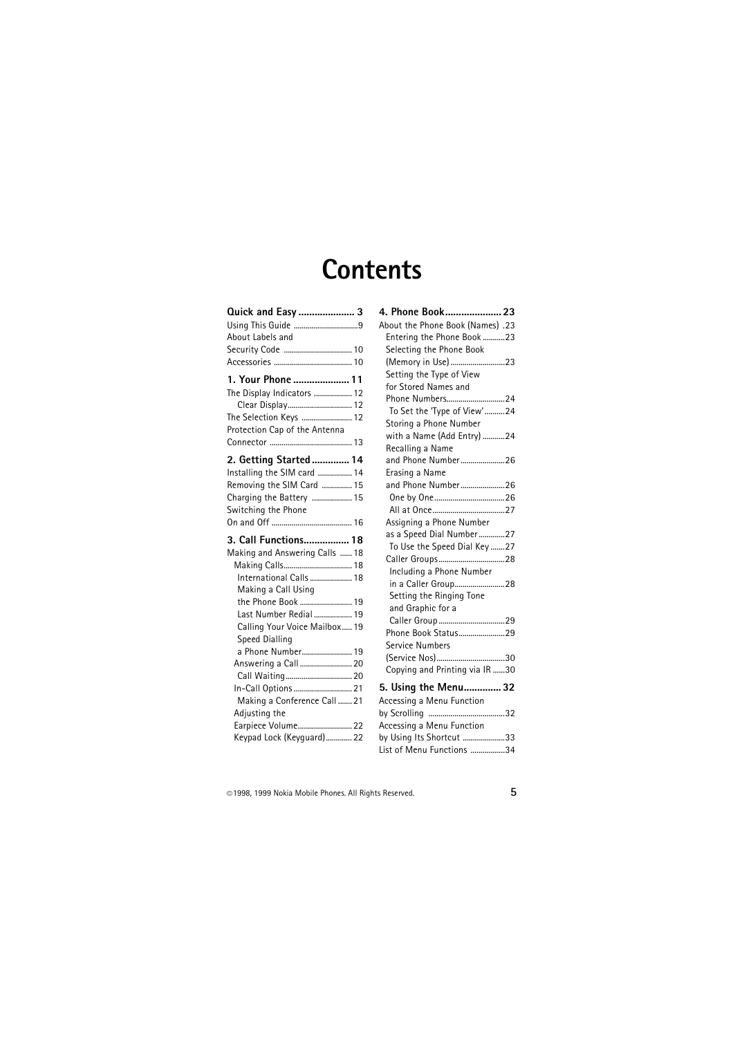# **Contents**

| Quick and Easy  3<br>Using This Guide 9<br>About Labels and<br>Security Code  10                                                                                                                                                      |
|---------------------------------------------------------------------------------------------------------------------------------------------------------------------------------------------------------------------------------------|
| 1. Your Phone  11<br>The Display Indicators  12<br>Clear Display 12<br>The Selection Keys  12<br>Protection Cap of the Antenna                                                                                                        |
| 2. Getting Started  14<br>Installing the SIM card  14<br>Removing the SIM Card  15<br>Charging the Battery  15<br>Switching the Phone                                                                                                 |
|                                                                                                                                                                                                                                       |
| 3. Call Functions 18<br>Making and Answering Calls  18<br>Making Calls 18<br>International Calls  18<br>Making a Call Using<br>the Phone Book  19<br>Last Number Redial  19<br>Calling Your Voice Mailbox 19<br><b>Speed Dialling</b> |

| 4. Phone Book 23                        |
|-----------------------------------------|
| 23. (Names) About the Phone Book (Names |
| Entering the Phone Book 23              |
| Selecting the Phone Book                |
| (Memory in Use)23                       |
| Setting the Type of View                |
| for Stored Names and                    |
| Phone Numbers24                         |
| To Set the 'Type of View' 24            |
| Storing a Phone Number                  |
| with a Name (Add Entry) 24              |
| Recalling a Name                        |
| and Phone Number26                      |
| Erasing a Name                          |
| and Phone Number26                      |
|                                         |
|                                         |
| Assigning a Phone Number                |
| as a Speed Dial Number27                |
| To Use the Speed Dial Key 27            |
| Caller Groups28                         |
| Including a Phone Number                |
| in a Caller Group28                     |
| Setting the Ringing Tone                |
| and Graphic for a                       |
|                                         |
| Phone Book Status29                     |
| Service Numbers                         |
| (Service Nos)30                         |
| Copying and Printing via IR 30          |
| 5. Using the Menu 32                    |
| Accessing a Menu Function               |
|                                         |
|                                         |

Accessing a Menu Function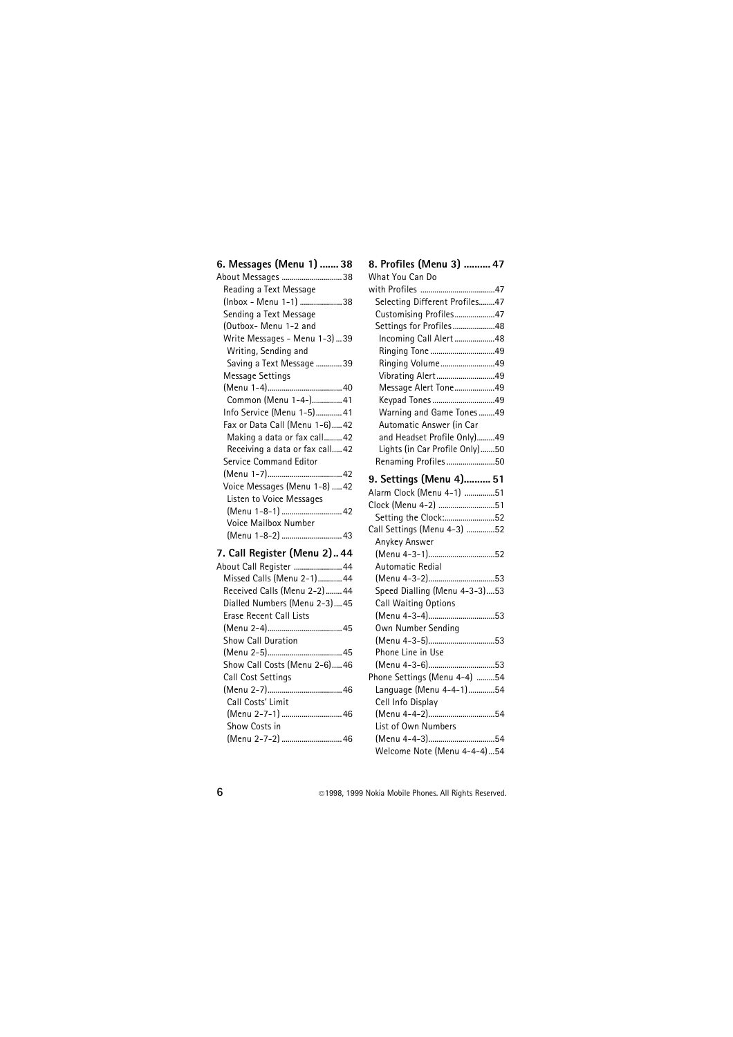#### **[6. Messages \(Menu 1\) ....... 38](#page-37-0)**

| About Messages 38              |  |
|--------------------------------|--|
| Reading a Text Message         |  |
| (Inbox - Menu 1-1) 38          |  |
| Sending a Text Message         |  |
| (Outbox- Menu 1-2 and          |  |
| Write Messages - Menu 1-3)39   |  |
| Writing, Sending and           |  |
| Saving a Text Message 39       |  |
| Message Settings               |  |
|                                |  |
| Common (Menu 1-4-) 41          |  |
| Info Service (Menu 1-5) 41     |  |
| Fax or Data Call (Menu 1-6) 42 |  |
| Making a data or fax call 42   |  |
| Receiving a data or fax call42 |  |
| Service Command Editor         |  |
|                                |  |
| Voice Messages (Menu 1-8)  42  |  |
| Listen to Voice Messages       |  |
| (Menu 1-8-1)  42               |  |
| Voice Mailbox Number           |  |
| (Menu 1-8-2)  43               |  |
| 7. Call Register (Menu 2) 44   |  |
| About Call Register  44        |  |
| Missed Calls (Menu 2-1)44      |  |
| Received Calls (Menu 2-2) 44   |  |
| Dialled Numbers (Menu 2-3) 45  |  |
| <b>Erase Recent Call Lists</b> |  |
|                                |  |
| Show Call Duration             |  |
|                                |  |

[\(Menu 2-5\).....................................45](#page-44-2) [Show Call Costs \(Menu 2-6\).....46](#page-45-0)

[\(Menu 2-7\).....................................46](#page-45-1)

[\(Menu 2-7-1\) ..............................46](#page-45-2)

[\(Menu 2-7-2\) ..............................46](#page-45-3)

Call Cost Settings

Call Costs' Limit

Show Costs in

| Incoming Call Alert48          |
|--------------------------------|
| Ringing Tone 49                |
| Ringing Volume49               |
| Vibrating Alert49              |
| Message Alert Tone49           |
| Keypad Tones49                 |
| Warning and Game Tones49       |
| Automatic Answer (in Car       |
| and Headset Profile Only)49    |
| Lights (in Car Profile Only)50 |
| Renaming Profiles50            |
|                                |
| 9. Settings (Menu 4) 51        |
| Alarm Clock (Menu 4-1) 51      |
| Clock (Menu 4-2) 51            |
| Setting the Clock:52           |
| Call Settings (Menu 4-3) 52    |
| Anykey Answer                  |
| (Menu 4-3-1)52                 |
| Automatic Redial               |
| (Menu 4-3-2)53                 |
| Speed Dialling (Menu 4-3-3)53  |
| Call Waiting Options           |
| (Menu 4-3-4)53                 |
| Own Number Sending             |
| (Menu 4-3-5)53                 |
| Phone Line in Use              |
| (Menu 4-3-6)53                 |
| Phone Settings (Menu 4-4) 54   |
|                                |

#### **[8. Profiles \(Menu 3\) .......... 47](#page-46-0)** What You Can Do

[with Profiles .....................................47](#page-46-1) [Selecting Different Profiles........47](#page-46-2) [Customising Profiles....................47](#page-46-3) [Settings for Profiles .....................48](#page-47-0)

Cell Info Display

[\(Menu 4-4-2\).................................54](#page-53-2) List of Own Numbers

[\(Menu 4-4-3\).................................54](#page-53-3) [Welcome Note \(Menu 4-4-4\)...54](#page-53-4)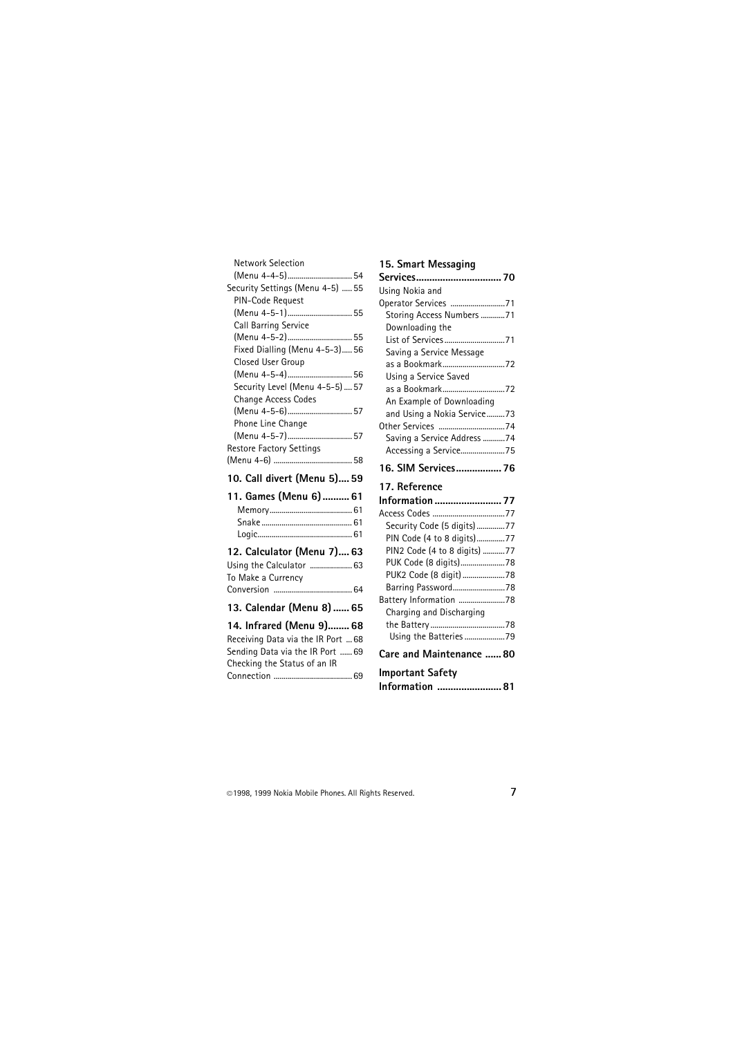| <b>Network Selection</b>           |
|------------------------------------|
|                                    |
| Security Settings (Menu 4-5)  55   |
| PIN-Code Request                   |
| (Menu 4-5-1) 55                    |
| Call Barring Service               |
| (Menu 4-5-2) 55                    |
| Fixed Dialling (Menu 4-5-3) 56     |
| Closed User Group                  |
| (Menu 4-5-4)  56                   |
| Security Level (Menu 4-5-5)  57    |
| Change Access Codes                |
| (Menu 4-5-6) 57                    |
| Phone Line Change                  |
| (Menu 4-5-7) 57                    |
| Restore Factory Settings           |
|                                    |
|                                    |
| 10. Call divert (Menu 5) 59        |
| 11. Games (Menu 6)  61             |
|                                    |
|                                    |
|                                    |
|                                    |
| 12. Calculator (Menu 7) 63         |
| Using the Calculator  63           |
| To Make a Currency                 |
|                                    |
| 13. Calendar (Menu 8)  65          |
| 14. Infrared (Menu 9) 68           |
| Receiving Data via the IR Port  68 |
| Sending Data via the IR Port  69   |
| Checking the Status of an IR       |

#### **15. Smart Messaging**

| Services 70                  |
|------------------------------|
| Using Nokia and              |
| Operator Services 71         |
| Storing Access Numbers 71    |
| Downloading the              |
| List of Services71           |
| Saving a Service Message     |
| as a Bookmark72              |
| Using a Service Saved        |
| as a Bookmark72              |
| An Example of Downloading    |
| and Using a Nokia Service73  |
|                              |
| Saving a Service Address 74  |
| Accessing a Service75        |
| 16. SIM Services 76          |
| 17. Reference                |
| Information  77              |
| Access Codes 77              |
|                              |
| Security Code (5 digits)77   |
| PIN Code (4 to 8 digits)77   |
| PIN2 Code (4 to 8 digits) 77 |
| PUK Code (8 digits)78        |
| PUK2 Code (8 digit) 78       |
| Barring Password78           |
| Battery Information 78       |
| Charging and Discharging     |
|                              |
| Using the Batteries 79       |
| Care and Maintenance  80     |
| <b>Important Safety</b>      |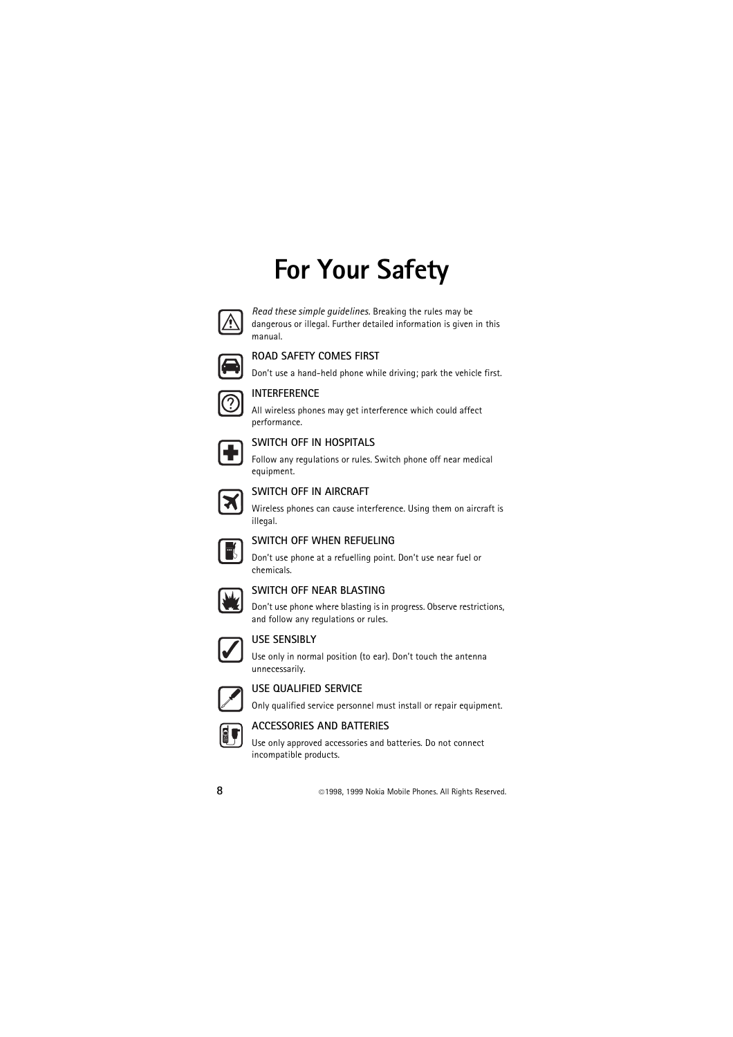# **For Your Safety**



*Read these simple guidelines.* Breaking the rules may be dangerous or illegal. Further detailed information is given in this manual.



#### **ROAD SAFETY COMES FIRST**

Don't use a hand-held phone while driving; park the vehicle first.



#### **INTERFERENCE**

All wireless phones may get interference which could affect performance.



#### **SWITCH OFF IN HOSPITALS**

Follow any regulations or rules. Switch phone off near medical equipment.



#### **SWITCH OFF IN AIRCRAFT**

Wireless phones can cause interference. Using them on aircraft is illegal.



#### **SWITCH OFF WHEN REFUELING**

Don't use phone at a refuelling point. Don't use near fuel or chemicals.



#### **SWITCH OFF NEAR BLASTING**

Don't use phone where blasting is in progress. Observe restrictions, and follow any regulations or rules.



#### **USE SENSIBLY**

Use only in normal position (to ear). Don't touch the antenna unnecessarily.



#### **USE QUALIFIED SERVICE**

Only qualified service personnel must install or repair equipment.



#### **ACCESSORIES AND BATTERIES**

Use only approved accessories and batteries. Do not connect incompatible products.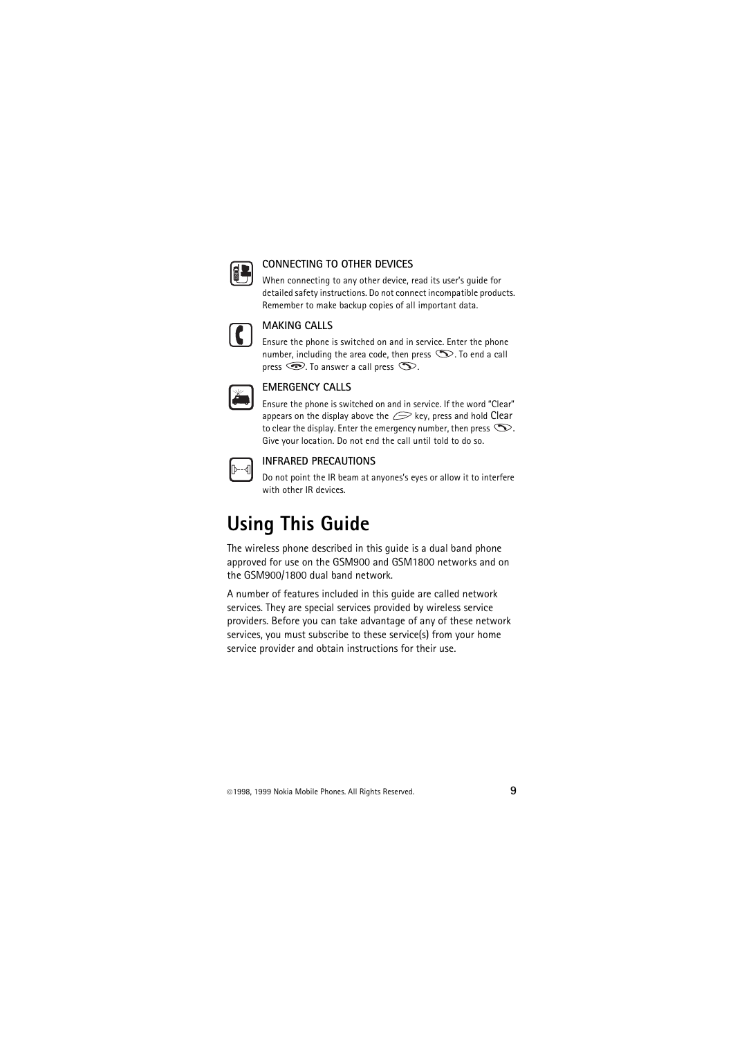

#### **CONNECTING TO OTHER DEVICES**

When connecting to any other device, read its user's quide for detailed safety instructions. Do not connect incompatible products. Remember to make backup copies of all important data.



#### **MAKING CALLS**

Ensure the phone is switched on and in service. Enter the phone number, including the area code, then press  $\mathbb{S}$ . To end a call press  $\circledcirc$ . To answer a call press  $\circledcirc$ .

#### **EMERGENCY CALLS**

Ensure the phone is switched on and in service. If the word "Clear" appears on the display above the  $\mathcal{D}$  key, press and hold Clear to clear the display. Enter the emergency number, then press  $\infty$ . Give your location. Do not end the call until told to do so.



#### **INFRARED PRECAUTIONS**

Do not point the IR beam at anyones's eyes or allow it to interfere with other IR devices.

## <span id="page-8-0"></span>**Using This Guide**

The wireless phone described in this guide is a dual band phone approved for use on the GSM900 and GSM1800 networks and on the GSM900/1800 dual band network.

A number of features included in this guide are called network services. They are special services provided by wireless service providers. Before you can take advantage of any of these network services, you must subscribe to these service(s) from your home service provider and obtain instructions for their use.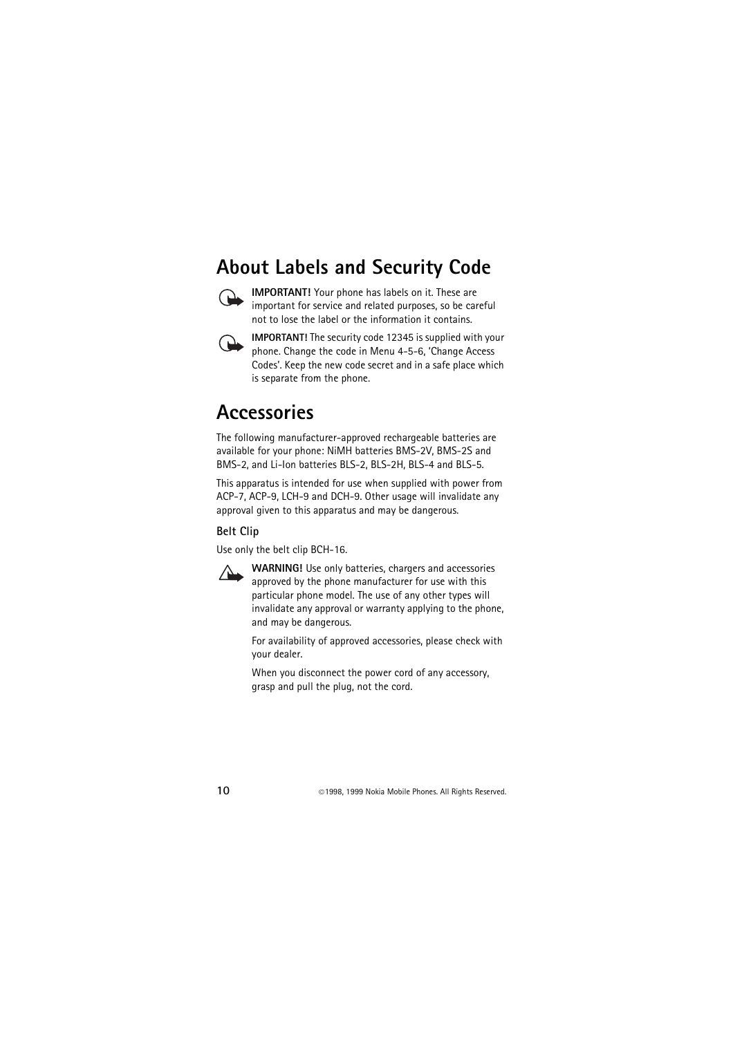## <span id="page-9-0"></span>**About Labels and Security Code**



**IMPORTANT!** Your phone has labels on it. These are important for service and related purposes, so be careful not to lose the label or the information it contains.



**IMPORTANT!** The security code 12345 is supplied with your phone. Change the code in Menu 4-5-6, 'Change Access Codes'. Keep the new code secret and in a safe place which is separate from the phone.

## <span id="page-9-1"></span>**Accessories**

The following manufacturer-approved rechargeable batteries are available for your phone: NiMH batteries BMS-2V, BMS-2S and BMS-2, and Li-Ion batteries BLS-2, BLS-2H, BLS-4 and BLS-5.

This apparatus is intended for use when supplied with power from ACP-7, ACP-9, LCH-9 and DCH-9. Other usage will invalidate any approval given to this apparatus and may be dangerous.

#### **Belt Clip**

Use only the belt clip BCH-16.



**WARNING!** Use only batteries, chargers and accessories approved by the phone manufacturer for use with this particular phone model. The use of any other types will invalidate any approval or warranty applying to the phone, and may be dangerous.

For availability of approved accessories, please check with your dealer.

When you disconnect the power cord of any accessory, grasp and pull the plug, not the cord.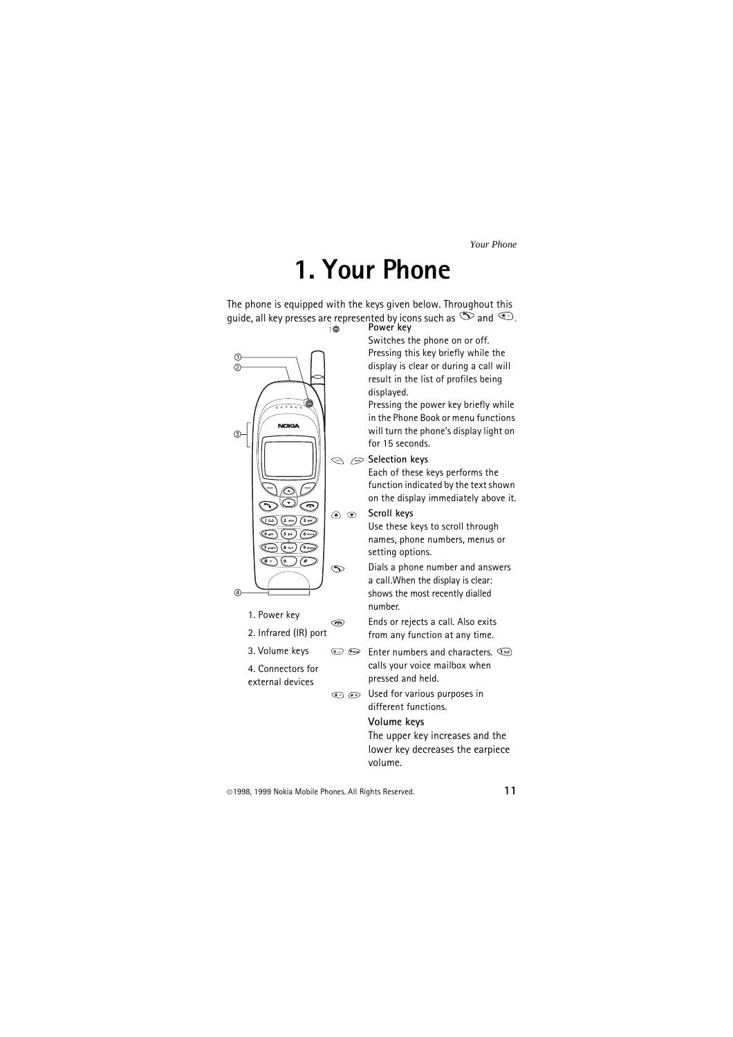# **1. Your Phone**

<span id="page-10-0"></span>The phone is equipped with the keys given below. Throughout this guide, all key presses are represented by icons such as  $\infty$  and  $\overline{\mathcal{L}}$ .



- 1. Power key
- 2. Infrared (IR) port

☜

- 3. Volume keys
- 4. Connectors for external devices

Switches the phone on or off. Pressing this key briefly while the display is clear or during a call will result in the list of profiles being displayed.

Pressing the power key briefly while in the Phone Book or menu functions will turn the phone's display light on for 15 seconds.

#### **Selection keys**

Each of these keys performs the function indicated by the text shown on the display immediately above it.

**A v** Scroll keys

Use these keys to scroll through names, phone numbers, menus or setting options.

Dials a phone number and answers a call.When the display is clear: shows the most recently dialled number.

Ends or rejects a call. Also exits from any function at any time.

 $\overline{(0)}$   $\overline{(9\text{avg})}$ Enter numbers and characters. calls your voice mailbox when pressed and held.

 $\circledast$   $\circledast$  Used for various purposes in different functions.

#### **Volume keys**

The upper key increases and the lower key decreases the earpiece volume.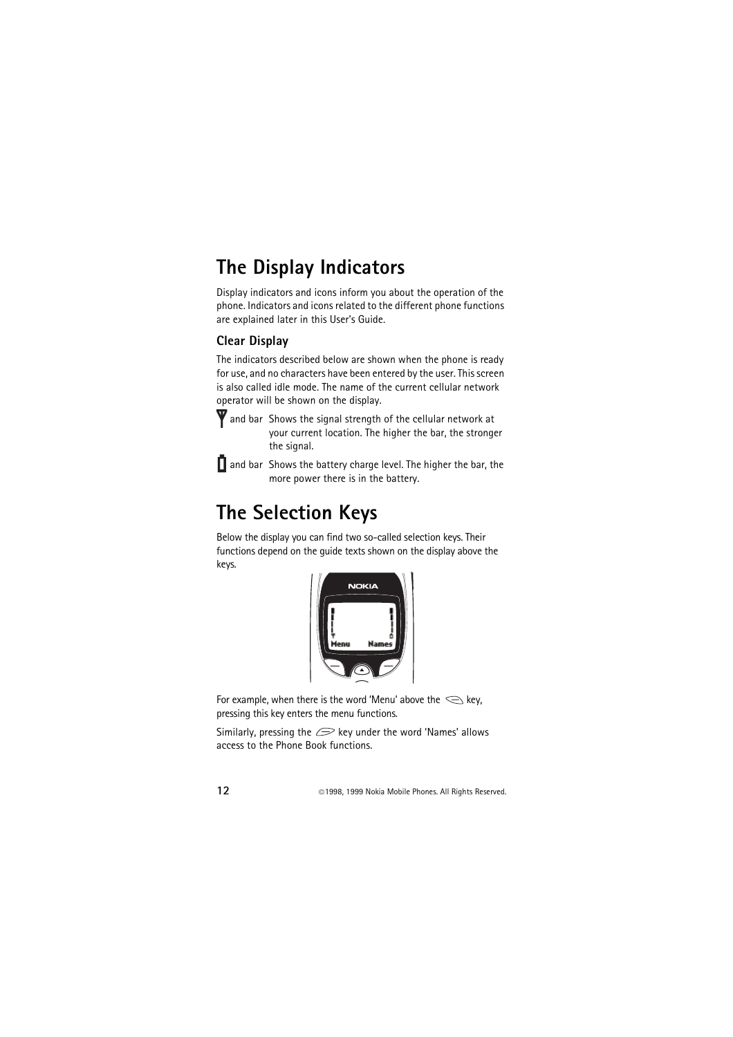## <span id="page-11-0"></span>**The Display Indicators**

Display indicators and icons inform you about the operation of the phone. Indicators and icons related to the different phone functions are explained later in this User's Guide.

### <span id="page-11-1"></span>**Clear Display**

The indicators described below are shown when the phone is ready for use, and no characters have been entered by the user. This screen is also called idle mode. The name of the current cellular network operator will be shown on the display.

 and bar Shows the signal strength of the cellular network at your current location. The higher the bar, the stronger the signal.

 $\prod$  and bar Shows the battery charge level. The higher the bar, the more power there is in the battery.

## <span id="page-11-2"></span>**The Selection Keys**

Below the display you can find two so-called selection keys. Their functions depend on the guide texts shown on the display above the keys.



For example, when there is the word 'Menu' above the  $\leq$  key, pressing this key enters the menu functions.

Similarly, pressing the  $\mathcal{D}$  key under the word 'Names' allows access to the Phone Book functions.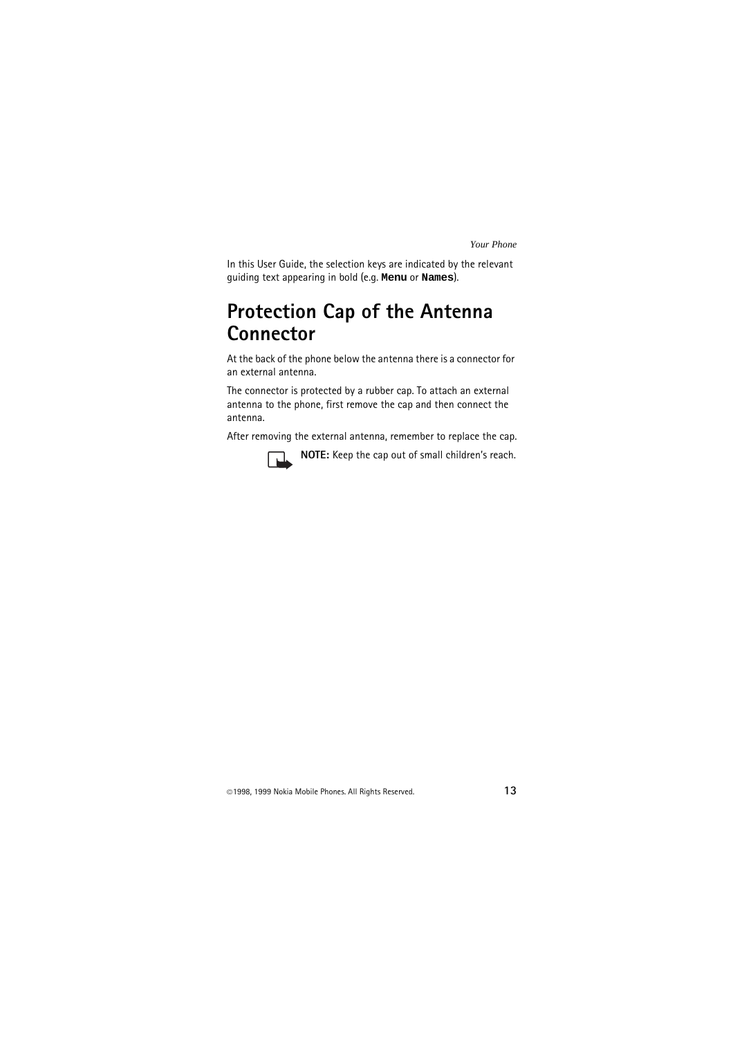In this User Guide, the selection keys are indicated by the relevant guiding text appearing in bold (e.g. **Menu** or **Names**).

## <span id="page-12-0"></span>**Protection Cap of the Antenna Connector**

At the back of the phone below the antenna there is a connector for an external antenna.

The connector is protected by a rubber cap. To attach an external antenna to the phone, first remove the cap and then connect the antenna.

After removing the external antenna, remember to replace the cap.



**NOTE:** Keep the cap out of small children's reach.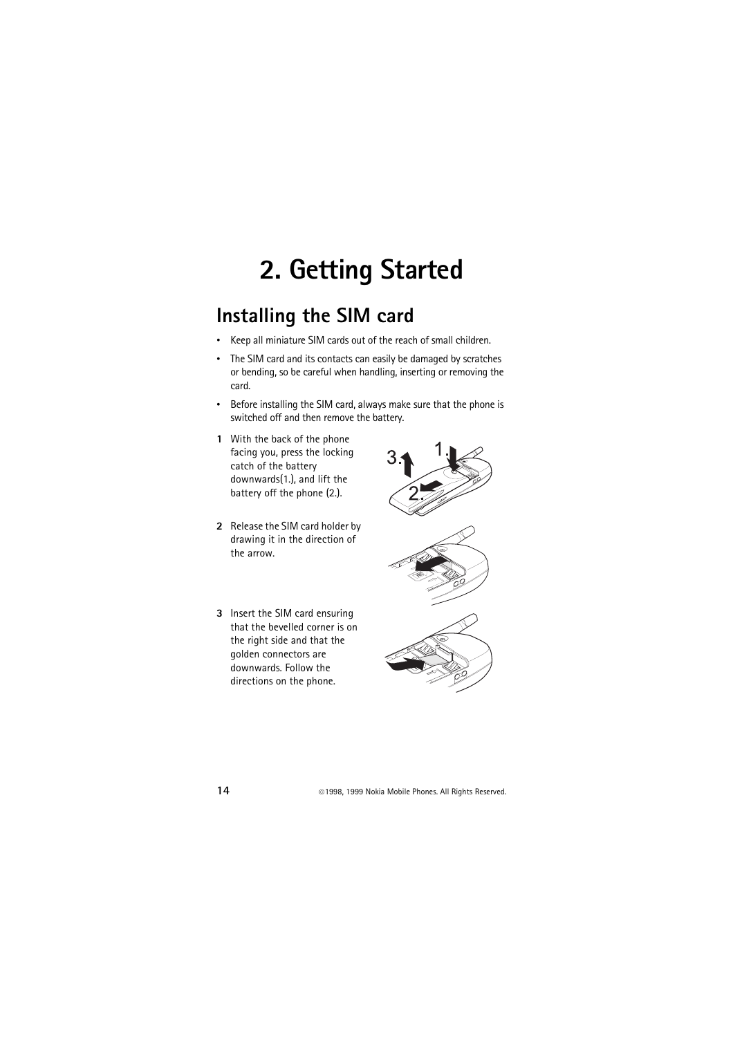# <span id="page-13-0"></span>**2. Getting Started**

## <span id="page-13-1"></span>**Installing the SIM card**

- Keep all miniature SIM cards out of the reach of small children.
- The SIM card and its contacts can easily be damaged by scratches or bending, so be careful when handling, inserting or removing the card.
- Before installing the SIM card, always make sure that the phone is switched off and then remove the battery.
- **1** With the back of the phone facing you, press the locking catch of the battery downwards(1.), and lift the battery off the phone (2.).
- **2** Release the SIM card holder by drawing it in the direction of the arrow.
- **3** Insert the SIM card ensuring that the bevelled corner is on the right side and that the golden connectors are downwards. Follow the directions on the phone.

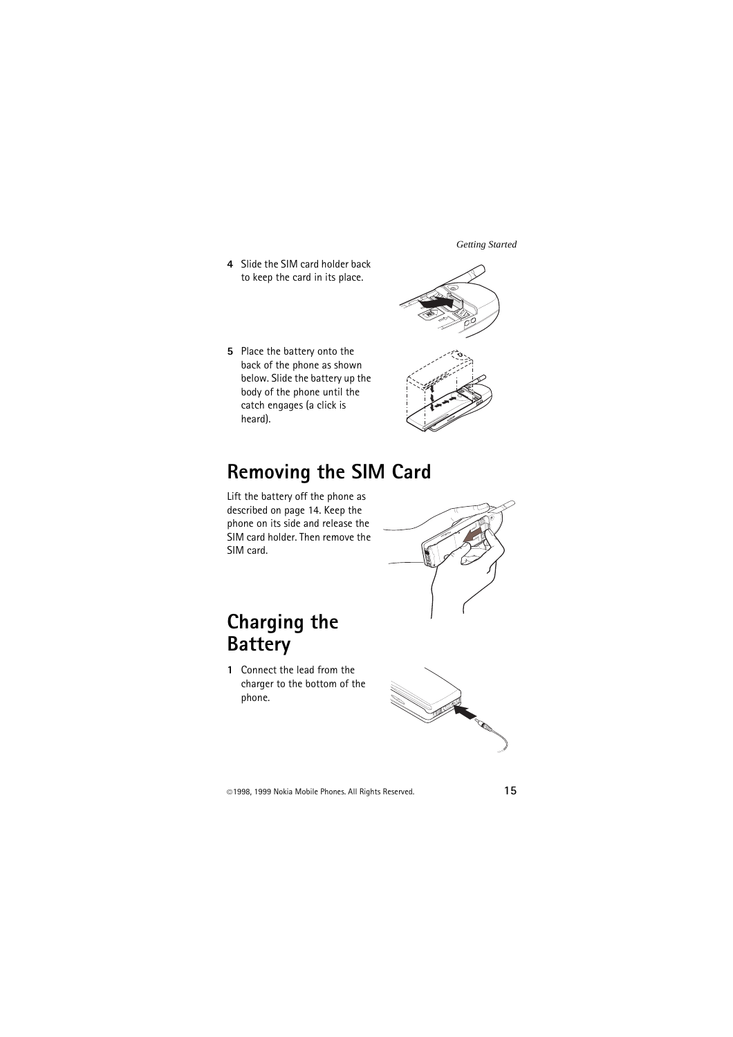**4** Slide the SIM card holder back to keep the card in its place.

**5** Place the battery onto the back of the phone as shown below. Slide the battery up the body of the phone until the catch engages (a click is heard).



## <span id="page-14-0"></span>**Removing the SIM Card**

Lift the battery off the phone as described on page 14. Keep the phone on its side and release the SIM card holder. Then remove the SIM card.

## <span id="page-14-1"></span>**Charging the Battery**

**1** Connect the lead from the charger to the bottom of the phone.

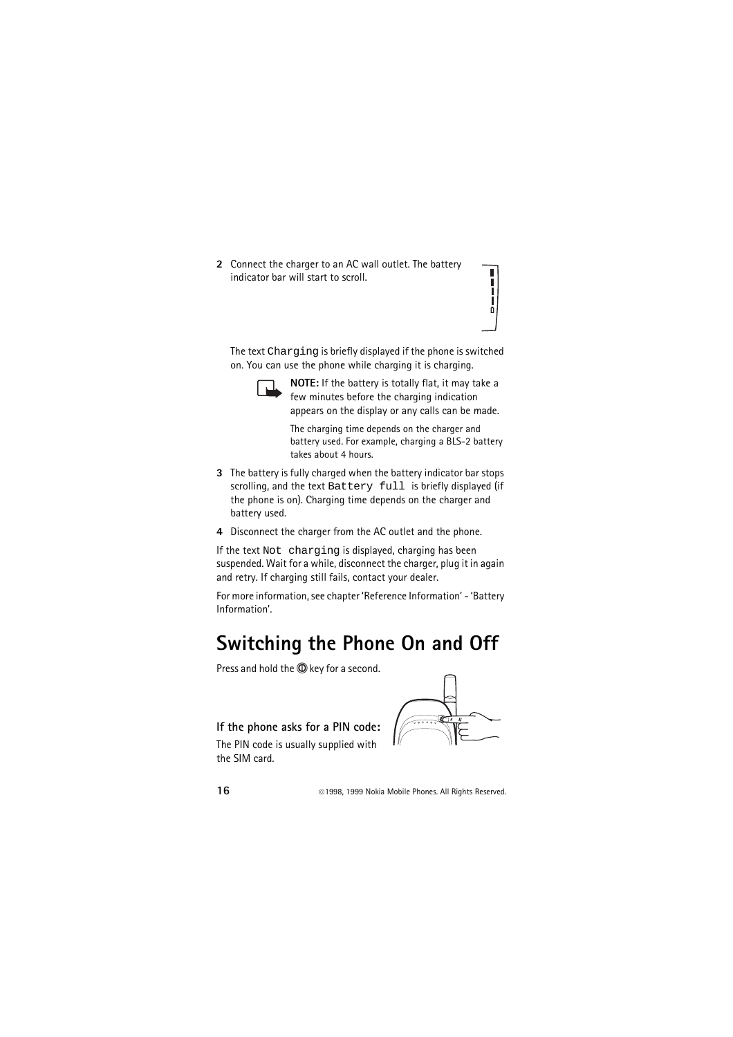**2** Connect the charger to an AC wall outlet. The battery indicator bar will start to scroll.

The text Charging is briefly displayed if the phone is switched on. You can use the phone while charging it is charging.



**NOTE:** If the battery is totally flat, it may take a few minutes before the charging indication appears on the display or any calls can be made.

ī Ī Ī Γ ō

The charging time depends on the charger and battery used. For example, charging a BLS-2 battery takes about 4 hours.

- **3** The battery is fully charged when the battery indicator bar stops scrolling, and the text Battery full is briefly displayed (if the phone is on). Charging time depends on the charger and battery used.
- **4** Disconnect the charger from the AC outlet and the phone.

If the text Not charging is displayed, charging has been suspended. Wait for a while, disconnect the charger, plug it in again and retry. If charging still fails, contact your dealer.

For more information, see chapter 'Reference Information' - 'Battery Information'.

## <span id="page-15-0"></span>**Switching the Phone On and Off**

Press and hold the **1** key for a second.

#### **If the phone asks for a PIN code:**

The PIN code is usually supplied with the SIM card.

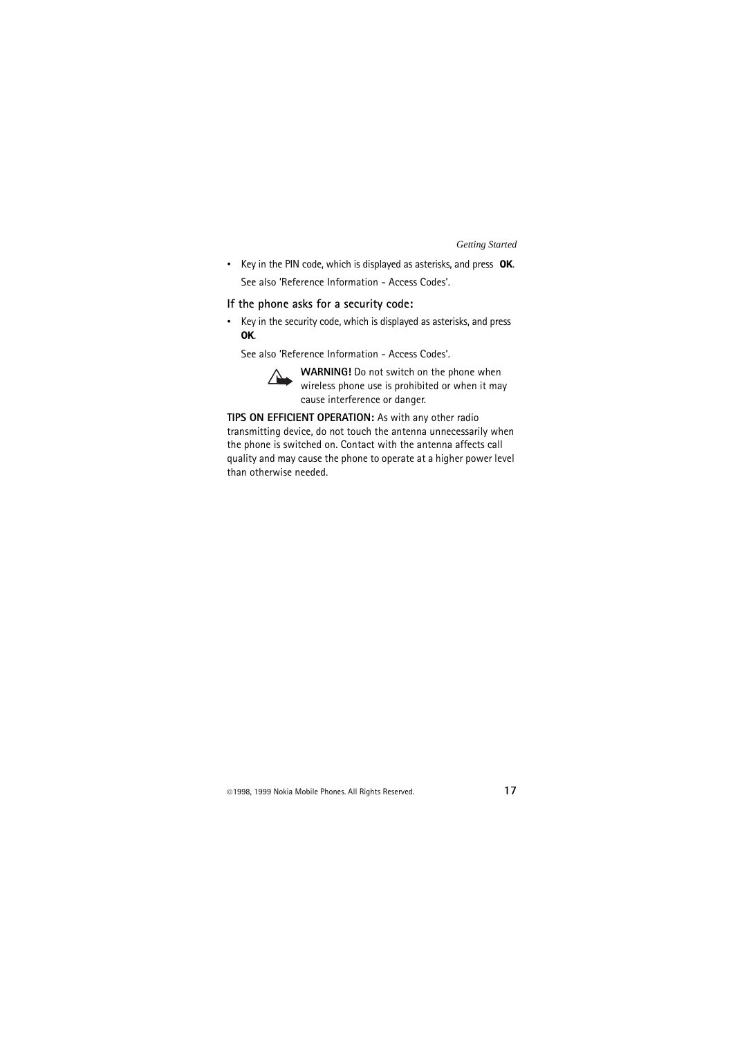• Key in the PIN code, which is displayed as asterisks, and press **OK**. See also 'Reference Information - Access Codes'.

#### **If the phone asks for a security code:**

• Key in the security code, which is displayed as asterisks, and press **OK**.

See also 'Reference Information - Access Codes'.



**WARNING!** Do not switch on the phone when wireless phone use is prohibited or when it may cause interference or danger.

**TIPS ON EFFICIENT OPERATION:** As with any other radio transmitting device, do not touch the antenna unnecessarily when the phone is switched on. Contact with the antenna affects call quality and may cause the phone to operate at a higher power level than otherwise needed.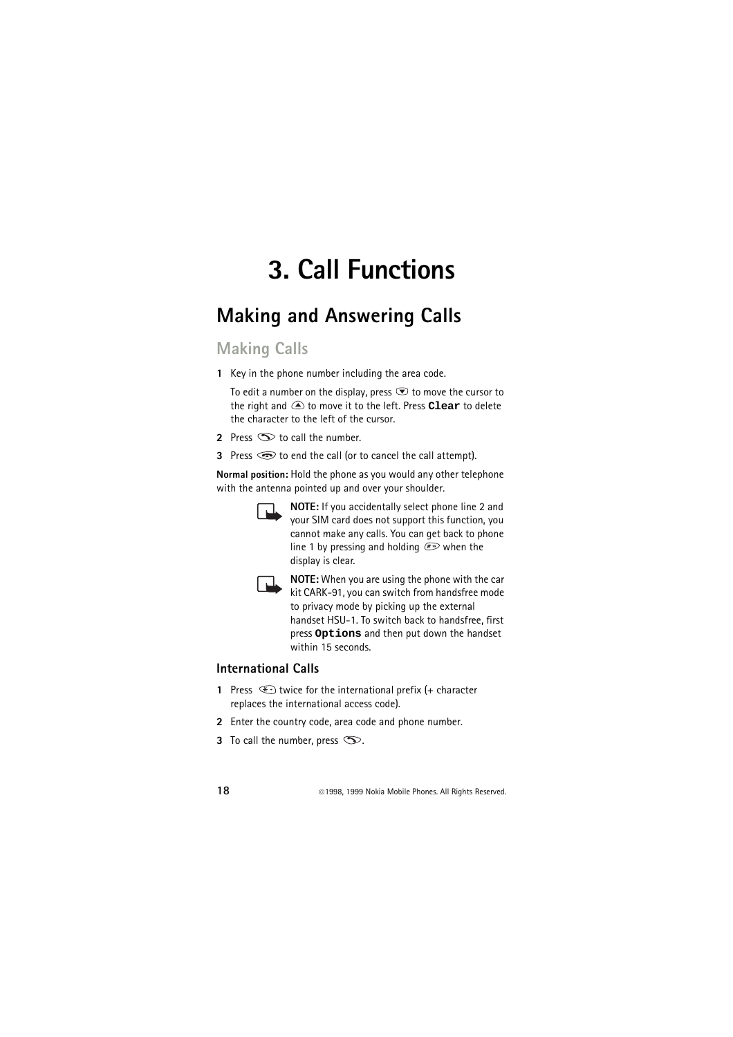# <span id="page-17-0"></span>**3. Call Functions**

## <span id="page-17-1"></span>**Making and Answering Calls**

## <span id="page-17-2"></span>**Making Calls**

**1** Key in the phone number including the area code.

To edit a number on the display, press  $\bullet$  to move the cursor to the right and to move it to the left. Press **Clear** to delete the character to the left of the cursor.

- **2** Press  $\odot$  to call the number.
- **3** Press  $\odot$  to end the call (or to cancel the call attempt).

**Normal position:** Hold the phone as you would any other telephone with the antenna pointed up and over your shoulder.

$$
\Box\!\!\!\!\Box
$$

**NOTE:** If you accidentally select phone line 2 and your SIM card does not support this function, you cannot make any calls. You can get back to phone line 1 by pressing and holding  $\mathcal{F}$  when the display is clear.



**NOTE:** When you are using the phone with the car kit CARK-91, you can switch from handsfree mode to privacy mode by picking up the external handset HSU-1. To switch back to handsfree, first press **Options** and then put down the handset within 15 seconds.

#### <span id="page-17-3"></span>**International Calls**

- **1** Press  $\bigoplus$  twice for the international prefix (+ character replaces the international access code).
- **2** Enter the country code, area code and phone number.
- **3** To call the number, press  $\infty$ .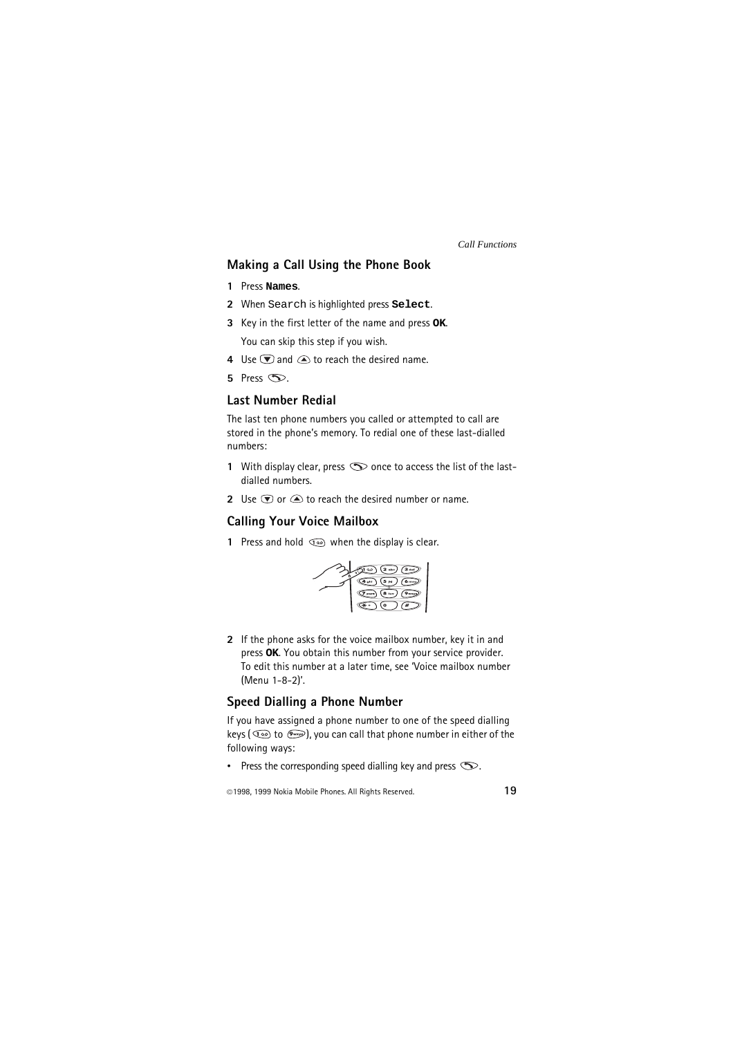#### <span id="page-18-0"></span>**Making a Call Using the Phone Book**

- **1** Press **Names**.
- **2** When Search is highlighted press **Select**.
- **3** Key in the first letter of the name and press **OK**. You can skip this step if you wish.
- **4** Use  $\bigtriangledown$  and  $\bigtriangleup$  to reach the desired name.
- $5$  Press  $\infty$ .

#### <span id="page-18-1"></span>**Last Number Redial**

The last ten phone numbers you called or attempted to call are stored in the phone's memory. To redial one of these last-dialled numbers:

- **1** With display clear, press  $\infty$  once to access the list of the lastdialled numbers.
- **2** Use  $\mathbf{\nabla}$  or  $\mathbf{\nabla}$  to reach the desired number or name.

#### <span id="page-18-2"></span>**Calling Your Voice Mailbox**

**1** Press and hold  $\textcircled{1}$  when the display is clear.



**2** If the phone asks for the voice mailbox number, key it in and press **OK**. You obtain this number from your service provider. To edit this number at a later time, see 'Voice mailbox number (Menu 1-8-2)'.

#### <span id="page-18-3"></span>**Speed Dialling a Phone Number**

If you have assigned a phone number to one of the speed dialling keys ( $\circledcirc$  to  $\circledast$ ), you can call that phone number in either of the following ways:

• Press the corresponding speed dialling key and press  $\infty$ .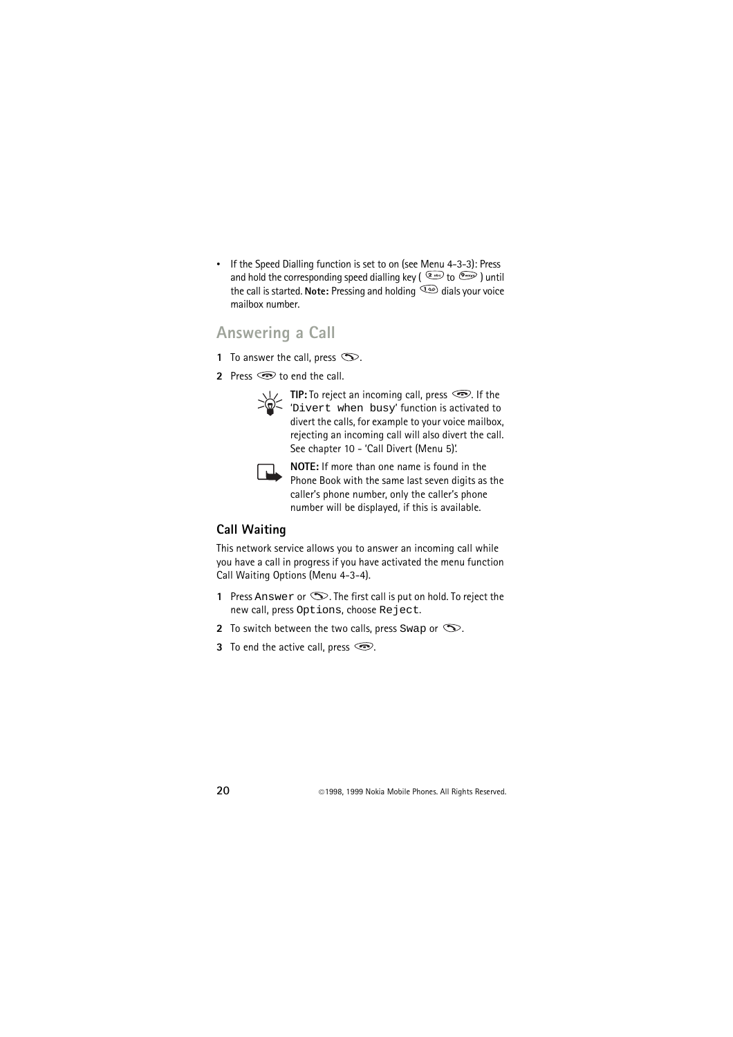• If the Speed Dialling function is set to on (see Menu 4-3-3): Press and hold the corresponding speed dialling key ( $\frac{2}{\sqrt{2}}$  to  $\frac{6}{\sqrt{2}}$ ) until the call is started. **Note:** Pressing and holding  $\Phi$  dials your voice mailbox number.

### <span id="page-19-0"></span>**Answering a Call**

- **1** To answer the call, press  $\infty$ .
- **2** Press  $\odot$  to end the call.

**TIP:** To reject an incoming call, press  $\circled{=}$ . If the 'Divert when busy' function is activated to divert the calls, for example to your voice mailbox, rejecting an incoming call will also divert the call. See chapter 10 - 'Call Divert (Menu 5)'.



**NOTE:** If more than one name is found in the Phone Book with the same last seven digits as the caller's phone number, only the caller's phone number will be displayed, if this is available.

### <span id="page-19-1"></span>**Call Waiting**

This network service allows you to answer an incoming call while you have a call in progress if you have activated the menu function Call Waiting Options (Menu 4-3-4).

- **1** Press Answer or  $\infty$ . The first call is put on hold. To reject the new call, press Options, choose Reject.
- **2** To switch between the two calls, press Swap or  $\infty$ .
- **3** To end the active call, press  $\circled{=}$ .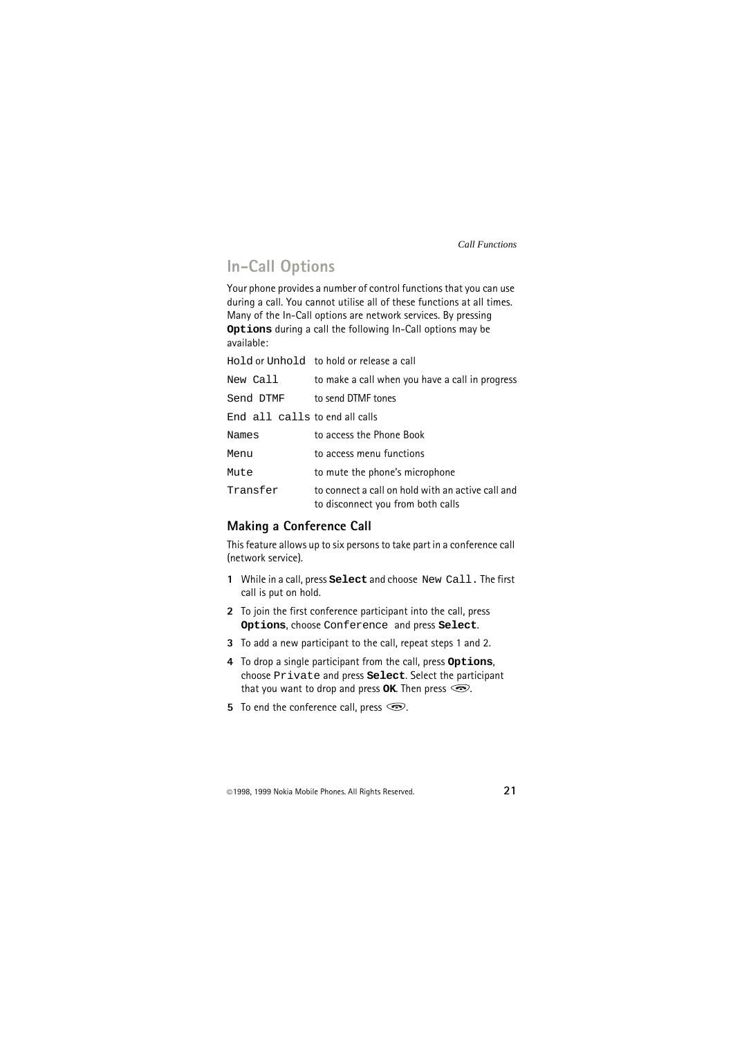### <span id="page-20-0"></span>**In-Call Options**

Your phone provides a number of control functions that you can use during a call. You cannot utilise all of these functions at all times. Many of the In-Call options are network services. By pressing **Options** during a call the following In-Call options may be available:

|                                | Hold or Unhold to hold or release a call                                               |
|--------------------------------|----------------------------------------------------------------------------------------|
| New Call                       | to make a call when you have a call in progress                                        |
| Send DTMF                      | to send DTMF tones                                                                     |
| End all calls to end all calls |                                                                                        |
| Names                          | to access the Phone Book                                                               |
| Menu                           | to access menu functions                                                               |
| Mute                           | to mute the phone's microphone                                                         |
| Transfer                       | to connect a call on hold with an active call and<br>to disconnect you from both calls |

#### <span id="page-20-1"></span>**Making a Conference Call**

This feature allows up to six persons to take part in a conference call (network service).

- **1** While in a call, press **Select** and choose New Call. The first call is put on hold.
- **2** To join the first conference participant into the call, press **Options**, choose Conference and press **Select**.
- **3** To add a new participant to the call, repeat steps 1 and 2.
- **4** To drop a single participant from the call, press **Options**, choose Private and press **Select**. Select the participant that you want to drop and press  $\alpha$ **K**. Then press  $\odot$ .
- **5** To end the conference call, press  $\odot$ .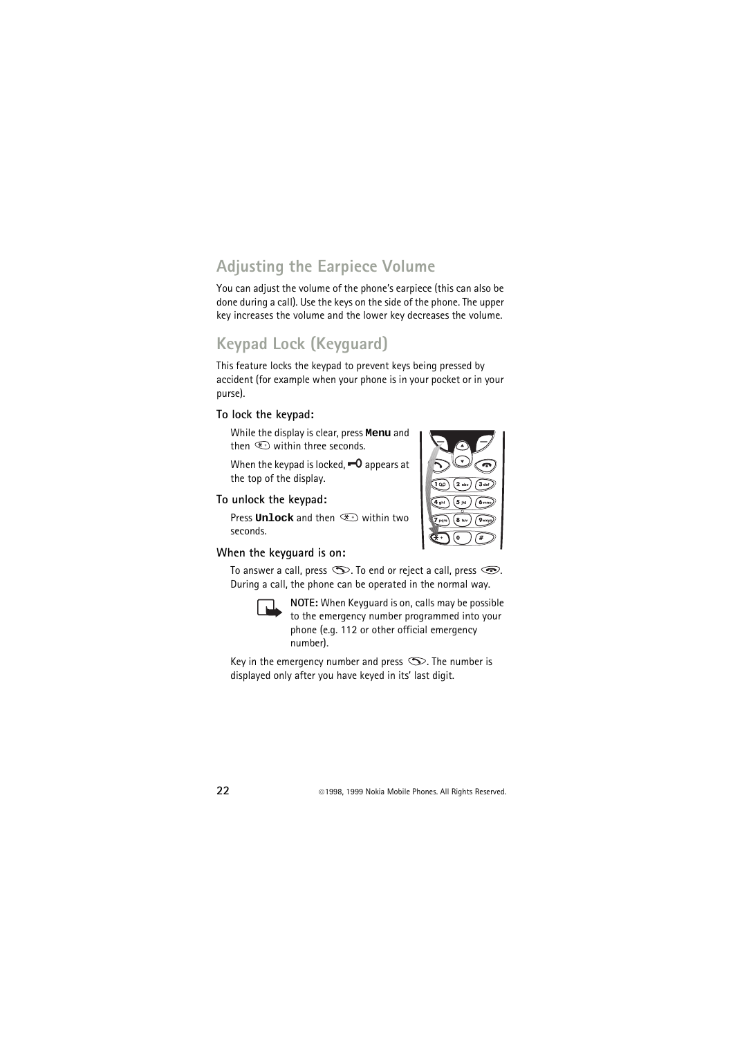## <span id="page-21-0"></span>**Adjusting the Earpiece Volume**

You can adjust the volume of the phone's earpiece (this can also be done during a call). Use the keys on the side of the phone. The upper key increases the volume and the lower key decreases the volume.

## <span id="page-21-1"></span>**Keypad Lock (Keyguard)**

This feature locks the keypad to prevent keys being pressed by accident (for example when your phone is in your pocket or in your purse).

#### **To lock the keypad:**

While the display is clear, press **Menu** and then  $\circledast$  within three seconds.

When the keypad is locked.  $\blacksquare$  appears at the top of the display.

#### **To unlock the keypad:**

Press **Unlock** and then  $\textcircled{\tiny{\text{}}}\textcircled{\tiny{\text{}}}$  within two seconds.

## **When the keyguard is on:**

To answer a call, press  $\infty$ . To end or reject a call, press  $\odot$ . During a call, the phone can be operated in the normal way.

**NOTE:** When Keyguard is on, calls may be possible to the emergency number programmed into your phone (e.g. 112 or other official emergency number).

Key in the emergency number and press  $\infty$ . The number is displayed only after you have keyed in its' last digit.

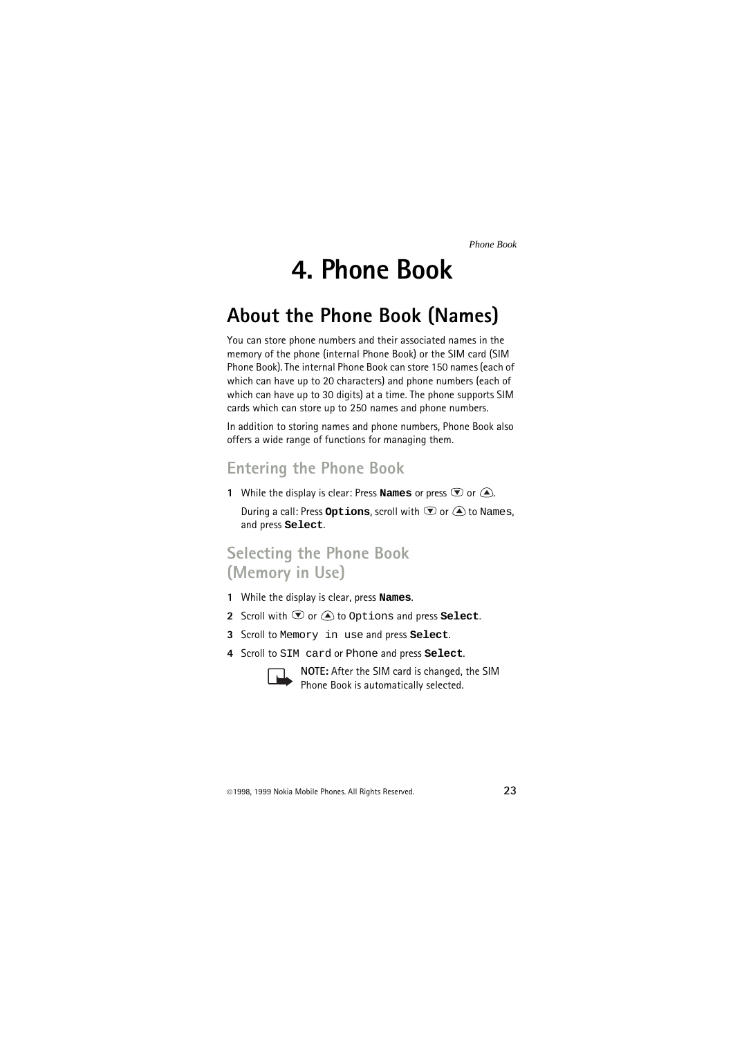# **4. Phone Book**

## <span id="page-22-1"></span><span id="page-22-0"></span>**About the Phone Book (Names)**

You can store phone numbers and their associated names in the memory of the phone (internal Phone Book) or the SIM card (SIM Phone Book). The internal Phone Book can store 150 names (each of which can have up to 20 characters) and phone numbers (each of which can have up to 30 digits) at a time. The phone supports SIM cards which can store up to 250 names and phone numbers.

In addition to storing names and phone numbers, Phone Book also offers a wide range of functions for managing them.

## <span id="page-22-2"></span>**Entering the Phone Book**

**1** While the display is clear: Press **Names** or press  $\bullet$  or  $\bullet$ .

During a call: Press Options, scroll with  $\mathcal D$  or  $\triangle$  to Names, and press **Select**.

### <span id="page-22-3"></span>**Selecting the Phone Book (Memory in Use)**

- **1** While the display is clear, press **Names**.
- **2** Scroll with  $\mathbf{\nabla}$  or  $\mathbf{\triangle}$  to Options and press **Select**.
- **3** Scroll to Memory in use and press **Select**.
- **4** Scroll to SIM card or Phone and press **Select**.



**NOTE:** After the SIM card is changed, the SIM Phone Book is automatically selected.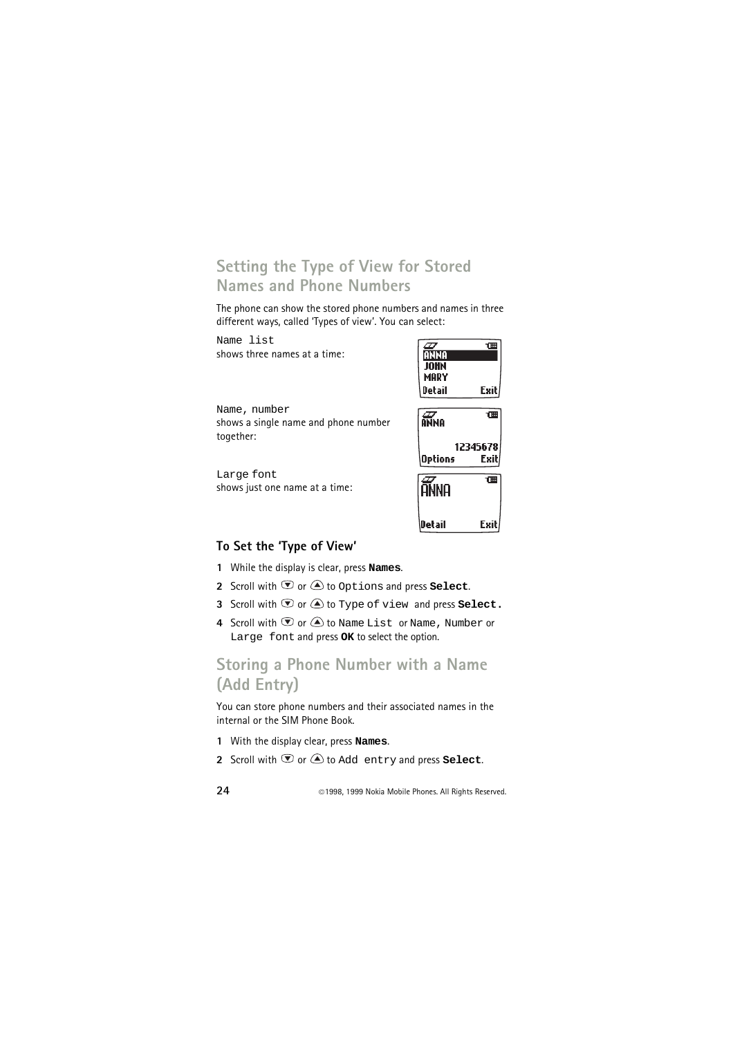### <span id="page-23-0"></span>**Setting the Type of View for Stored Names and Phone Numbers**

The phone can show the stored phone numbers and names in three different ways, called 'Types of view'. You can select:

| Name list                            |         |          |
|--------------------------------------|---------|----------|
| shows three names at a time:         | ann     |          |
|                                      |         |          |
|                                      | MARY    |          |
|                                      | Detail  | Exil     |
| Name, number                         |         |          |
| shows a single name and phone number | ANNA    | 佃        |
| together:                            |         |          |
|                                      |         | 12345678 |
|                                      | Options | Exit     |
| Large font                           |         |          |
|                                      |         | 佃        |
| shows just one name at a time:       | anna    |          |
|                                      |         |          |
|                                      |         |          |
|                                      | Detail  | Exil     |

#### <span id="page-23-1"></span>**To Set the 'Type of View'**

- **1** While the display is clear, press **Names**.
- **2** Scroll with  $\textcircled{1}$  or  $\textcircled{2}$  to Options and press **Select**.
- **3** Scroll with  $\odot$  or  $\bigcirc$  to Type of view and press **Select.**
- 4 Scroll with  $\overline{\mathcal{D}}$  or  $\widehat{\triangle}$  to Name List or Name, Number or Large font and press **OK** to select the option.

### <span id="page-23-2"></span>**Storing a Phone Number with a Name (Add Entry)**

You can store phone numbers and their associated names in the internal or the SIM Phone Book.

- **1** With the display clear, press **Names**.
- **2** Scroll with  $\Phi$  or  $\triangle$  to Add entry and press **Select**.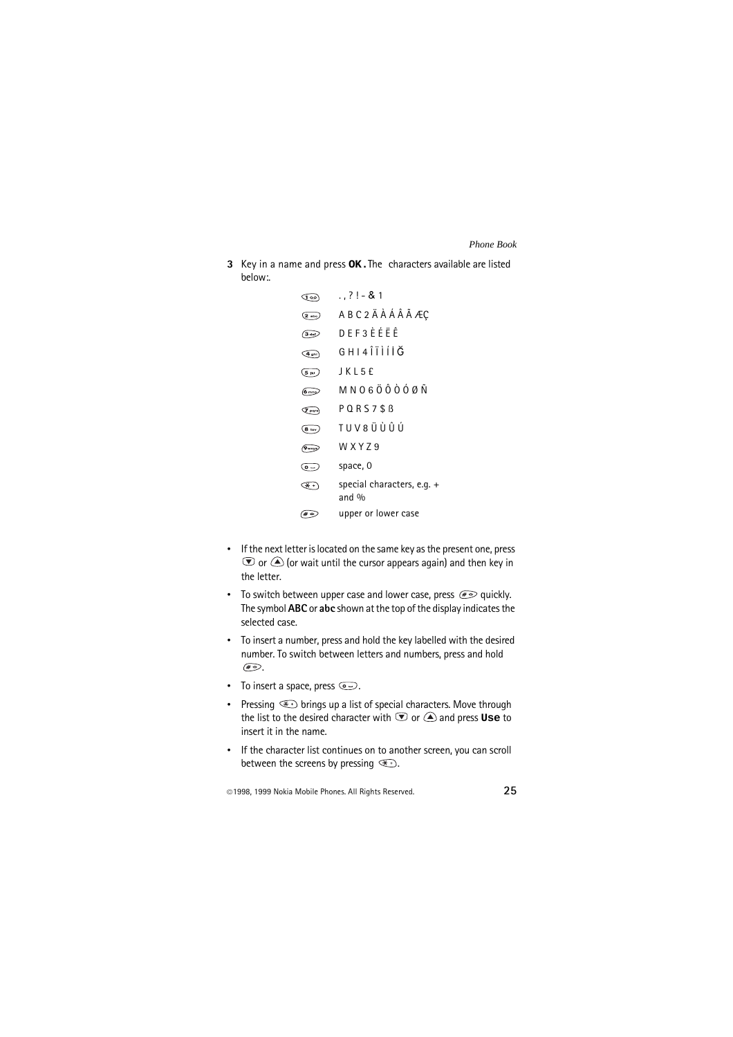**3** Key in a name and press **OK.**The characters available are listed below:.

| ு∞                       | . . ? ! - & 1                       |
|--------------------------|-------------------------------------|
| $(2)$ abc)               | ABC2ÄÀÁÂÃÆÇ                         |
| $\sqrt{3}$ def           | D F F 3 F F F F                     |
| $(4 \text{ ghi})$        | G H I 4 Î Î Ì Í İ Ğ                 |
| $(5 \text{ m})$          | J K L 5 £                           |
| $6 \text{ mm}$           | M N O 6 Ö Ô Ò Ó Ø Ñ                 |
| $\sigma$ <sub>pqrs</sub> | $P$ Q R S 7 \$ $B$                  |
| (8 tuv)                  | TUV 8 Ü Ù Û Ú                       |
| $\sqrt{9}$ wxyz          | W X Y 7 9                           |
| $\overline{(\bullet -)}$ | space, 0                            |
| $\overline{\alpha}$ +    | special characters, e.g. +<br>and % |
| $(* \circ$               | upper or lower case                 |

- If the next letter is located on the same key as the present one, press  $\odot$  or  $\bigcirc$  (or wait until the cursor appears again) and then key in the letter.
- To switch between upper case and lower case, press  $\mathcal{F}$  quickly. The symbol **ABC** or **abc** shown at the top of the display indicates the selected case.
- To insert a number, press and hold the key labelled with the desired number. To switch between letters and numbers, press and hold  $\sqrt{2\pi}$
- To insert a space, press  $\circledcirc$ .
- Pressing  $\textcircled{1}$  brings up a list of special characters. Move through the list to the desired character with  $\heartsuit$  or  $\triangle$  and press **Use** to insert it in the name.
- If the character list continues on to another screen, you can scroll between the screens by pressing  $\mathcal{F}$ .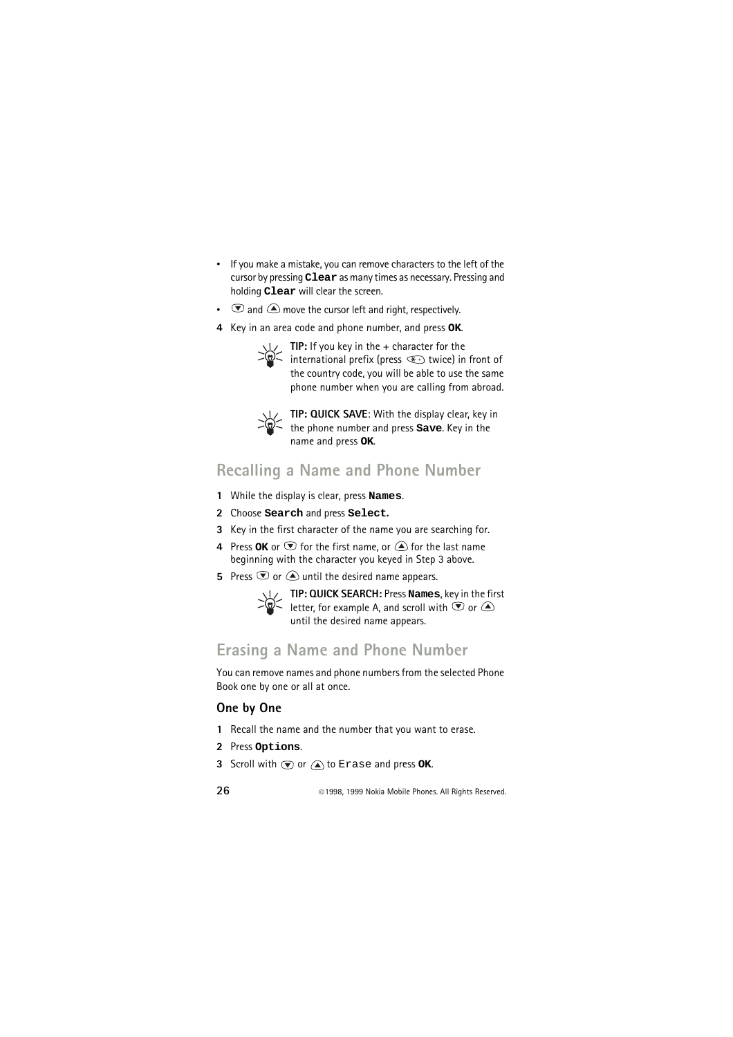- If you make a mistake, you can remove characters to the left of the cursor by pressing **Clear** as many times as necessary. Pressing and holding **Clear** will clear the screen.
- $\bullet$  and  $\bullet$  move the cursor left and right, respectively.
- **4** Key in an area code and phone number, and press **OK**.



**TIP:** If you key in the + character for the international prefix (press  $\mathcal{F}$  twice) in front of the country code, you will be able to use the same phone number when you are calling from abroad.



**TIP: QUICK SAVE**: With the display clear, key in the phone number and press **Save**. Key in the name and press **OK**.

### <span id="page-25-0"></span>**Recalling a Name and Phone Number**

- **1** While the display is clear, press **Names**.
- **2** Choose **Search** and press **Select.**
- **3** Key in the first character of the name you are searching for.
- **4** Press **OK** or  $\bullet$  for the first name, or  $\bullet$  for the last name beginning with the character you keyed in Step 3 above.
- **5** Press  $\bullet$  or  $\bullet$  until the desired name appears.



**TIP: QUICK SEARCH:** Press **Names**, key in the first letter, for example A, and scroll with  $\mathcal D$  or until the desired name appears.

### <span id="page-25-1"></span>**Erasing a Name and Phone Number**

You can remove names and phone numbers from the selected Phone Book one by one or all at once.

### <span id="page-25-2"></span>**One by One**

- **1** Recall the name and the number that you want to erase.
- **2** Press **Options**.
- **3** Scroll with  $\textcircled{\textbf{r}}$  or  $\textcircled{\textbf{a}}$  to Erase and press OK.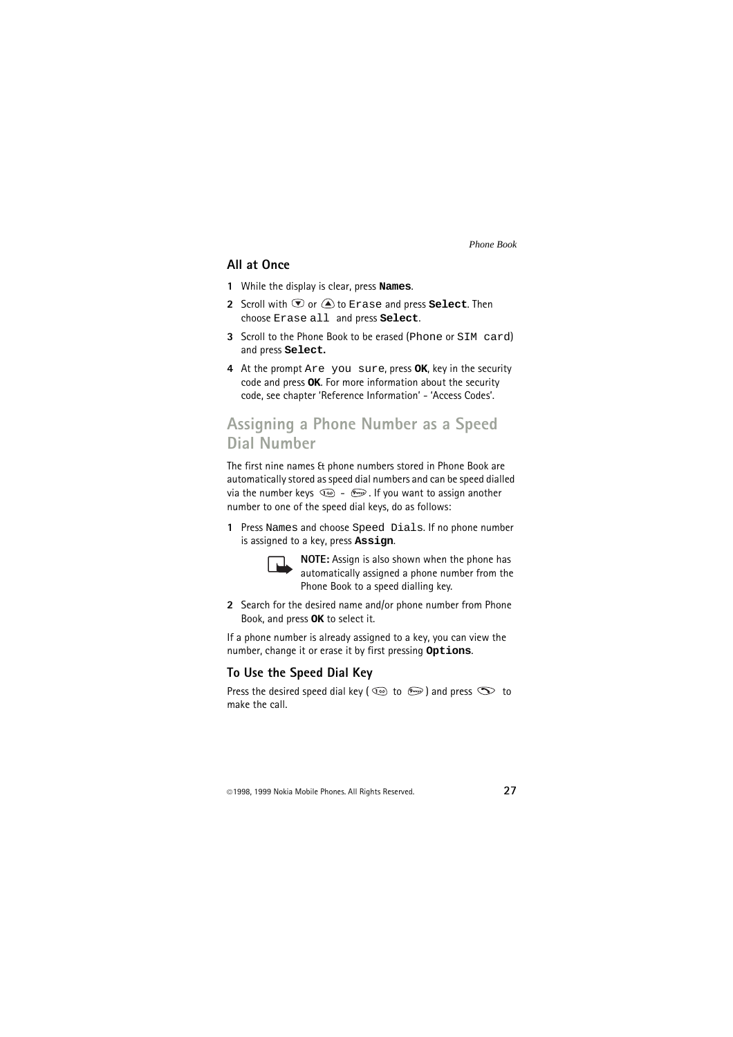#### <span id="page-26-0"></span>**All at Once**

- **1** While the display is clear, press **Names**.
- **2** Scroll with  $\odot$  or  $\bigcirc$  to Erase and press **Select**. Then choose Erase all and press **Select**.
- **3** Scroll to the Phone Book to be erased (Phone or SIM card) and press **Select.**
- **4** At the prompt Are you sure, press **OK**, key in the security code and press **OK**. For more information about the security code, see chapter 'Reference Information' - 'Access Codes'.

### <span id="page-26-1"></span>**Assigning a Phone Number as a Speed Dial Number**

The first nine names & phone numbers stored in Phone Book are automatically stored as speed dial numbers and can be speed dialled via the number keys  $\circled{2}$  -  $\circled{}$  -  $\circled{}$ . If you want to assign another number to one of the speed dial keys, do as follows:

**1** Press Names and choose Speed Dials. If no phone number is assigned to a key, press **Assign**.



**NOTE:** Assign is also shown when the phone has automatically assigned a phone number from the Phone Book to a speed dialling key.

**2** Search for the desired name and/or phone number from Phone Book, and press **OK** to select it.

If a phone number is already assigned to a key, you can view the number, change it or erase it by first pressing **Options**.

#### <span id="page-26-2"></span>**To Use the Speed Dial Key**

Press the desired speed dial key ( $\circledcirc$  to  $\circledast$ ) and press  $\circledcirc$  to make the call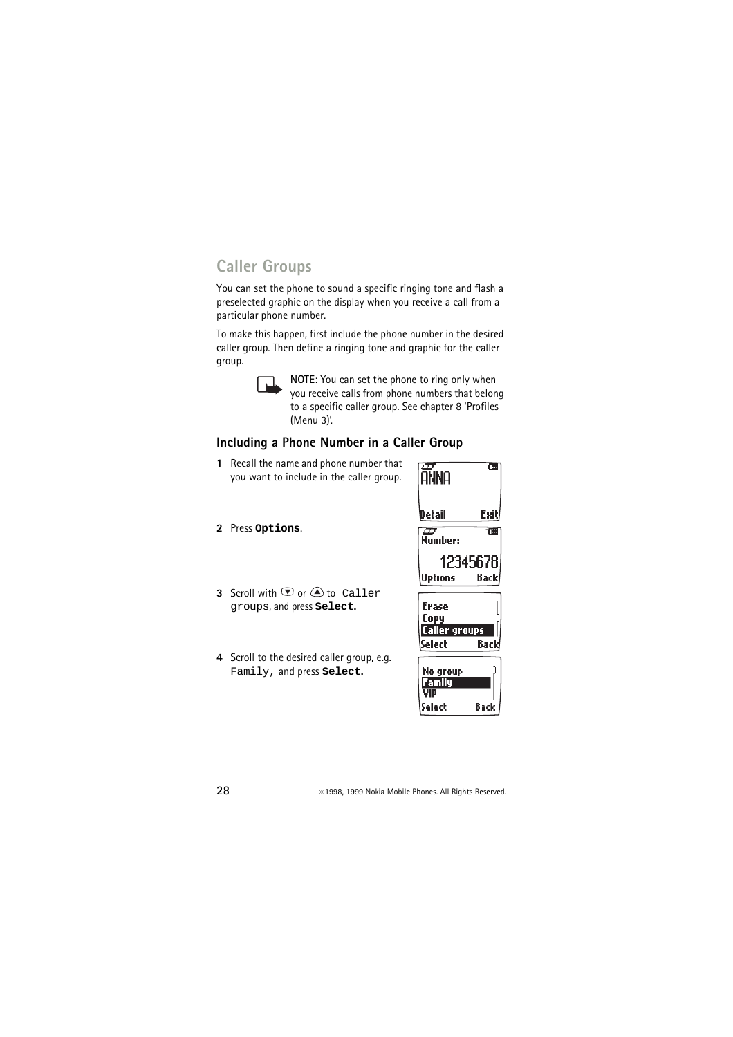### <span id="page-27-0"></span>**Caller Groups**

You can set the phone to sound a specific ringing tone and flash a preselected graphic on the display when you receive a call from a particular phone number.

To make this happen, first include the phone number in the desired caller group. Then define a ringing tone and graphic for the caller group.



**NOTE**: You can set the phone to ring only when you receive calls from phone numbers that belong to a specific caller group. See chapter 8 'Profiles (Menu 3)'.

#### <span id="page-27-1"></span>**Including a Phone Number in a Caller Group**

- **1** Recall the name and phone number that you want to include in the caller group.
- **2** Press **Options**.
- **3** Scroll with  $\mathcal{D}$  or  $\mathcal{A}$  to Caller groups, and press **Select.**
- **4** Scroll to the desired caller group, e.g. Family, and press **Select.**



| No group |      |
|----------|------|
| Family   |      |
| VID      |      |
| \Select  | Back |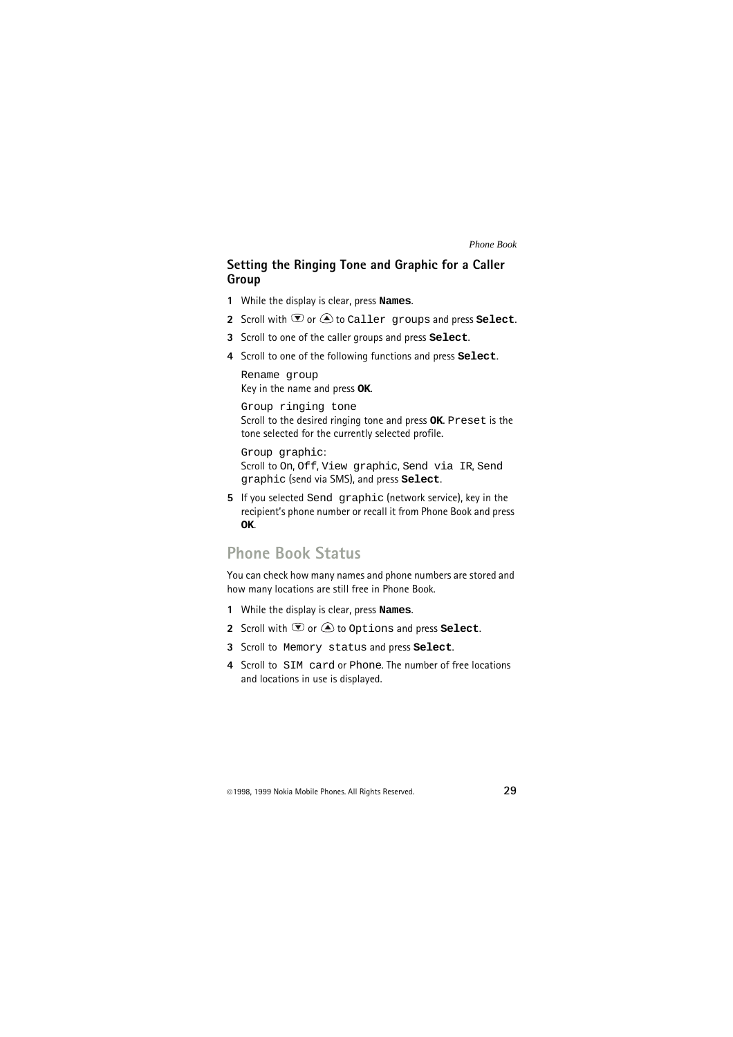#### <span id="page-28-0"></span>**Setting the Ringing Tone and Graphic for a Caller Group**

- **1** While the display is clear, press **Names**.
- **2** Scroll with  $\overline{\mathcal{D}}$  or  $\widehat{A}$  to Caller groups and press **Select**.
- **3** Scroll to one of the caller groups and press **Select**.
- **4** Scroll to one of the following functions and press **Select**.

Rename group Key in the name and press **OK**.

Group ringing tone Scroll to the desired ringing tone and press **OK**. Preset is the tone selected for the currently selected profile.

Group graphic: Scroll to On, Off, View graphic, Send via IR, Send graphic (send via SMS), and press **Select**.

**5** If you selected Send graphic (network service), key in the recipient's phone number or recall it from Phone Book and press **OK**.

### <span id="page-28-1"></span>**Phone Book Status**

You can check how many names and phone numbers are stored and how many locations are still free in Phone Book.

- **1** While the display is clear, press **Names**.
- **2** Scroll with  $\textcircled{r}$  or  $\textcircled{a}$  to Options and press **Select**.
- **3** Scroll to Memory status and press **Select**.
- **4** Scroll to SIM card or Phone. The number of free locations and locations in use is displayed.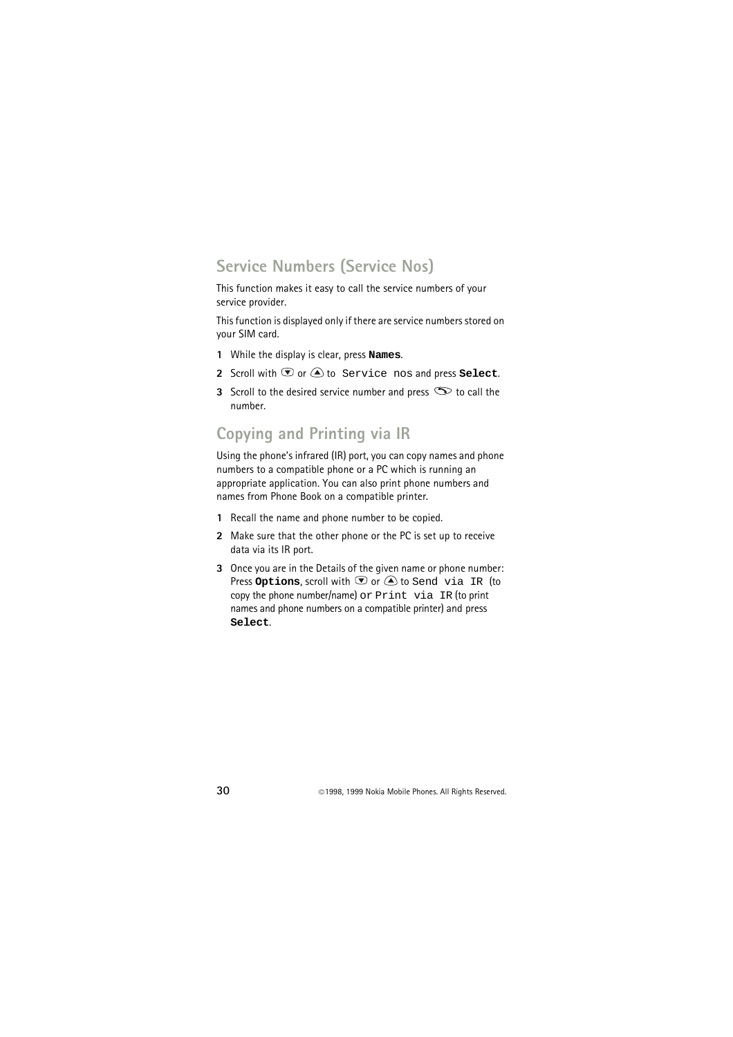### <span id="page-29-0"></span>**Service Numbers (Service Nos)**

This function makes it easy to call the service numbers of your service provider.

This function is displayed only if there are service numbers stored on your SIM card.

- **1** While the display is clear, press **Names**.
- **2** Scroll with  $\Phi$  or  $\widehat{=}$  to Service nos and press **Select**.
- **3** Scroll to the desired service number and press  $\infty$  to call the number.

### <span id="page-29-1"></span>**Copying and Printing via IR**

Using the phone's infrared (IR) port, you can copy names and phone numbers to a compatible phone or a PC which is running an appropriate application. You can also print phone numbers and names from Phone Book on a compatible printer.

- **1** Recall the name and phone number to be copied.
- **2** Make sure that the other phone or the PC is set up to receive data via its IR port.
- **3** Once you are in the Details of the given name or phone number: Press **Options**, scroll with  $\bullet$  or  $\bullet$  to Send via IR (to copy the phone number/name) or Print via IR (to print names and phone numbers on a compatible printer) and press **Select**.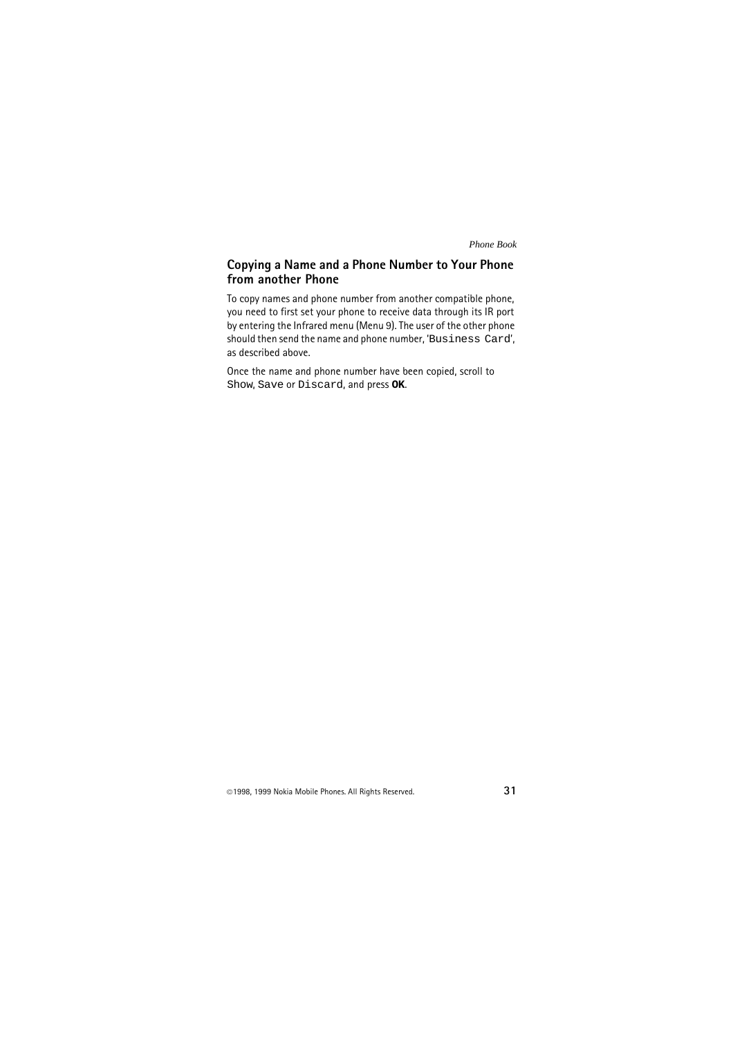#### **Copying a Name and a Phone Number to Your Phone from another Phone**

To copy names and phone number from another compatible phone, you need to first set your phone to receive data through its IR port by entering the Infrared menu (Menu 9). The user of the other phone should then send the name and phone number, 'Business Card', as described above.

Once the name and phone number have been copied, scroll to Show, Save or Discard, and press **OK**.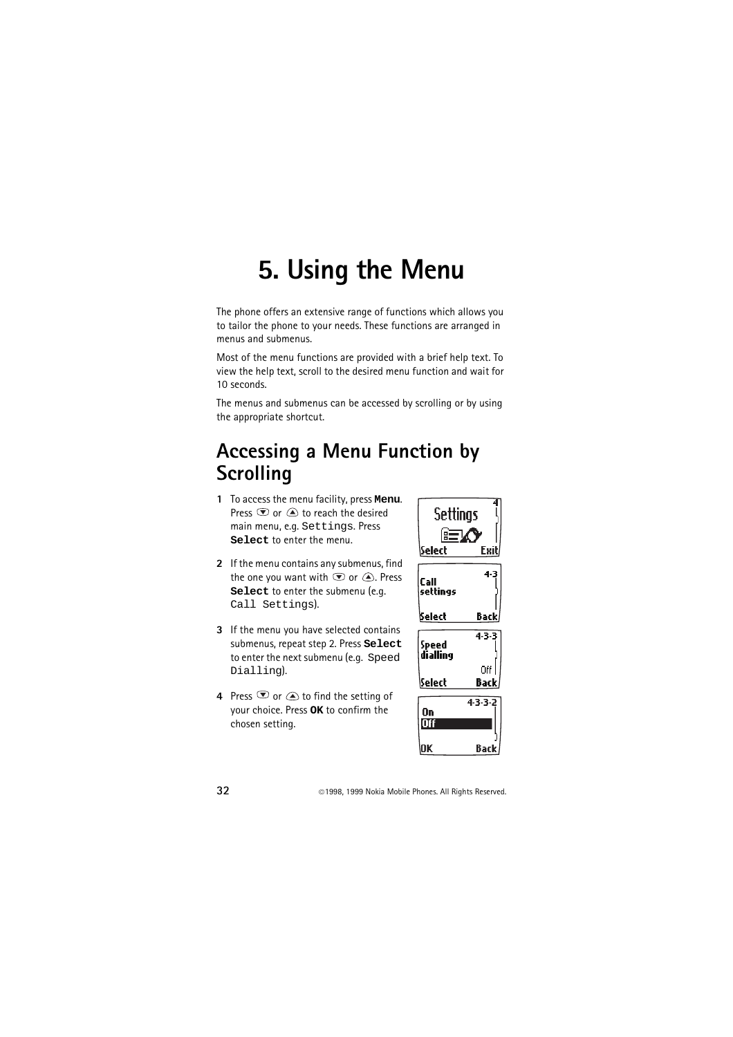# <span id="page-31-0"></span>**5. Using the Menu**

The phone offers an extensive range of functions which allows you to tailor the phone to your needs. These functions are arranged in menus and submenus.

Most of the menu functions are provided with a brief help text. To view the help text, scroll to the desired menu function and wait for 10 seconds.

The menus and submenus can be accessed by scrolling or by using the appropriate shortcut.

## <span id="page-31-1"></span>**Accessing a Menu Function by Scrolling**

- **1** To access the menu facility, press **Menu**. Press  $\overline{\bullet}$  or  $\overline{\bullet}$  to reach the desired main menu, e.g. Settings. Press **Select** to enter the menu.
- **2** If the menu contains any submenus, find the one you want with  $\bullet$  or  $\bullet$ . Press **Select** to enter the submenu (e.g. Call Settings).
- **3** If the menu you have selected contains submenus, repeat step 2. Press **Select** to enter the next submenu (e.g. Speed Dialling).
- **4** Press  $\bullet$  or  $\bullet$  to find the setting of your choice. Press **OK** to confirm the chosen setting.

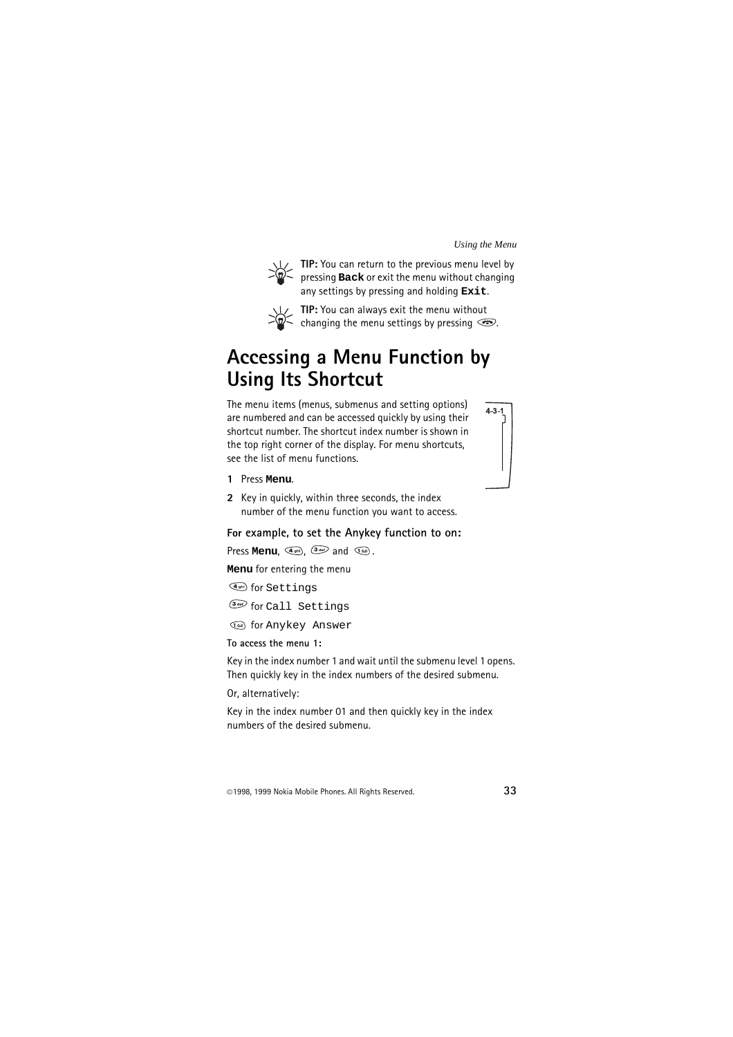

**TIP:** You can return to the previous menu level by pressing **Back** or exit the menu without changing any settings by pressing and holding **Exit**.



**TIP:** You can always exit the menu without  $\leq$  changing the menu settings by pressing  $\odot$ .

## <span id="page-32-0"></span>**Accessing a Menu Function by Using Its Shortcut**

The menu items (menus, submenus and setting options) are numbered and can be accessed quickly by using their shortcut number. The shortcut index number is shown in the top right corner of the display. For menu shortcuts, see the list of menu functions.



- **1** Press **Menu**.
- **2** Key in quickly, within three seconds, the index number of the menu function you want to access.

#### **For example, to set the Anykey function to on:**

Press **Menu**,  $\left( \frac{a_{\text{orb}}}{a_{\text{orb}}} \right)$ ,  $\left( \frac{a_{\text{orb}}}{a_{\text{orb}}} \right)$  and  $\left( \frac{a_{\text{ob}}}{a_{\text{orb}}} \right)$ .

**Menu** for entering the menu

for Settings

for Call Settings

for Anykey Answer

**To access the menu 1:**

Key in the index number 1 and wait until the submenu level 1 opens. Then quickly key in the index numbers of the desired submenu.

Or, alternatively:

Key in the index number 01 and then quickly key in the index numbers of the desired submenu.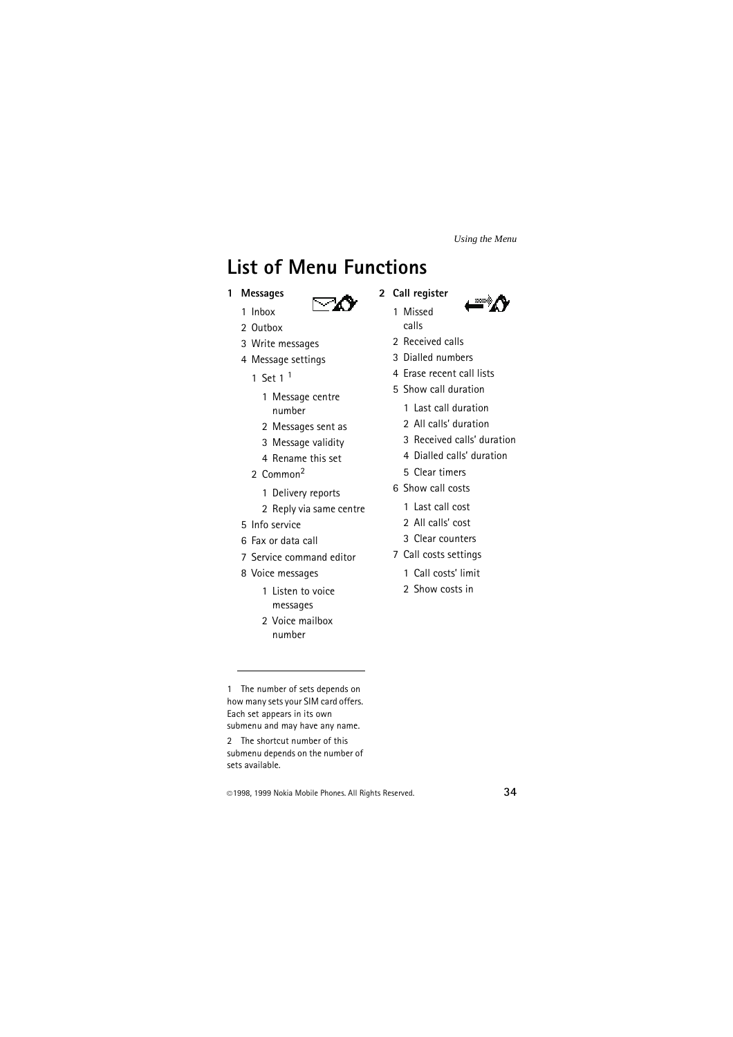## <span id="page-33-0"></span>**List of Menu Functions**

**1 Messages**



- 1 Inbox 2 Outbox
- 3 Write messages
- 4 Message settings
	- 1 Set 1<sup>1</sup>
		- 1 Message centre number
		- 2 Messages sent as
		- 3 Message validity
		- 4 Rename this set
	- 2 Common2
		- 1 Delivery reports
		- 2 Reply via same centre
- 5 Info service
- 6 Fax or data call
- 7 Service command editor
- 8 Voice messages
	- 1 Listen to voice messages
	- 2 Voice mailbox number

1 The number of sets depends on how many sets your SIM card offers. Each set appears in its own submenu and may have any name.

2 The shortcut number of this submenu depends on the number of sets available.

- **2 Call register**
	- 1 Missed calls
	- 2 Received calls
	- 3 Dialled numbers
	- 4 Erase recent call lists
	- 5 Show call duration
		- 1 Last call duration
		- 2 All calls' duration
		- 3 Received calls' duration
		- 4 Dialled calls' duration
		- 5 Clear timers
	- 6 Show call costs
		- 1 Last call cost
		- 2 All calls' cost
		- 3 Clear counters
	- 7 Call costs settings
		- 1 Call costs' limit
		- 2 Show costs in

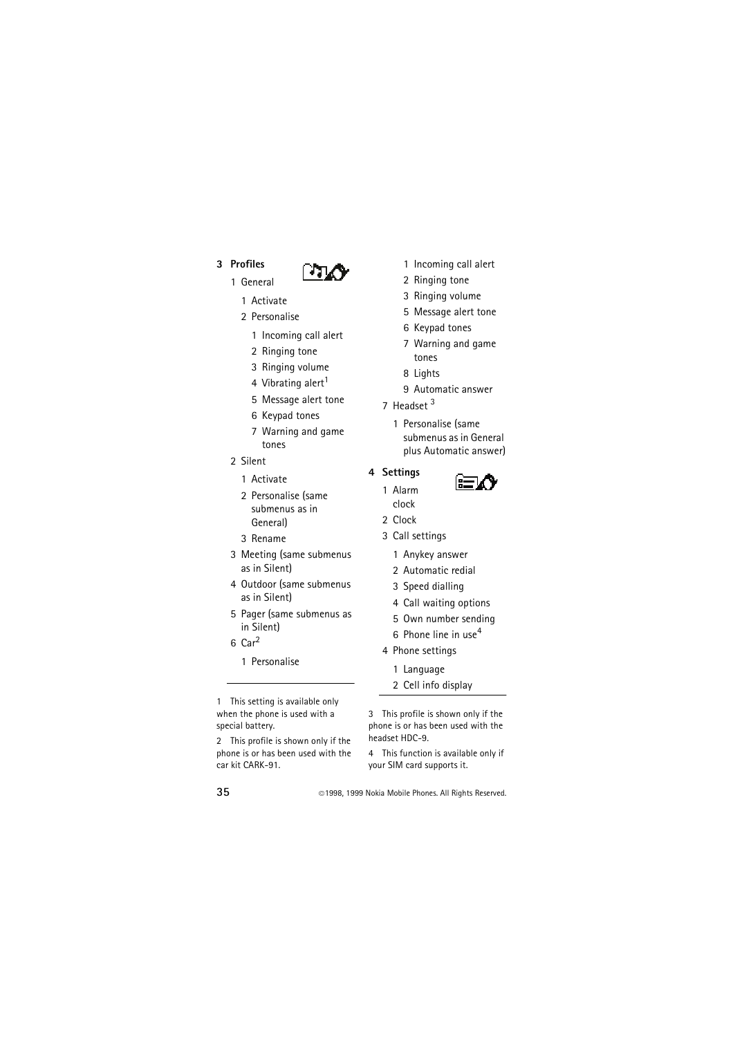#### **3 Profiles**



- 1 General
	- 1 Activate
	- 2 Personalise
		- 1 Incoming call alert
		- 2 Ringing tone
		- 3 Ringing volume
		- 4 Vibrating alert<sup>1</sup>
		- 5 Message alert tone
		- 6 Keypad tones
		- 7 Warning and game tones
- 2 Silent
	- 1 Activate
	- 2 Personalise (same submenus as in General)
	- 3 Rename
- 3 Meeting (same submenus as in Silent)
- 4 Outdoor (same submenus as in Silent)
- 5 Pager (same submenus as in Silent)
- $6$  Car<sup>2</sup>
	- 1 Personalise

1 This setting is available only when the phone is used with a special battery.

2 This profile is shown only if the phone is or has been used with the car kit CARK-91.

- 1 Incoming call alert
- 2 Ringing tone
- 3 Ringing volume
- 5 Message alert tone
- 6 Keypad tones
- 7 Warning and game tones
- 8 Lights
- 9 Automatic answer
- 7 Headset  $3$ 
	- 1 Personalise (same submenus as in General plus Automatic answer)

#### **4 Settings**

- 1 Alarm clock
- 2 Clock
- 3 Call settings
	- 1 Anykey answer
	- 2 Automatic redial
	- 3 Speed dialling
	- 4 Call waiting options
	- 5 Own number sending
	- 6 Phone line in use<sup>4</sup>
- 4 Phone settings
	- 1 Language
	- 2 Cell info display

3 This profile is shown only if the phone is or has been used with the headset HDC-9.

4 This function is available only if your SIM card supports it.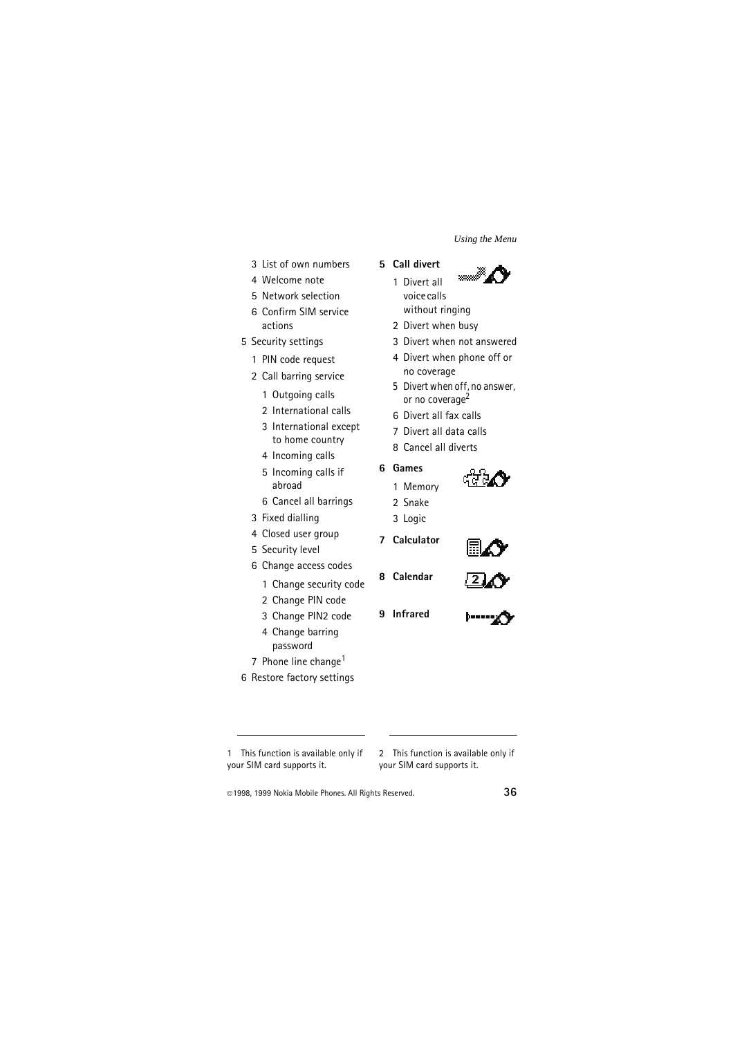- 3 List of own numbers
- 4 Welcome note
- 5 Network selection
- 6 Confirm SIM service actions
- 5 Security settings
	- 1 PIN code request
	- 2 Call barring service
		- 1 Outgoing calls
		- 2 International calls
		- 3 International except to home country
		- 4 Incoming calls
		- 5 Incoming calls if abroad
		- 6 Cancel all barrings
	- 3 Fixed dialling
	- 4 Closed user group
	- 5 Security level
	- 6 Change access codes
		- 1 Change security code
		- 2 Change PIN code
		- 3 Change PIN2 code
		- 4 Change barring password
	- 7 Phone line change<sup>1</sup>
- 6 Restore factory settings

**5 Call divert**



- 1 Divert all voice calls without ringing
- 2 Divert when busy
- 3 Divert when not answered
- 4 Divert when phone off or no coverage
- 5 Divert when off, no answer or no coverage<sup>2</sup>
- 6 Divert all fax calls
- 7 Divert all data calls
- 8 Cancel all diverts

#### **6 Games**

- 1 Memory
- 2 Snake
- 3 Logic
- **7 Calculator**
- **8 Calendar**



**9 Infrared**



1 This function is available only if your SIM card supports it.

2 This function is available only if your SIM card supports it.

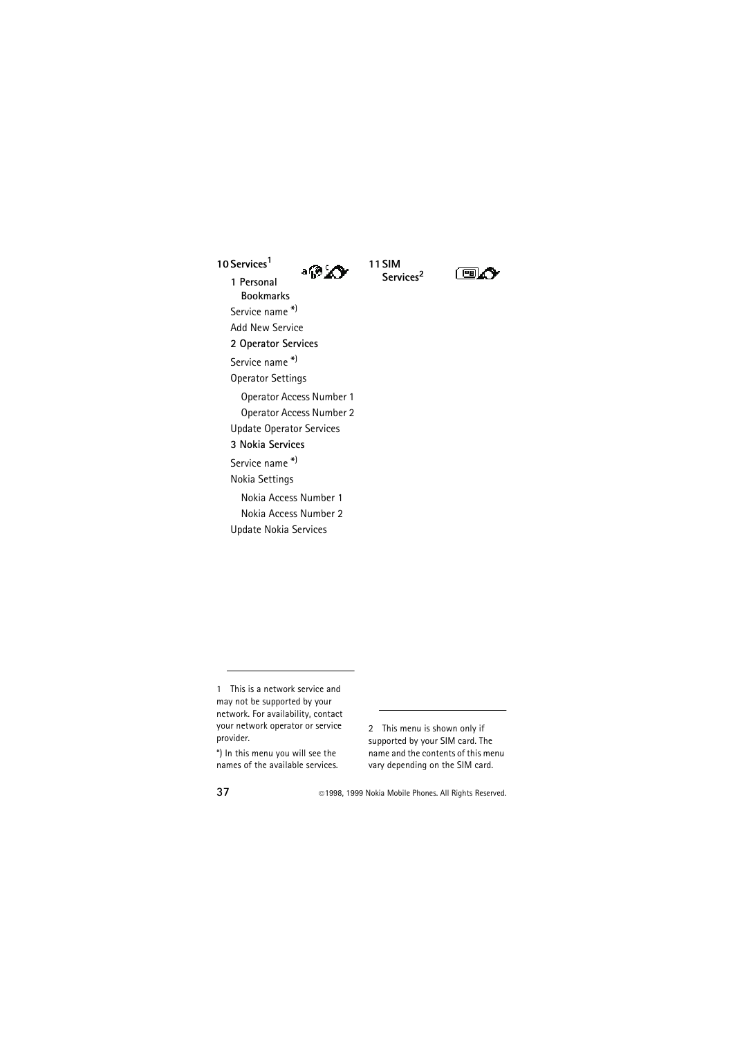**10 Services<sup>1</sup>**

**11SIM**  ∍⊛∡∩

**Services<sup>2</sup>**



**1 Personal Bookmarks** Service name \* ) Add New Service **2 Operator Services** Service name \* ) Operator Settings Operator Access Number 1 Operator Access Number 2 Update Operator Services **3 Nokia Services** Service name \* ) Nokia Settings Nokia Access Number 1 Nokia Access Number 2 Update Nokia Services

1 This is a network service and may not be supported by your network. For availability, contact your network operator or service provider.

\*) In this menu you will see the names of the available services. 2 This menu is shown only if supported by your SIM card. The name and the contents of this menu vary depending on the SIM card.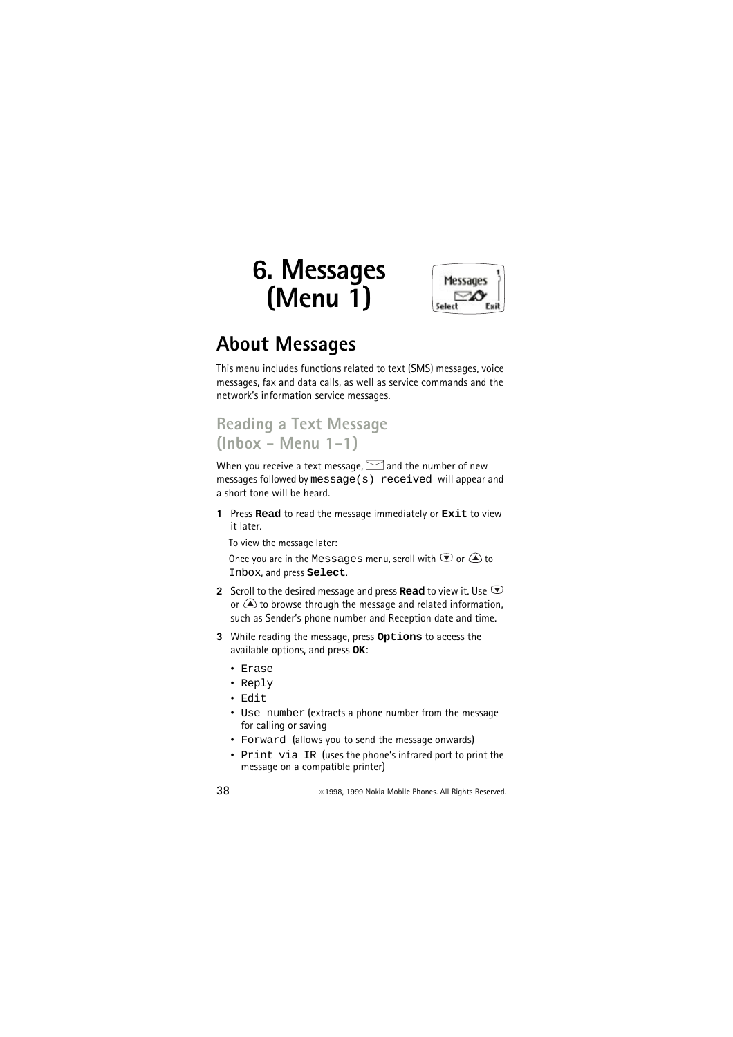# **6. Messages (Menu 1)**



## **About Messages**

This menu includes functions related to text (SMS) messages, voice messages, fax and data calls, as well as service commands and the network's information service messages.

#### **Reading a Text Message (Inbox - Menu 1-1)**

When you receive a text message,  $\leq$  and the number of new messages followed by message(s) received will appear and a short tone will be heard.

**1** Press **Read** to read the message immediately or **Exit** to view it later.

To view the message later:

Once you are in the Messages menu, scroll with  $\mathcal D$  or  $\mathcal \triangle$  to Inbox, and press **Select**.

- **2** Scroll to the desired message and press **Read** to view it. Use  $\bullet$ or  $\bigcirc$  to browse through the message and related information, such as Sender's phone number and Reception date and time.
- **3** While reading the message, press **Options** to access the available options, and press **OK**:
	- Erase
	- Reply
	- Edit
	- Use number (extracts a phone number from the message for calling or saving
	- Forward (allows you to send the message onwards)
	- Print via IR (uses the phone's infrared port to print the message on a compatible printer)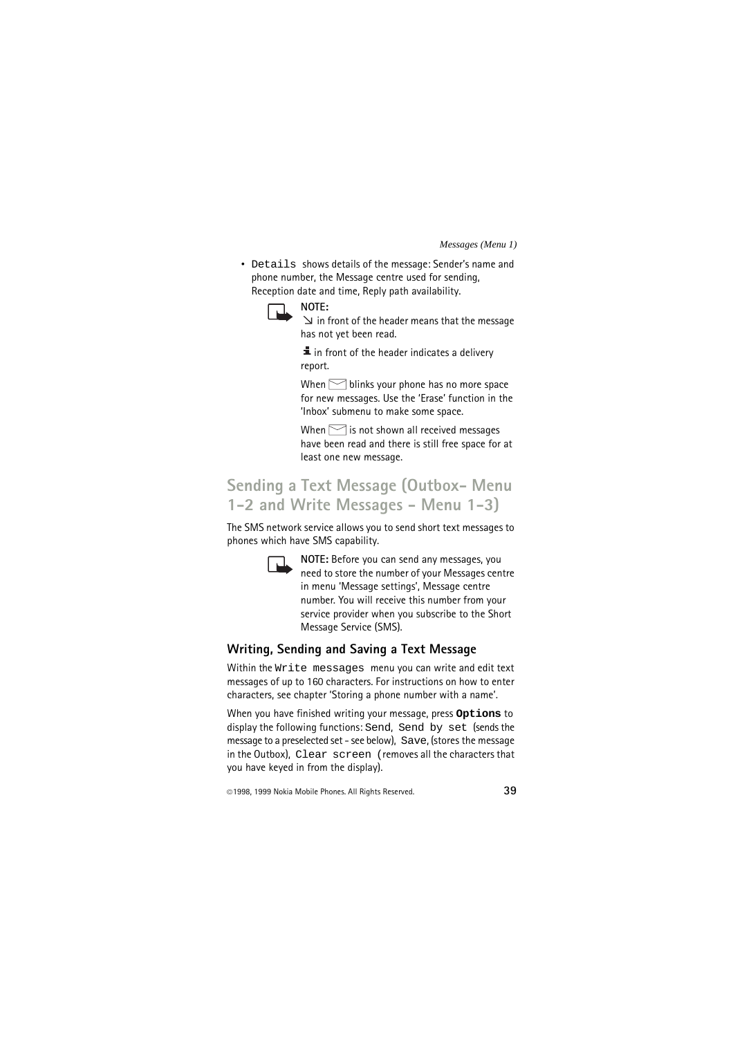• Details shows details of the message: Sender's name and phone number, the Message centre used for sending, Reception date and time, Reply path availability.



**NOTE:**

 $\leq$  in front of the header means that the message has not yet been read.

 $\overline{\mathbf{I}}$  in front of the header indicates a delivery report.

When  $\triangleright$  blinks your phone has no more space for new messages. Use the 'Erase' function in the 'Inbox' submenu to make some space.

When  $\leq$  is not shown all received messages have been read and there is still free space for at least one new message.

### **Sending a Text Message (Outbox- Menu 1-2 and Write Messages - Menu 1-3)**

The SMS network service allows you to send short text messages to phones which have SMS capability.



**NOTE:** Before you can send any messages, you need to store the number of your Messages centre in menu 'Message settings', Message centre number. You will receive this number from your service provider when you subscribe to the Short Message Service (SMS).

#### **Writing, Sending and Saving a Text Message**

Within the Write messages menu you can write and edit text messages of up to 160 characters. For instructions on how to enter characters, see chapter 'Storing a phone number with a name'.

When you have finished writing your message, press **Options** to display the following functions: Send, Send by set (sends the message to a preselected set - see below), Save, (stores the message in the Outbox), Clear screen (removes all the characters that you have keyed in from the display).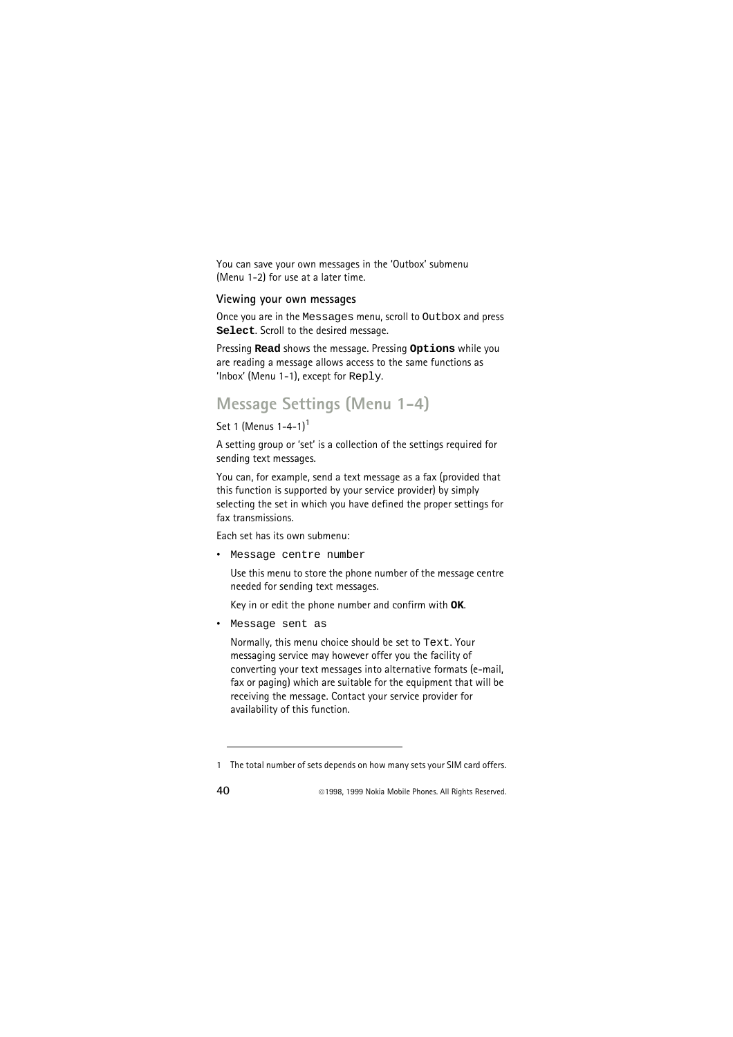You can save your own messages in the 'Outbox' submenu (Menu 1-2) for use at a later time.

#### **Viewing your own messages**

Once you are in the Messages menu, scroll to Outbox and press **Select**. Scroll to the desired message.

Pressing **Read** shows the message. Pressing **Options** while you are reading a message allows access to the same functions as 'Inbox' (Menu 1-1), except for Reply.

### **Message Settings (Menu 1-4)**

```
Set 1 (Menus 1-4-1)<sup>1</sup>
```
A setting group or 'set' is a collection of the settings required for sending text messages.

You can, for example, send a text message as a fax (provided that this function is supported by your service provider) by simply selecting the set in which you have defined the proper settings for fax transmissions.

Each set has its own submenu:

• Message centre number

Use this menu to store the phone number of the message centre needed for sending text messages.

Key in or edit the phone number and confirm with **OK**.

• Message sent as

Normally, this menu choice should be set to Text. Your messaging service may however offer you the facility of converting your text messages into alternative formats (e-mail, fax or paging) which are suitable for the equipment that will be receiving the message. Contact your service provider for availability of this function.

<sup>1</sup> The total number of sets depends on how many sets your SIM card offers.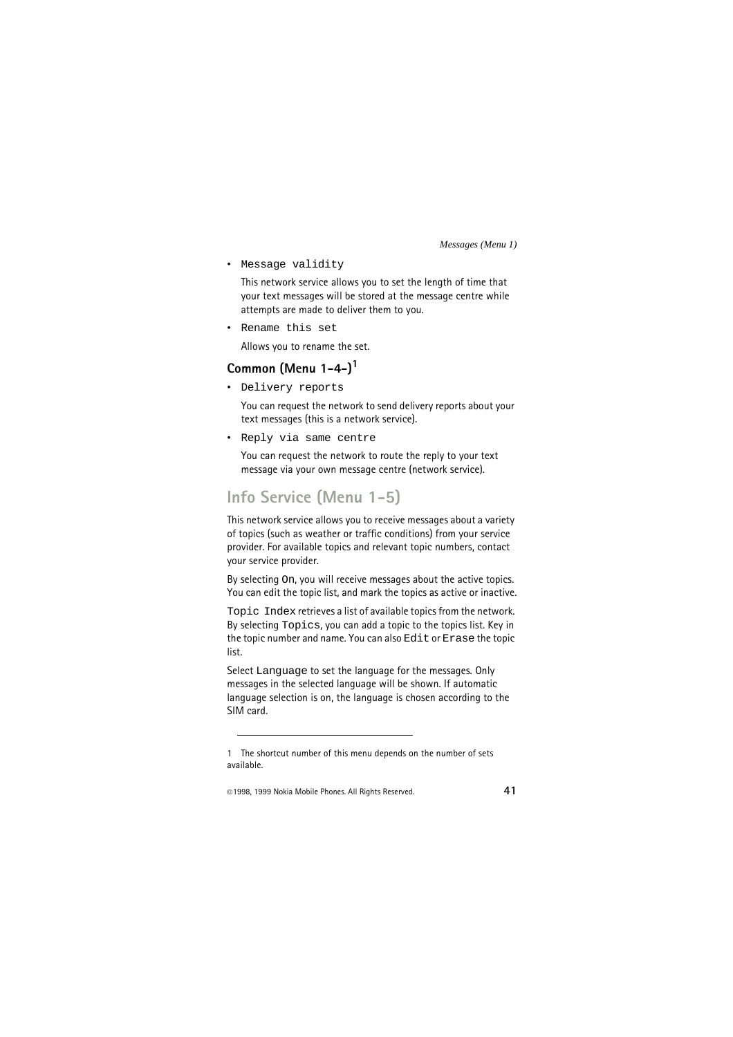• Message validity

This network service allows you to set the length of time that your text messages will be stored at the message centre while attempts are made to deliver them to you.

• Rename this set

Allows you to rename the set.

#### **Common (Menu 1-4-)<sup>1</sup>**

• Delivery reports

You can request the network to send delivery reports about your text messages (this is a network service).

• Reply via same centre

You can request the network to route the reply to your text message via your own message centre (network service).

## **Info Service (Menu 1-5)**

This network service allows you to receive messages about a variety of topics (such as weather or traffic conditions) from your service provider. For available topics and relevant topic numbers, contact your service provider.

By selecting On, you will receive messages about the active topics. You can edit the topic list, and mark the topics as active or inactive.

Topic Index retrieves a list of available topics from the network. By selecting Topics, you can add a topic to the topics list. Key in the topic number and name. You can also Edit or Erase the topic list.

Select Language to set the language for the messages. Only messages in the selected language will be shown. If automatic language selection is on, the language is chosen according to the SIM card.

<sup>1</sup> The shortcut number of this menu depends on the number of sets available.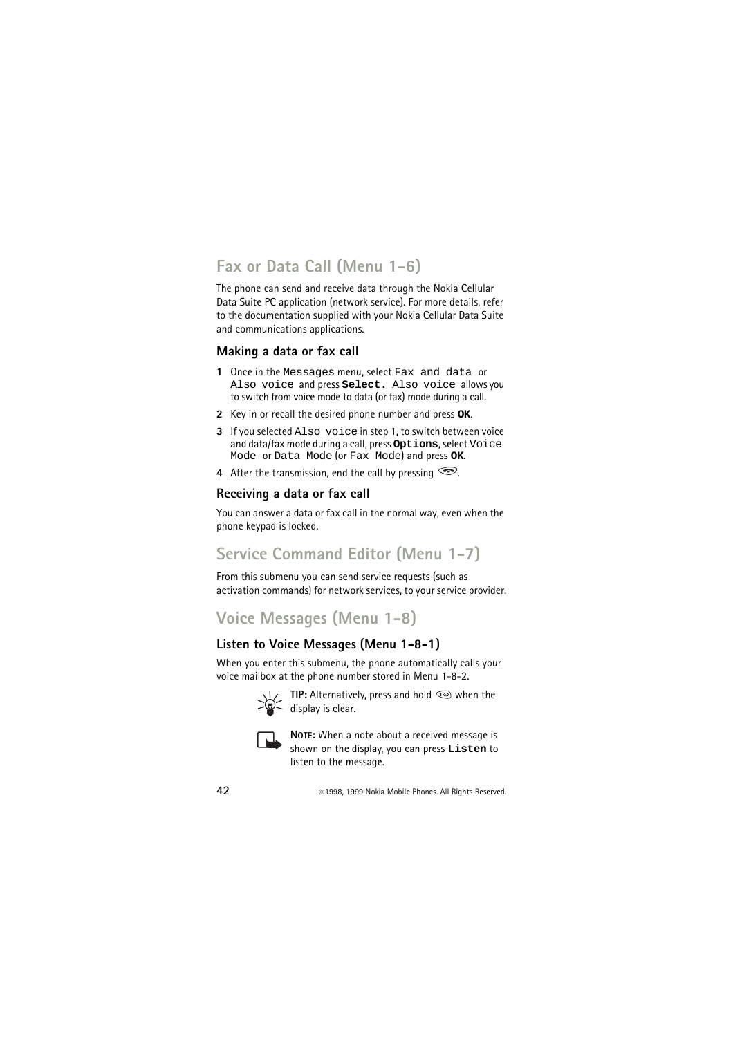## **Fax or Data Call (Menu 1-6)**

The phone can send and receive data through the Nokia Cellular Data Suite PC application (network service). For more details, refer to the documentation supplied with your Nokia Cellular Data Suite and communications applications.

#### **Making a data or fax call**

- **1** Once in the Messages menu, select Fax and data or Also voice and press **Select.** Also voice allows you to switch from voice mode to data (or fax) mode during a call.
- **2** Key in or recall the desired phone number and press **OK**.
- **3** If you selected Also voice in step 1, to switch between voice and data/fax mode during a call, press **Options**, select Voice Mode or Data Mode (or Fax Mode) and press **OK**.
- **4** After the transmission, end the call by pressing  $\odot$ .

#### **Receiving a data or fax call**

You can answer a data or fax call in the normal way, even when the phone keypad is locked.

## **Service Command Editor (Menu 1-7)**

From this submenu you can send service requests (such as activation commands) for network services, to your service provider.

## **Voice Messages (Menu 1-8)**

#### **Listen to Voice Messages (Menu 1-8-1)**

When you enter this submenu, the phone automatically calls your voice mailbox at the phone number stored in Menu 1-8-2.



**TIP:** Alternatively, press and hold we when the  $\sum_{i=1}^{\infty}$  display is clear.



**NOTE:** When a note about a received message is shown on the display, you can press **Listen** to listen to the message.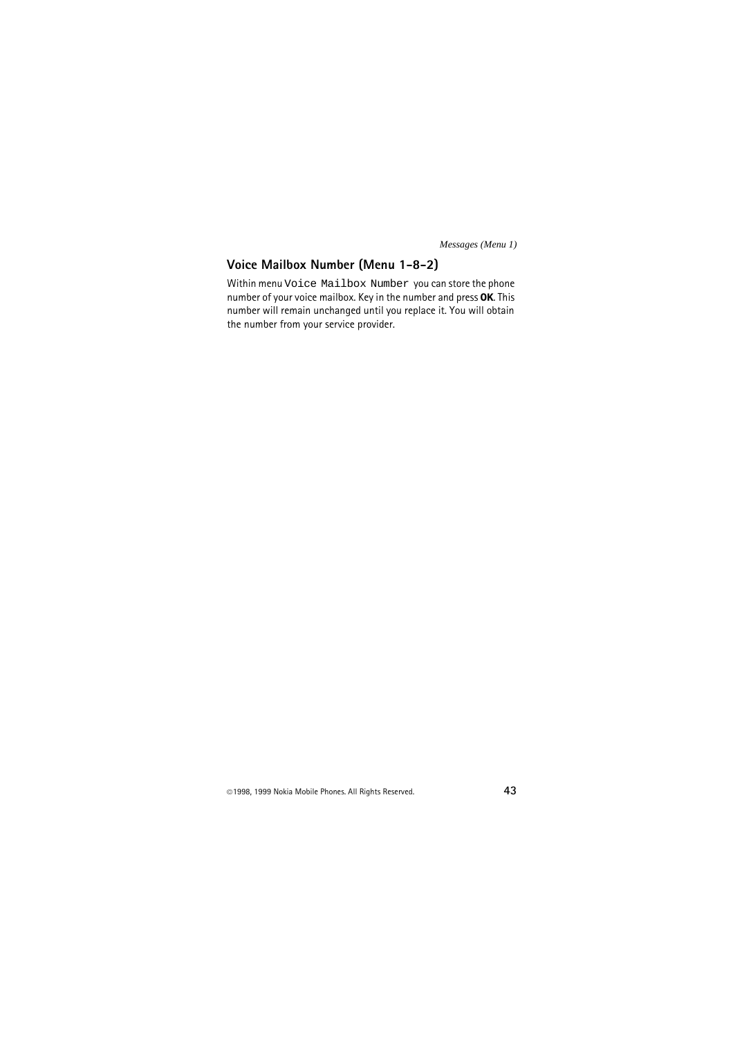#### **Voice Mailbox Number (Menu 1-8-2)**

Within menu Voice Mailbox Number you can store the phone number of your voice mailbox. Key in the number and press **OK**. This number will remain unchanged until you replace it. You will obtain the number from your service provider.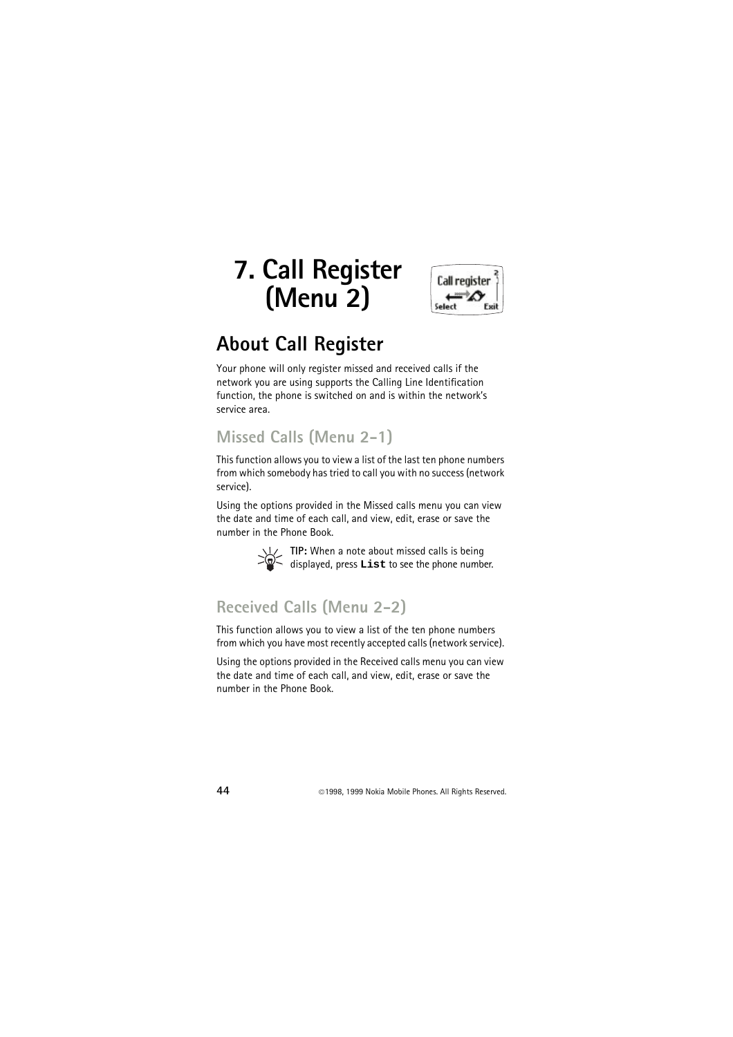# **7. Call Register (Menu 2)**



## **About Call Register**

Your phone will only register missed and received calls if the network you are using supports the Calling Line Identification function, the phone is switched on and is within the network's service area.

### **Missed Calls (Menu 2-1)**

This function allows you to view a list of the last ten phone numbers from which somebody has tried to call you with no success (network service).

Using the options provided in the Missed calls menu you can view the date and time of each call, and view, edit, erase or save the number in the Phone Book.



**TIP:** When a note about missed calls is being displayed, press **List** to see the phone number.

### **Received Calls (Menu 2-2)**

This function allows you to view a list of the ten phone numbers from which you have most recently accepted calls (network service).

Using the options provided in the Received calls menu you can view the date and time of each call, and view, edit, erase or save the number in the Phone Book.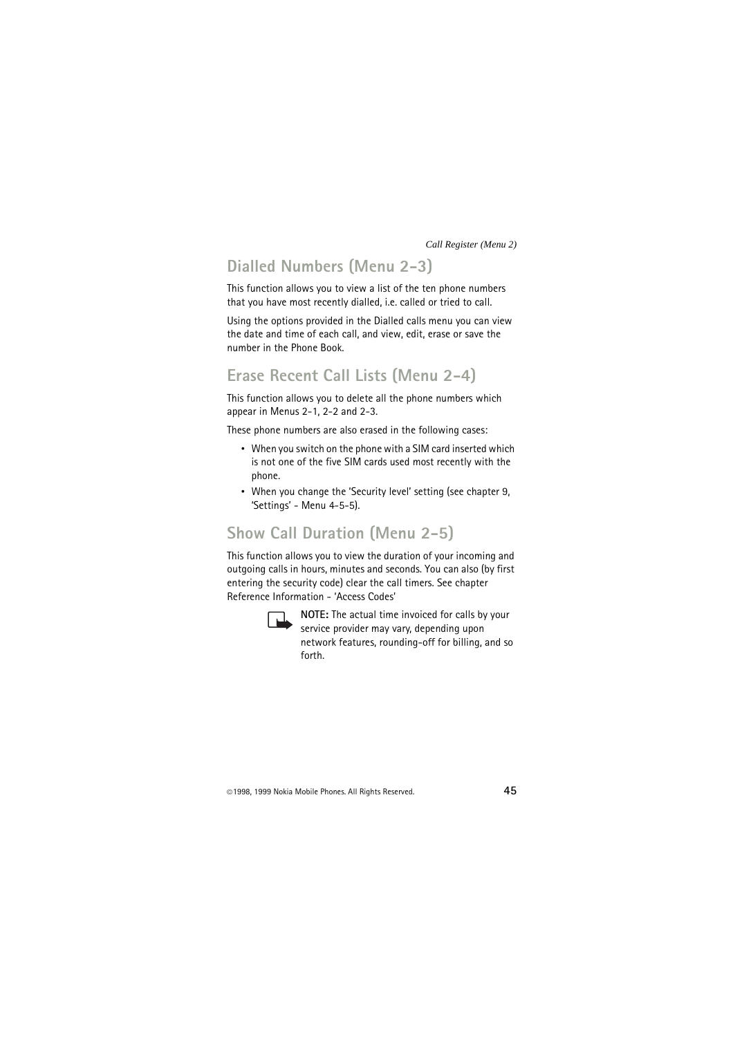## **Dialled Numbers (Menu 2-3)**

This function allows you to view a list of the ten phone numbers that you have most recently dialled, i.e. called or tried to call.

Using the options provided in the Dialled calls menu you can view the date and time of each call, and view, edit, erase or save the number in the Phone Book.

#### **Erase Recent Call Lists (Menu 2-4)**

This function allows you to delete all the phone numbers which appear in Menus 2-1, 2-2 and 2-3.

These phone numbers are also erased in the following cases:

- When you switch on the phone with a SIM card inserted which is not one of the five SIM cards used most recently with the phone.
- When you change the 'Security level' setting (see chapter 9, 'Settings' - Menu 4-5-5).

### **Show Call Duration (Menu 2-5)**

This function allows you to view the duration of your incoming and outgoing calls in hours, minutes and seconds. You can also (by first entering the security code) clear the call timers. See chapter Reference Information - 'Access Codes'



**NOTE:** The actual time invoiced for calls by your service provider may vary, depending upon network features, rounding-off for billing, and so forth.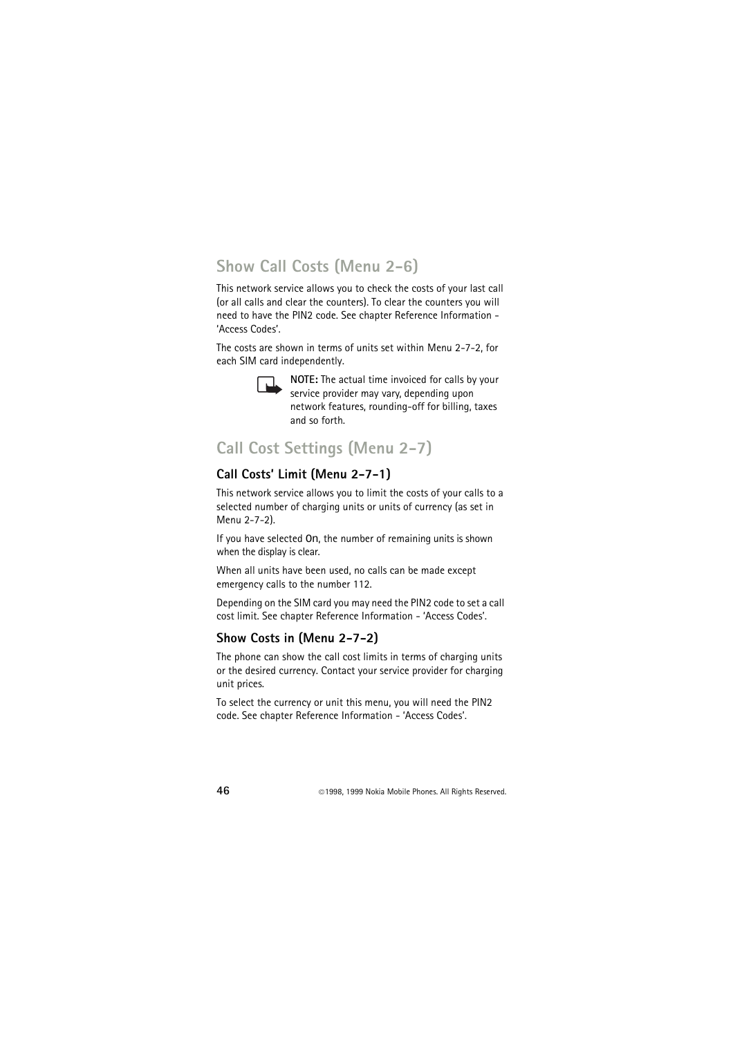## **Show Call Costs (Menu 2-6)**

This network service allows you to check the costs of your last call (or all calls and clear the counters). To clear the counters you will need to have the PIN2 code. See chapter Reference Information - 'Access Codes'.

The costs are shown in terms of units set within Menu 2-7-2, for each SIM card independently.



**NOTE:** The actual time invoiced for calls by your service provider may vary, depending upon network features, rounding-off for billing, taxes and so forth.

## **Call Cost Settings (Menu 2-7)**

#### **Call Costs' Limit (Menu 2-7-1)**

This network service allows you to limit the costs of your calls to a selected number of charging units or units of currency (as set in Menu 2-7-2).

If you have selected On, the number of remaining units is shown when the display is clear.

When all units have been used, no calls can be made except emergency calls to the number 112.

Depending on the SIM card you may need the PIN2 code to set a call cost limit. See chapter Reference Information - 'Access Codes'.

#### **Show Costs in (Menu 2-7-2)**

The phone can show the call cost limits in terms of charging units or the desired currency. Contact your service provider for charging unit prices.

To select the currency or unit this menu, you will need the PIN2 code. See chapter Reference Information - 'Access Codes'.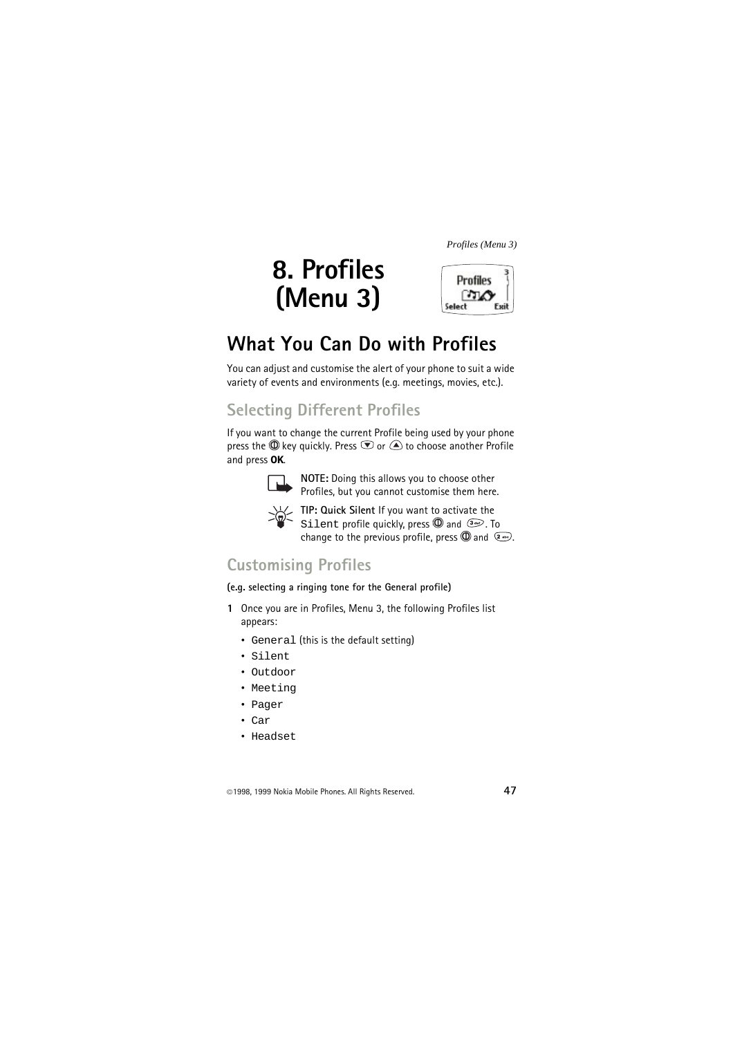# **8. Profiles (Menu 3)**



# **What You Can Do with Profiles**

You can adjust and customise the alert of your phone to suit a wide variety of events and environments (e.g. meetings, movies, etc.).

## **Selecting Different Profiles**

If you want to change the current Profile being used by your phone press the  $\mathbb O$  key quickly. Press  $\mathbb O$  or  $\triangle$  to choose another Profile and press **OK**.



**NOTE:** Doing this allows you to choose other Profiles, but you cannot customise them here.



**TIP: Quick Silent** If you want to activate the Silent profile quickly, press  $\mathbb O$  and  $\mathbb P$ . To change to the previous profile, press  $\mathbb{O}$  and  $\mathbb{R}$ .

### **Customising Profiles**

**(e.g. selecting a ringing tone for the General profile)**

- **1** Once you are in Profiles, Menu 3, the following Profiles list appears:
	- General (this is the default setting)
	- Silent
	- Outdoor
	- Meeting
	- Pager
	- Car
	- Headset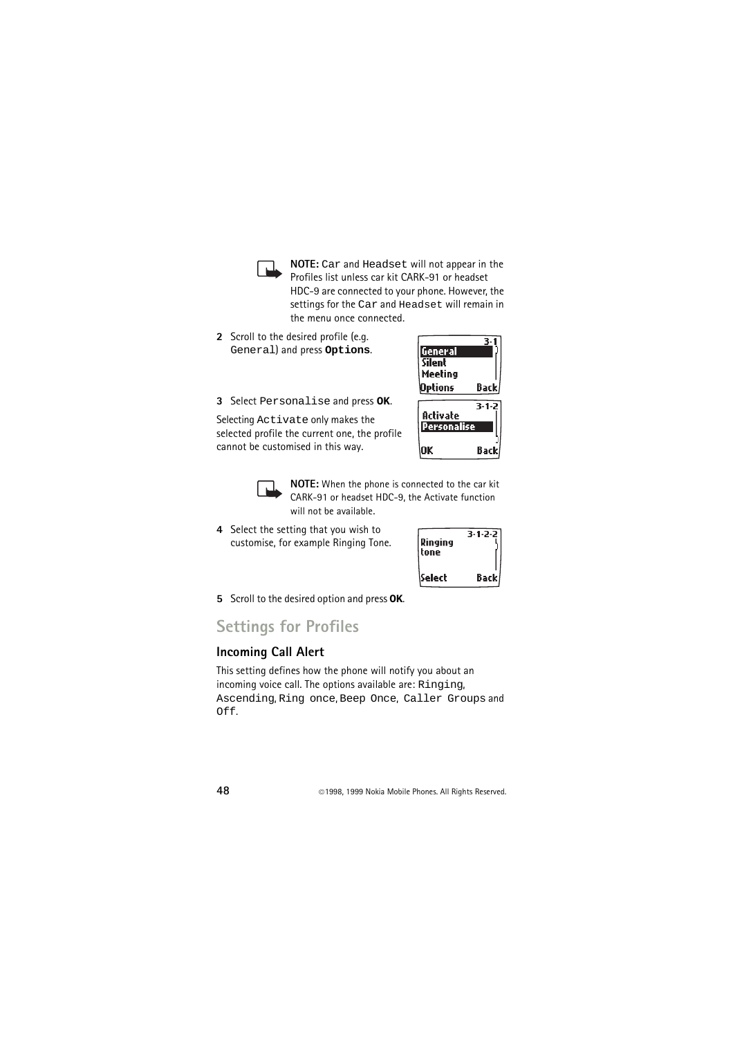**NOTE:** Car and Headset will not appear in the Profiles list unless car kit CARK-91 or headset HDC-9 are connected to your phone. However, the settings for the Car and Headset will remain in the menu once connected.

- **2** Scroll to the desired profile (e.g. General) and press **Options**.
- **3** Select Personalise and press **OK**.

Selecting Activate only makes the selected profile the current one, the profile cannot be customised in this way.





**NOTE:** When the phone is connected to the car kit CARK-91 or headset HDC-9, the Activate function will not be available.

**4** Select the setting that you wish to customise, for example Ringing Tone.

| Ringing<br>tone | 3-1-2-2 |
|-----------------|---------|
| Select          | Back    |

**5** Scroll to the desired option and press **OK**.

#### **Settings for Profiles**

#### **Incoming Call Alert**

This setting defines how the phone will notify you about an incoming voice call. The options available are: Ringing, Ascending, Ring once, Beep Once, Caller Groups and Off.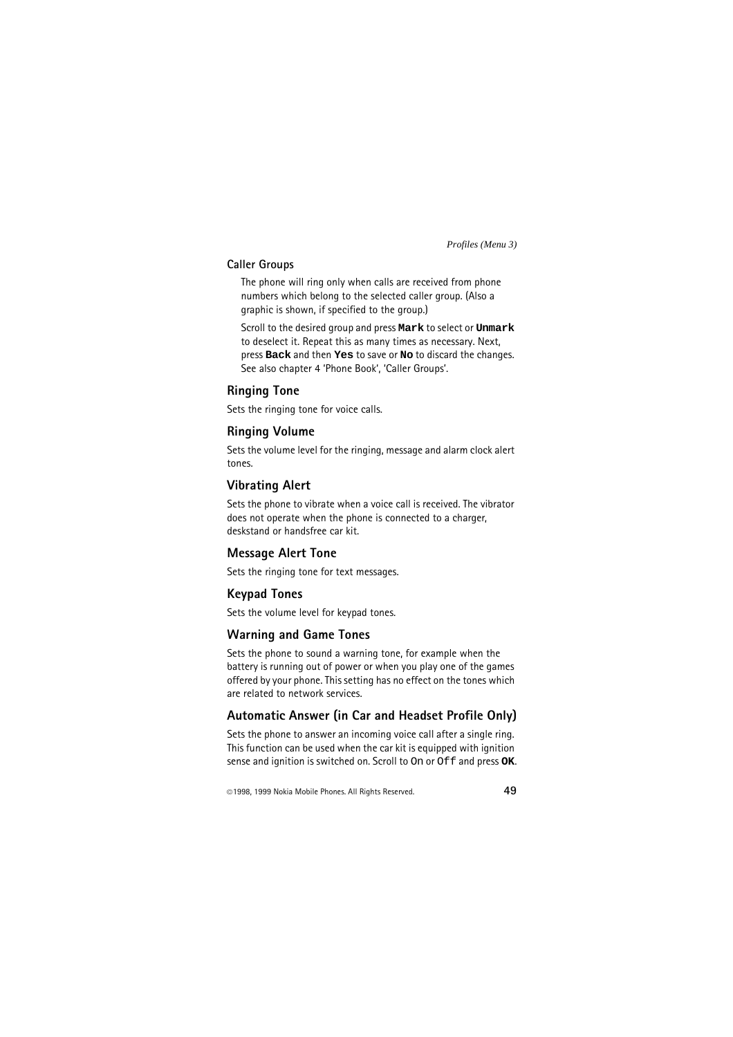#### **Caller Groups**

The phone will ring only when calls are received from phone numbers which belong to the selected caller group. (Also a graphic is shown, if specified to the group.)

Scroll to the desired group and press **Mark** to select or **Unmark** to deselect it. Repeat this as many times as necessary. Next, press **Back** and then **Yes** to save or **No** to discard the changes. See also chapter 4 'Phone Book', 'Caller Groups'.

#### **Ringing Tone**

Sets the ringing tone for voice calls.

#### **Ringing Volume**

Sets the volume level for the ringing, message and alarm clock alert tones.

#### **Vibrating Alert**

Sets the phone to vibrate when a voice call is received. The vibrator does not operate when the phone is connected to a charger, deskstand or handsfree car kit.

#### **Message Alert Tone**

Sets the ringing tone for text messages.

#### **Keypad Tones**

Sets the volume level for keypad tones.

#### **Warning and Game Tones**

Sets the phone to sound a warning tone, for example when the battery is running out of power or when you play one of the games offered by your phone. This setting has no effect on the tones which are related to network services.

#### **Automatic Answer (in Car and Headset Profile Only)**

Sets the phone to answer an incoming voice call after a single ring. This function can be used when the car kit is equipped with ignition sense and ignition is switched on. Scroll to On or Off and press **OK**.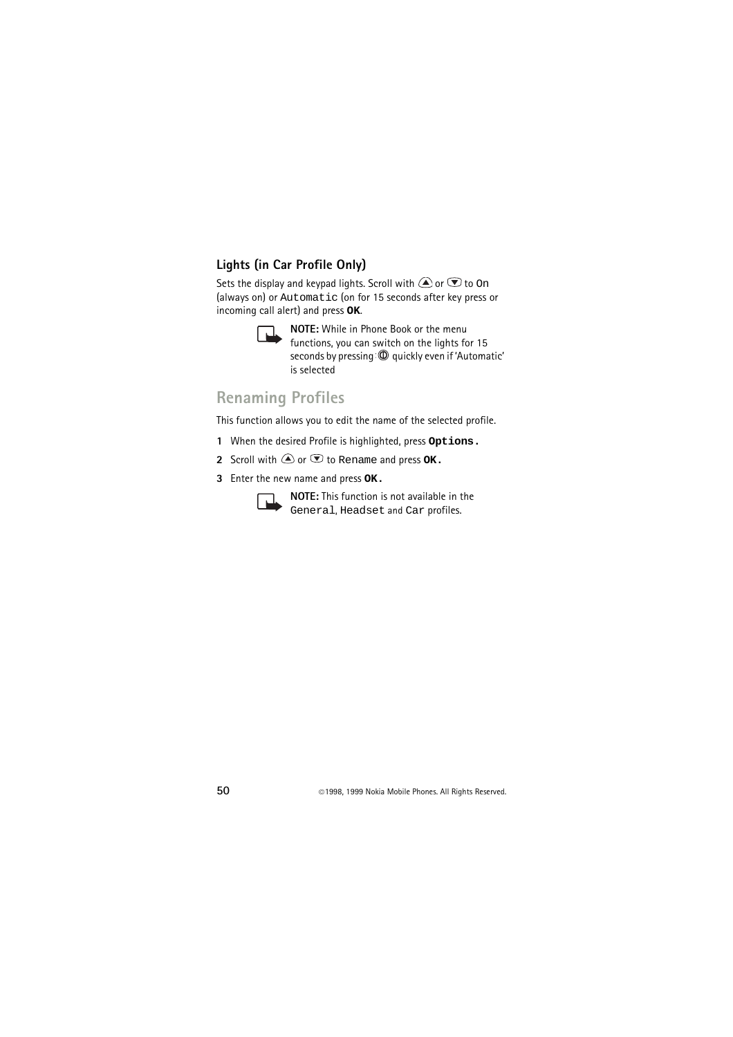#### **Lights (in Car Profile Only)**

Sets the display and keypad lights. Scroll with  $\bigcirc$  or  $\bigcirc$  to  $\circ$ n (always on) or Automatic (on for 15 seconds after key press or incoming call alert) and press **OK**.



**NOTE:** While in Phone Book or the menu functions, you can switch on the lights for 15 seconds by pressing  $\mathbb O$  quickly even if 'Automatic' is selected

## **Renaming Profiles**

This function allows you to edit the name of the selected profile.

- **1** When the desired Profile is highlighted, press **Options.**
- **2** Scroll with  $\textcircled{2}$  or  $\textcircled{3}$  to Rename and press OK.
- **3** Enter the new name and press **OK.**



**NOTE:** This function is not available in the General, Headset and Car profiles.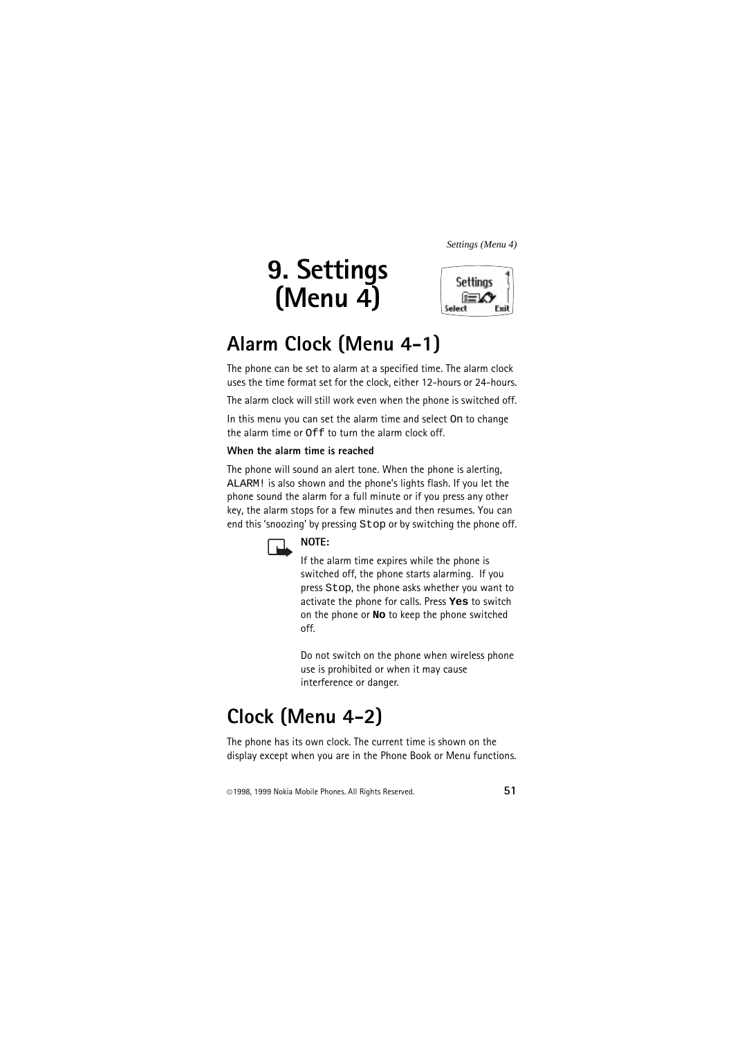# **9. Settings (Menu 4)**



# **Alarm Clock (Menu 4-1)**

The phone can be set to alarm at a specified time. The alarm clock uses the time format set for the clock, either 12-hours or 24-hours.

The alarm clock will still work even when the phone is switched off.

In this menu you can set the alarm time and select On to change the alarm time or  $\bigcap$  f to turn the alarm clock off.

#### **When the alarm time is reached**

The phone will sound an alert tone. When the phone is alerting, ALARM! is also shown and the phone's lights flash. If you let the phone sound the alarm for a full minute or if you press any other key, the alarm stops for a few minutes and then resumes. You can end this 'snoozing' by pressing Stop or by switching the phone off.



#### **NOTE:**

If the alarm time expires while the phone is switched off, the phone starts alarming. If you press Stop, the phone asks whether you want to activate the phone for calls. Press **Yes** to switch on the phone or **No** to keep the phone switched off.

Do not switch on the phone when wireless phone use is prohibited or when it may cause interference or danger.

# **Clock (Menu 4-2)**

The phone has its own clock. The current time is shown on the display except when you are in the Phone Book or Menu functions.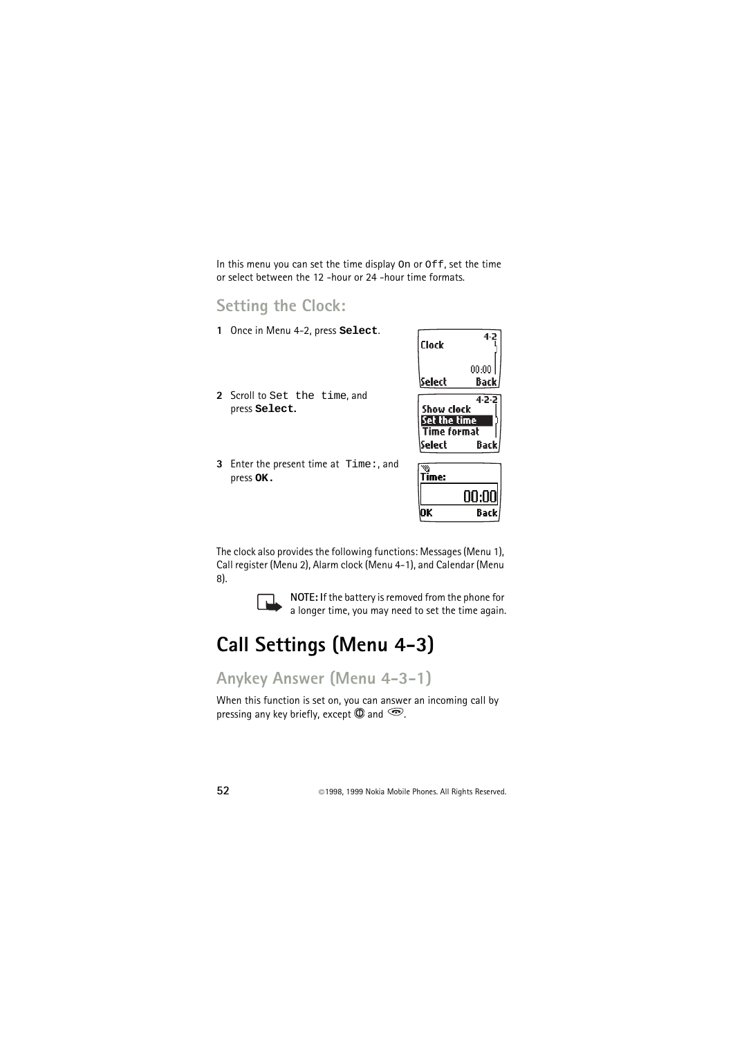In this menu you can set the time display On or Off, set the time or select between the 12 -hour or 24 -hour time formats.

#### **Setting the Clock:**

- **1** Once in Menu 4-2, press **Select**.
- **2** Scroll to Set the time, and press **Select.**
- **3** Enter the present time at Time:, and press **OK.**

| Clock    | 4-2   |
|----------|-------|
|          | 00:00 |
| \Select  | Back. |
| mw rlark | 4-2-2 |

|                    | ----  |
|--------------------|-------|
| Show clock         |       |
| Set the time       |       |
| <b>Time format</b> |       |
| lSelect            | Backl |

| me: |      |
|-----|------|
|     | יי   |
|     | Back |

The clock also provides the following functions: Messages (Menu 1), Call register (Menu 2), Alarm clock (Menu 4-1), and Calendar (Menu 8).



**NOTE:** If the battery is removed from the phone for a longer time, you may need to set the time again.

# **Call Settings (Menu 4-3)**

## **Anykey Answer (Menu 4-3-1)**

When this function is set on, you can answer an incoming call by pressing any key briefly, except  $\mathbb O$  and  $\mathbb C$ .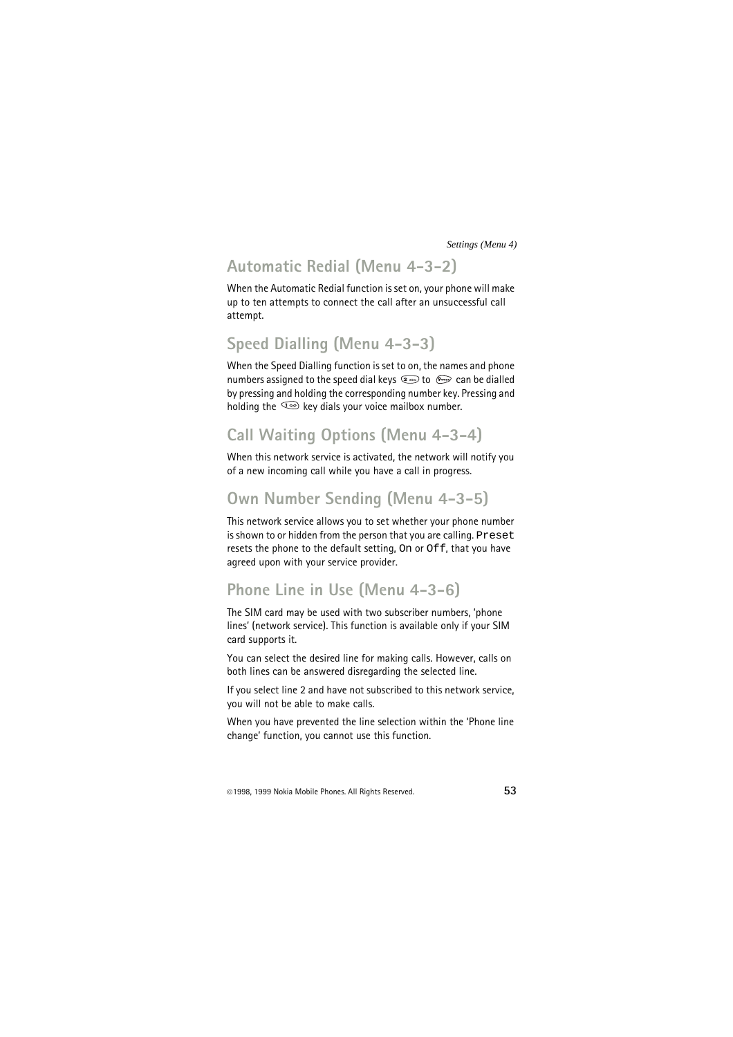## **Automatic Redial (Menu 4-3-2)**

When the Automatic Redial function is set on, your phone will make up to ten attempts to connect the call after an unsuccessful call attempt.

## **Speed Dialling (Menu 4-3-3)**

When the Speed Dialling function is set to on, the names and phone numbers assigned to the speed dial keys  $\circledast$  to  $\circledast$  can be dialled by pressing and holding the corresponding number key. Pressing and holding the  $\sqrt{4}$  key dials your voice mailbox number.

## **Call Waiting Options (Menu 4-3-4)**

When this network service is activated, the network will notify you of a new incoming call while you have a call in progress.

## **Own Number Sending (Menu 4-3-5)**

This network service allows you to set whether your phone number is shown to or hidden from the person that you are calling. Preset resets the phone to the default setting, On or Off, that you have agreed upon with your service provider.

#### **Phone Line in Use (Menu 4-3-6)**

The SIM card may be used with two subscriber numbers, 'phone lines' (network service). This function is available only if your SIM card supports it.

You can select the desired line for making calls. However, calls on both lines can be answered disregarding the selected line.

If you select line 2 and have not subscribed to this network service, you will not be able to make calls.

When you have prevented the line selection within the 'Phone line change' function, you cannot use this function.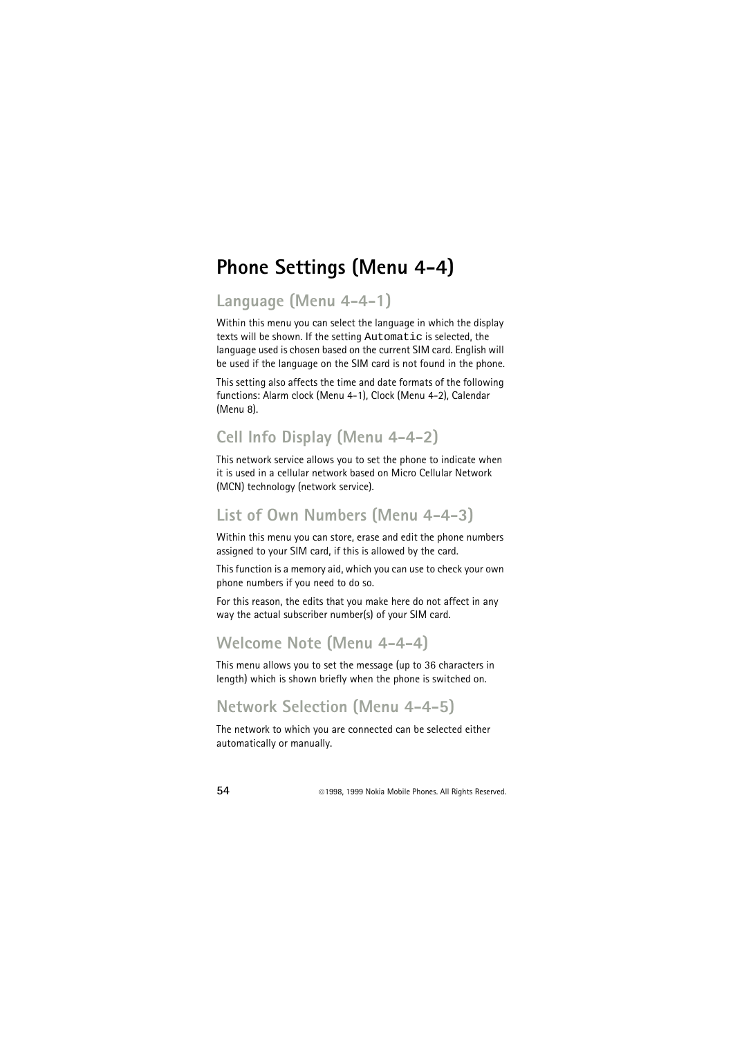## **Phone Settings (Menu 4-4)**

## **Language (Menu 4-4-1)**

Within this menu you can select the language in which the display texts will be shown. If the setting Automatic is selected, the language used is chosen based on the current SIM card. English will be used if the language on the SIM card is not found in the phone.

This setting also affects the time and date formats of the following functions: Alarm clock (Menu 4-1), Clock (Menu 4-2), Calendar (Menu 8).

## **Cell Info Display (Menu 4-4-2)**

This network service allows you to set the phone to indicate when it is used in a cellular network based on Micro Cellular Network (MCN) technology (network service).

#### **List of Own Numbers (Menu 4-4-3)**

Within this menu you can store, erase and edit the phone numbers assigned to your SIM card, if this is allowed by the card.

This function is a memory aid, which you can use to check your own phone numbers if you need to do so.

For this reason, the edits that you make here do not affect in any way the actual subscriber number(s) of your SIM card.

## **Welcome Note (Menu 4-4-4)**

This menu allows you to set the message (up to 36 characters in length) which is shown briefly when the phone is switched on.

### **Network Selection (Menu 4-4-5)**

The network to which you are connected can be selected either automatically or manually.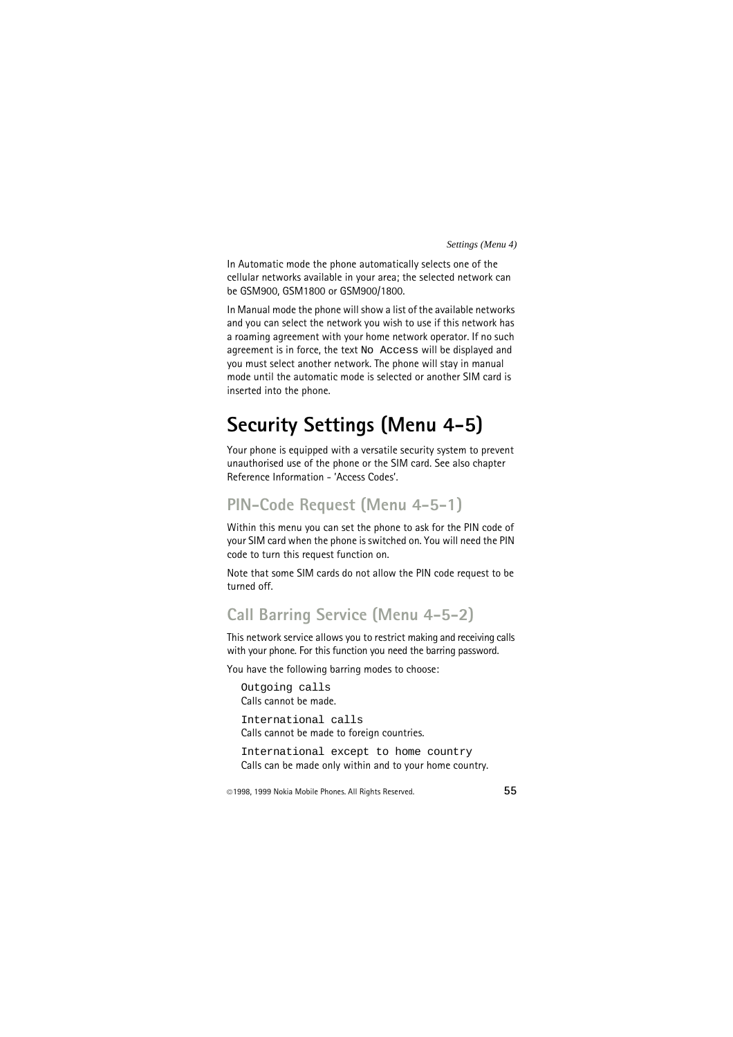In Automatic mode the phone automatically selects one of the cellular networks available in your area; the selected network can be GSM900, GSM1800 or GSM900/1800.

In Manual mode the phone will show a list of the available networks and you can select the network you wish to use if this network has a roaming agreement with your home network operator. If no such agreement is in force, the text No Access will be displayed and you must select another network. The phone will stay in manual mode until the automatic mode is selected or another SIM card is inserted into the phone.

# **Security Settings (Menu 4-5)**

Your phone is equipped with a versatile security system to prevent unauthorised use of the phone or the SIM card. See also chapter Reference Information - 'Access Codes'.

### **PIN-Code Request (Menu 4-5-1)**

Within this menu you can set the phone to ask for the PIN code of your SIM card when the phone is switched on. You will need the PIN code to turn this request function on.

Note that some SIM cards do not allow the PIN code request to be turned off.

#### **Call Barring Service (Menu 4-5-2)**

This network service allows you to restrict making and receiving calls with your phone. For this function you need the barring password.

You have the following barring modes to choose:

```
Outgoing calls
Calls cannot be made.
International calls
Calls cannot be made to foreign countries.
International except to home country
Calls can be made only within and to your home country.
```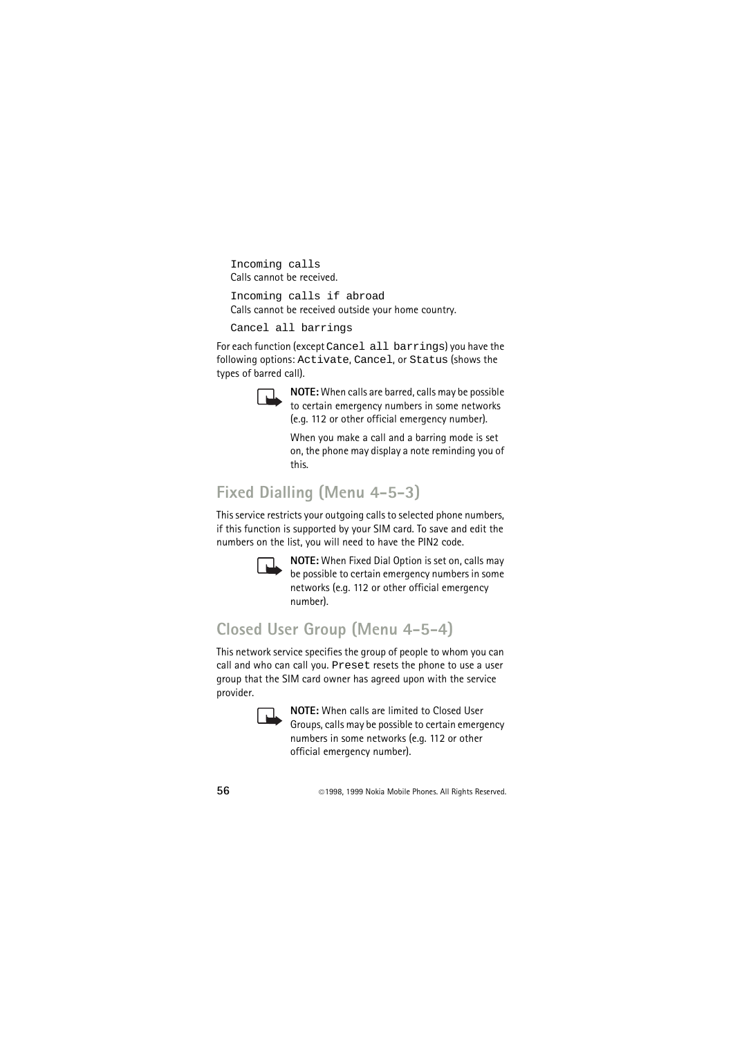Incoming calls Calls cannot be received.

```
Incoming calls if abroad
Calls cannot be received outside your home country.
```
Cancel all barrings

For each function (except Cancel all barrings) you have the following options: Activate, Cancel, or Status (shows the types of barred call).



**NOTE:** When calls are barred, calls may be possible to certain emergency numbers in some networks (e.g. 112 or other official emergency number).

When you make a call and a barring mode is set on, the phone may display a note reminding you of this.

## **Fixed Dialling (Menu 4-5-3)**

This service restricts your outgoing calls to selected phone numbers, if this function is supported by your SIM card. To save and edit the numbers on the list, you will need to have the PIN2 code.



**NOTE:** When Fixed Dial Option is set on, calls may be possible to certain emergency numbers in some networks (e.g. 112 or other official emergency number).

## **Closed User Group (Menu 4-5-4)**

This network service specifies the group of people to whom you can call and who can call you. Preset resets the phone to use a user group that the SIM card owner has agreed upon with the service provider.



**NOTE:** When calls are limited to Closed User Groups, calls may be possible to certain emergency numbers in some networks (e.g. 112 or other official emergency number).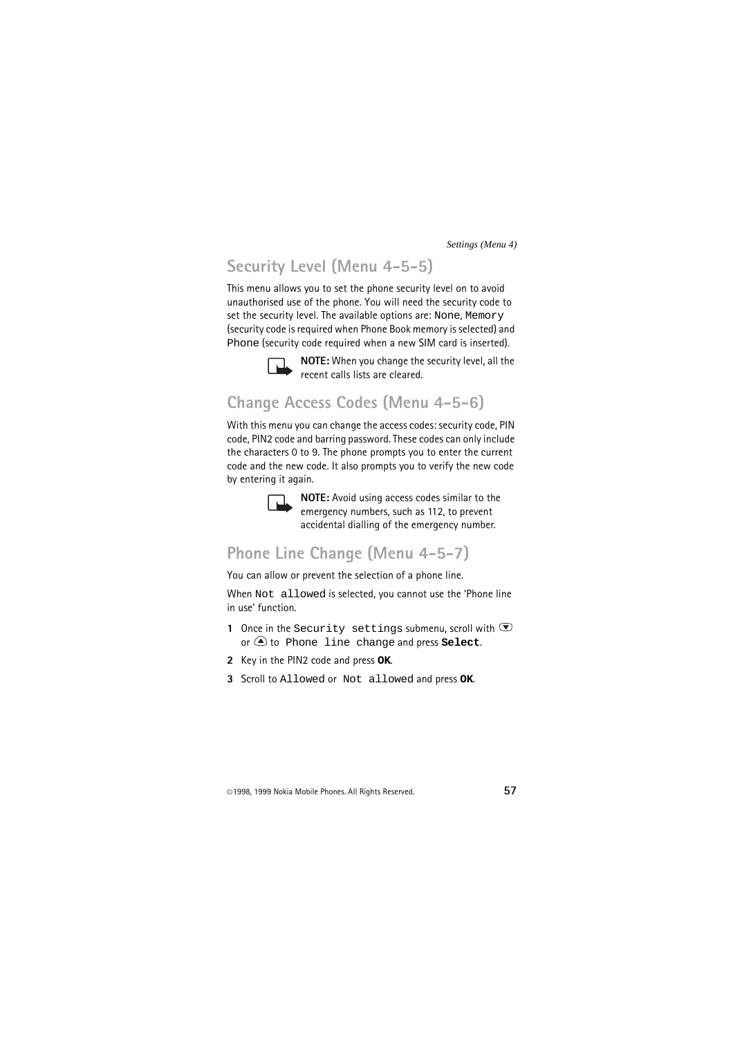## **Security Level (Menu 4-5-5)**

This menu allows you to set the phone security level on to avoid unauthorised use of the phone. You will need the security code to set the security level. The available options are: None, Memory (security code is required when Phone Book memory is selected) and Phone (security code required when a new SIM card is inserted).



**NOTE:** When you change the security level, all the recent calls lists are cleared.

### **Change Access Codes (Menu 4-5-6)**

With this menu you can change the access codes: security code, PIN code, PIN2 code and barring password. These codes can only include the characters 0 to 9. The phone prompts you to enter the current code and the new code. It also prompts you to verify the new code by entering it again.



**NOTE:** Avoid using access codes similar to the emergency numbers, such as 112, to prevent accidental dialling of the emergency number.

### **Phone Line Change (Menu 4-5-7)**

You can allow or prevent the selection of a phone line.

When Not allowed is selected, you cannot use the 'Phone line in use' function.

- 1 Once in the Security settings submenu, scroll with  $\odot$ or to Phone line change and press **Select**.
- **2** Key in the PIN2 code and press **OK**.
- **3** Scroll to Allowed or Not allowed and press **OK**.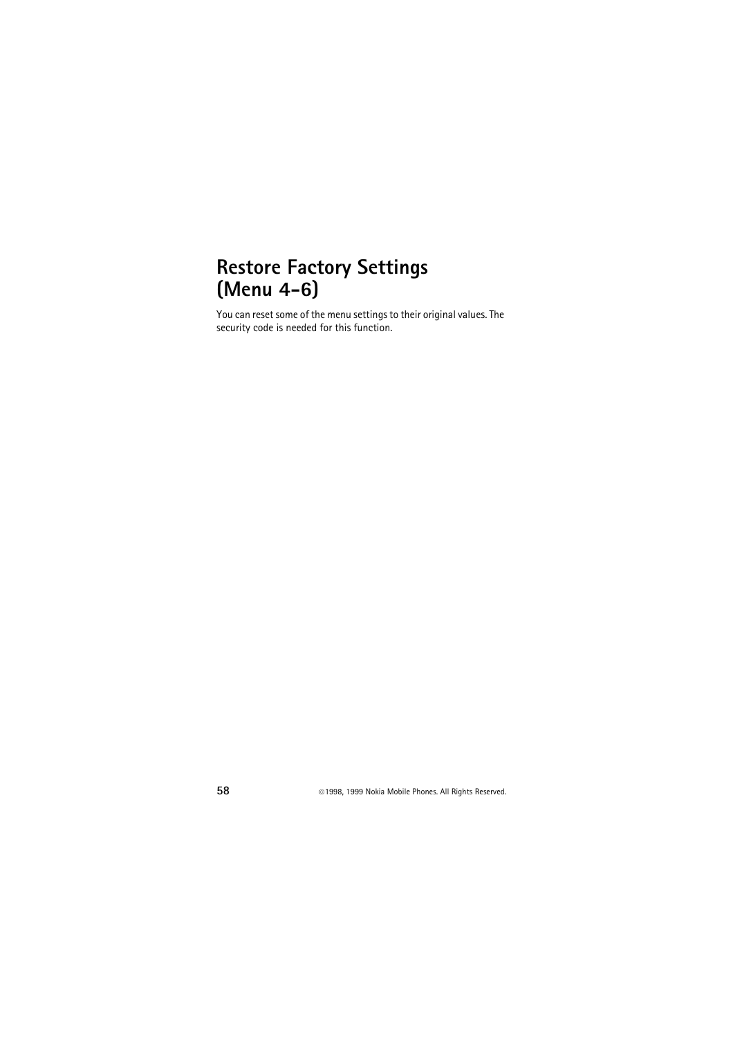## **Restore Factory Settings (Menu 4-6)**

You can reset some of the menu settings to their original values. The security code is needed for this function.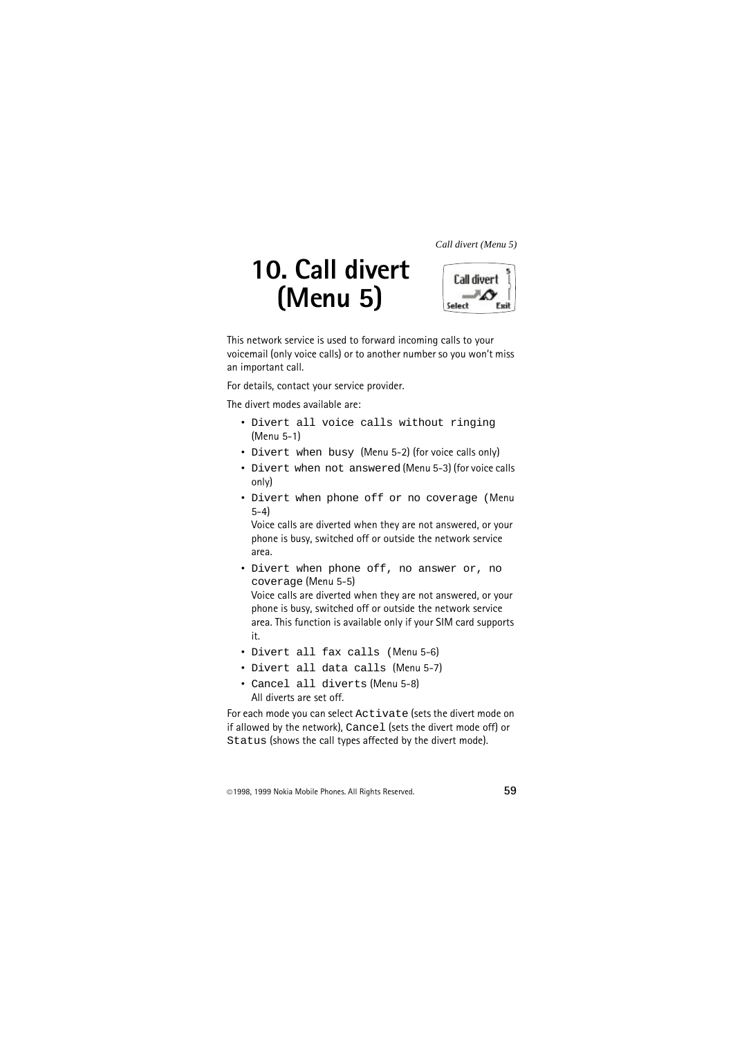# **10. Call divert (Menu 5)**



This network service is used to forward incoming calls to your voicemail (only voice calls) or to another number so you won't miss an important call.

For details, contact your service provider.

The divert modes available are:

- Divert all voice calls without ringing (Menu 5-1)
- Divert when busy (Menu 5-2) (for voice calls only)
- Divert when not answered (Menu 5-3) (for voice calls only)
- Divert when phone off or no coverage (Menu 5-4)

Voice calls are diverted when they are not answered, or your phone is busy, switched off or outside the network service area.

• Divert when phone off, no answer or, no coverage (Menu 5-5)

Voice calls are diverted when they are not answered, or your phone is busy, switched off or outside the network service area. This function is available only if your SIM card supports it.

- Divert all fax calls (Menu 5-6)
- Divert all data calls (Menu 5-7)
- Cancel all diverts (Menu 5-8) All diverts are set off.

For each mode you can select Activate (sets the divert mode on if allowed by the network), Cancel (sets the divert mode off) or Status (shows the call types affected by the divert mode).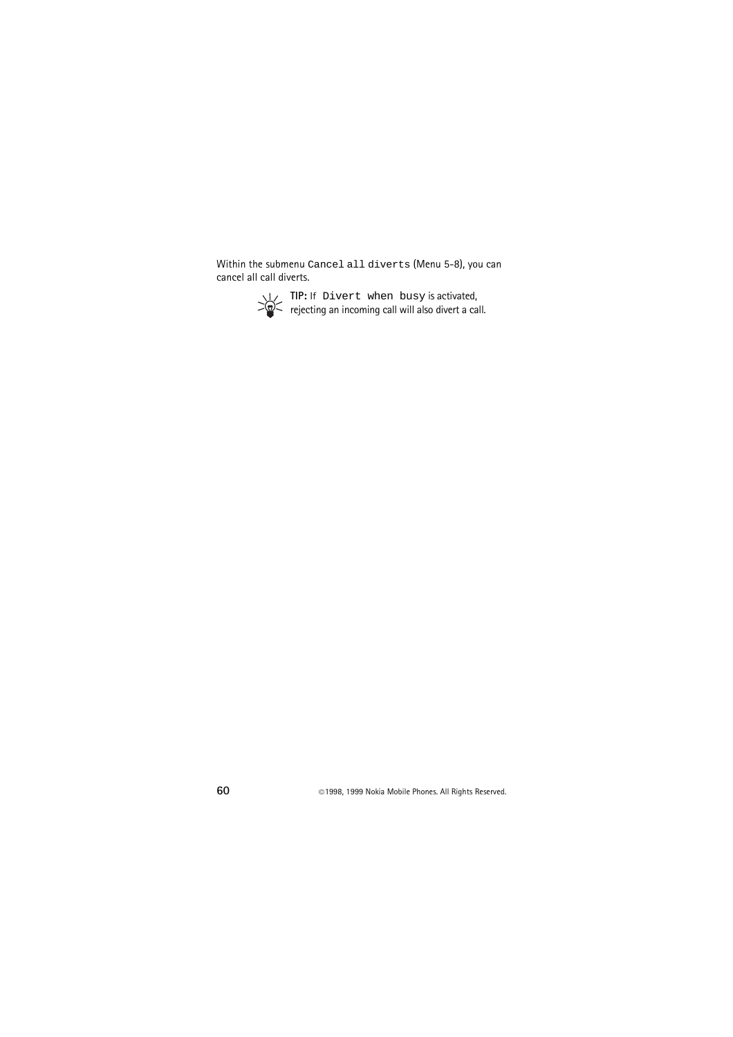Within the submenu Cancel all diverts (Menu 5-8), you can cancel all call diverts.



**TIP:** If Divert when busy is activated, rejecting an incoming call will also divert a call.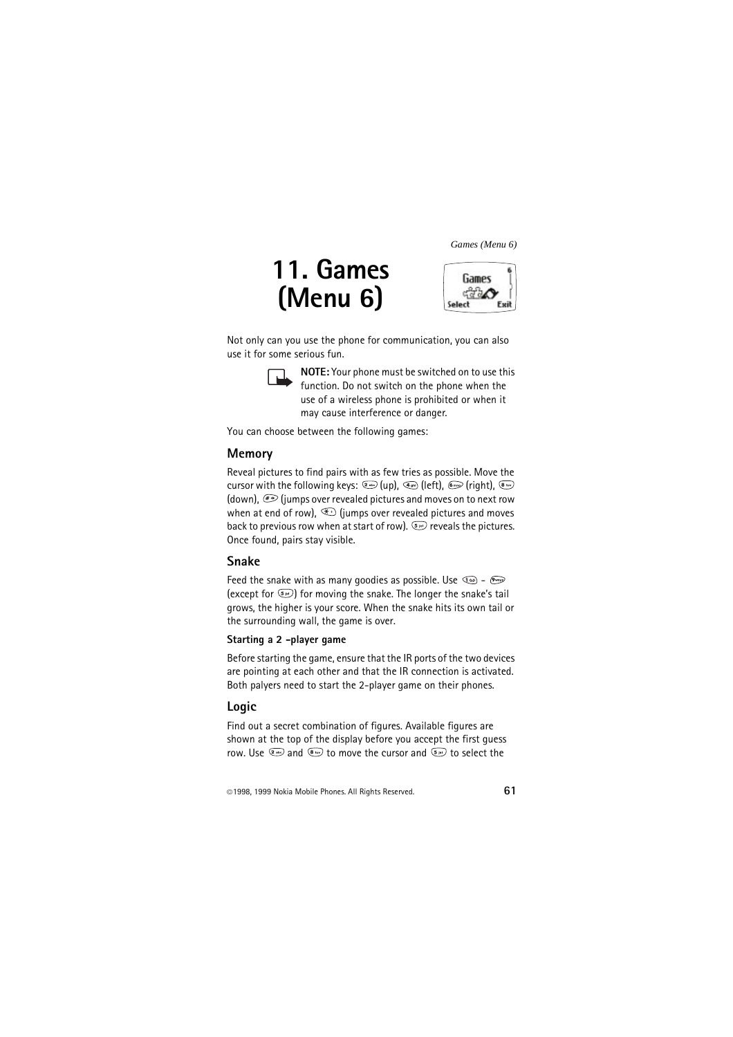# **11. Games (Menu 6)**



Not only can you use the phone for communication, you can also use it for some serious fun.



**NOTE:** Your phone must be switched on to use this function. Do not switch on the phone when the use of a wireless phone is prohibited or when it may cause interference or danger.

You can choose between the following games:

#### **Memory**

Reveal pictures to find pairs with as few tries as possible. Move the cursor with the following keys:  $\circledast$  (up),  $\circledast$  (left),  $\circledast$  (right),  $\circledast$ (down),  $\mathcal{F}$  (jumps over revealed pictures and moves on to next row when at end of row),  $\circledast$  (jumps over revealed pictures and moves back to previous row when at start of row).  $\mathbb{S}^n$  reveals the pictures. Once found, pairs stay visible.

#### **Snake**

Feed the snake with as many goodies as possible. Use  $\circledcirc$  -  $\circledast$ (except for  $\overline{\mathbb{S}^n}$ ) for moving the snake. The longer the snake's tail grows, the higher is your score. When the snake hits its own tail or the surrounding wall, the game is over.

#### **Starting a 2 -player game**

Before starting the game, ensure that the IR ports of the two devices are pointing at each other and that the IR connection is activated. Both palyers need to start the 2-player game on their phones.

#### **Logic**

Find out a secret combination of figures. Available figures are shown at the top of the display before you accept the first guess row. Use  $\left(2\right)$  and  $\left(8\right)$  to move the cursor and  $\left(5\right)$  to select the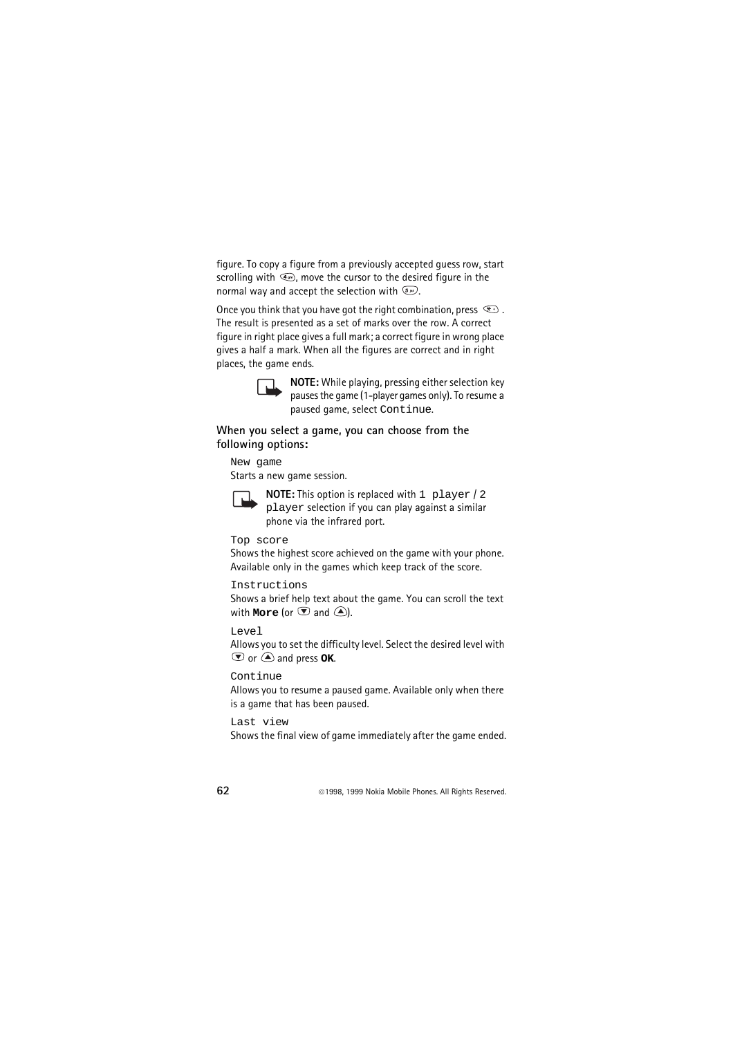figure. To copy a figure from a previously accepted guess row, start scrolling with  $\mathbb{Q}$ , move the cursor to the desired figure in the normal way and accept the selection with  $\mathbb{S}^{\mathbb{N}}$ .

Once you think that you have got the right combination, press  $\circledast$ . The result is presented as a set of marks over the row. A correct figure in right place gives a full mark; a correct figure in wrong place gives a half a mark. When all the figures are correct and in right places, the game ends.



**NOTE:** While playing, pressing either selection key pauses the game (1-player games only). To resume a paused game, select Continue.

#### **When you select a game, you can choose from the following options:**

New game

Starts a new game session.



**NOTE:** This option is replaced with 1 player / 2 player selection if you can play against a similar phone via the infrared port.

Top score

Shows the highest score achieved on the game with your phone. Available only in the games which keep track of the score.

Instructions

Shows a brief help text about the game. You can scroll the text with **More** (or  $\heartsuit$  and  $\triangle$ ).

Level

Allows you to set the difficulty level. Select the desired level with  $\bullet$  or  $\bullet$  and press **OK**.

Continue

Allows you to resume a paused game. Available only when there is a game that has been paused.

Last view

Shows the final view of game immediately after the game ended.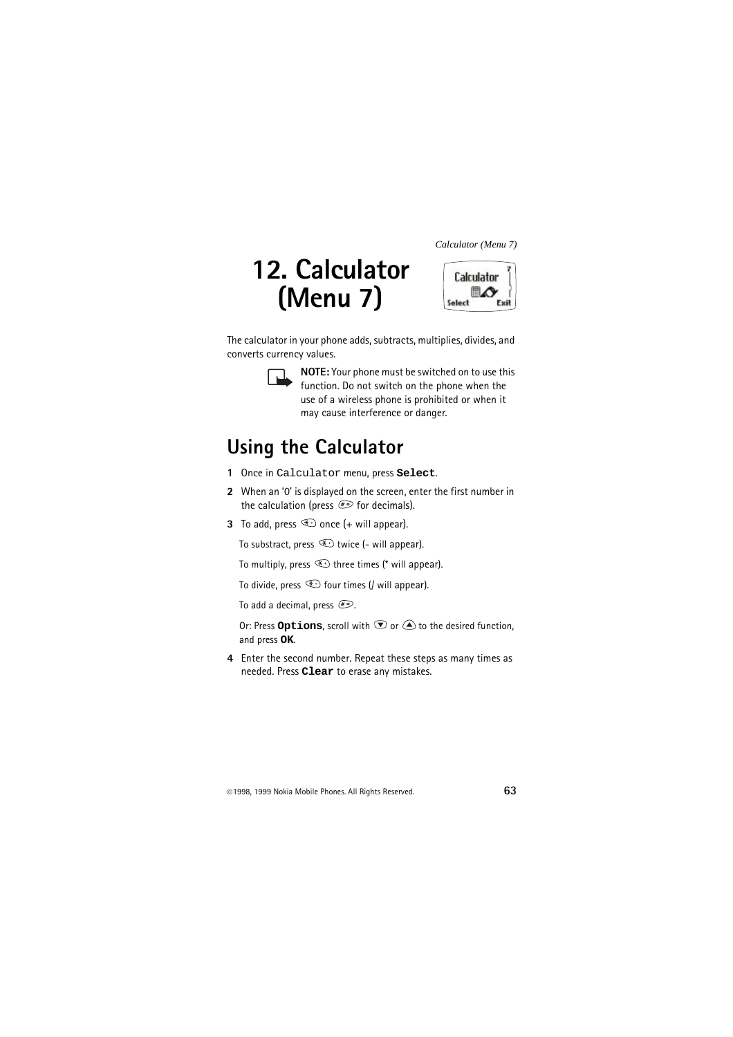# **12. Calculator (Menu 7)**



The calculator in your phone adds, subtracts, multiplies, divides, and converts currency values.



**NOTE:** Your phone must be switched on to use this function. Do not switch on the phone when the use of a wireless phone is prohibited or when it may cause interference or danger.

## **Using the Calculator**

- **1** Once in Calculator menu, press **Select**.
- **2** When an '0' is displayed on the screen, enter the first number in the calculation (press  $\mathscr{F}$  for decimals).
- **3** To add, press  $\textcircled{\textcircled{\textcirc}}$  once (+ will appear).

To substract, press  $\bigoplus$  twice (- will appear).

To multiply, press  $\bigoplus$  three times (\* will appear).

To divide, press  $\circledast$  four times (/ will appear).

To add a decimal, press  $\mathcal{F}$ .

Or: Press **Options**, scroll with  $\heartsuit$  or  $\triangle$  to the desired function, and press **OK**.

**4** Enter the second number. Repeat these steps as many times as needed. Press **Clear** to erase any mistakes.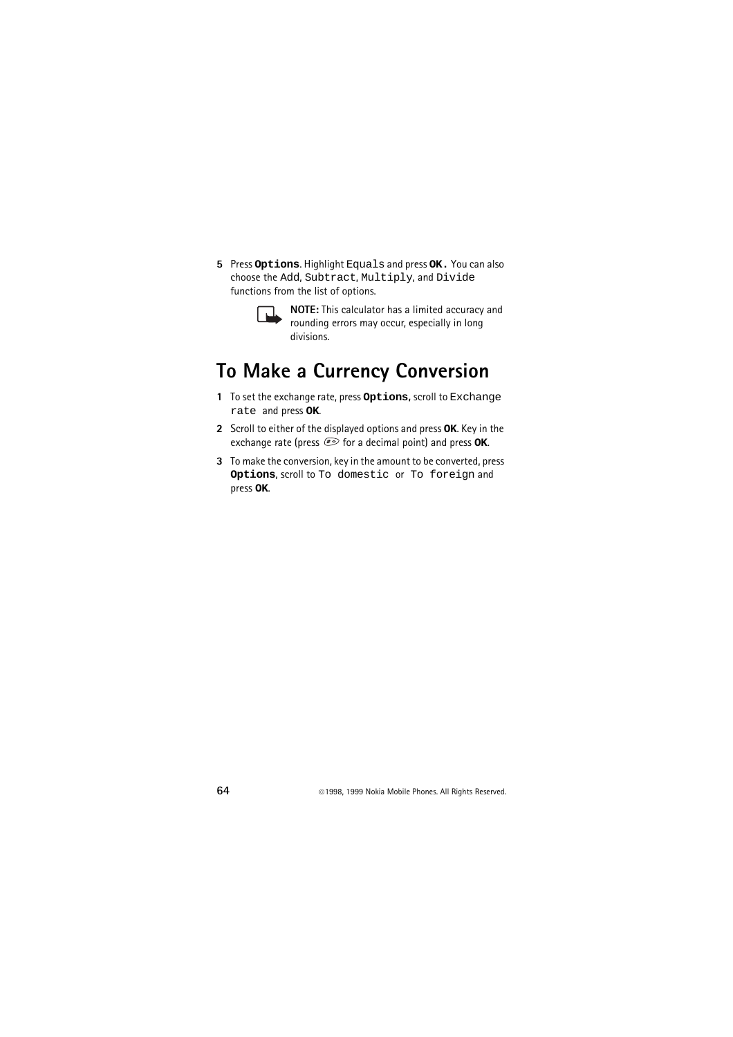**5** Press **Options**. Highlight Equals and press **OK.** You can also choose the Add, Subtract, Multiply, and Divide functions from the list of options.



**NOTE:** This calculator has a limited accuracy and rounding errors may occur, especially in long divisions.

## **To Make a Currency Conversion**

- **1** To set the exchange rate, press **Options,** scroll to Exchange rate and press **OK**.
- **2** Scroll to either of the displayed options and press **OK**. Key in the exchange rate (press  $\widehat{f}$  for a decimal point) and press **OK**.
- **3** To make the conversion, key in the amount to be converted, press **Options**, scroll to To domestic or To foreign and press **OK**.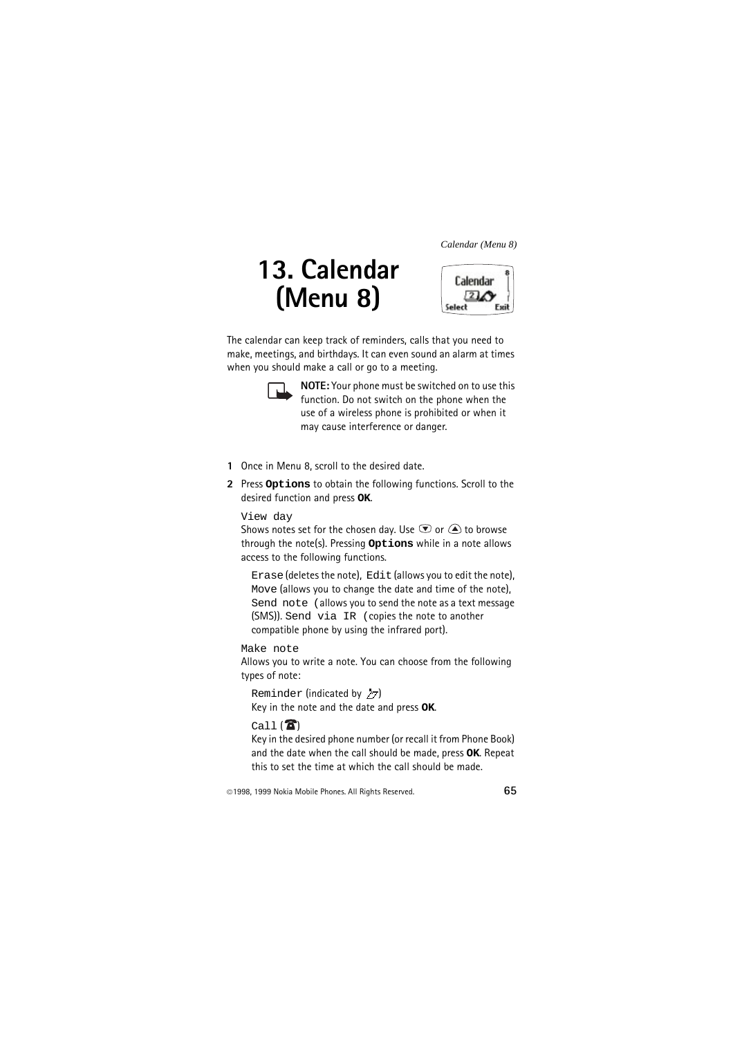# **13. Calendar (Menu 8)**



The calendar can keep track of reminders, calls that you need to make, meetings, and birthdays. It can even sound an alarm at times when you should make a call or go to a meeting.



**NOTE:** Your phone must be switched on to use this function. Do not switch on the phone when the use of a wireless phone is prohibited or when it may cause interference or danger.

- **1** Once in Menu 8, scroll to the desired date.
- **2** Press **Options** to obtain the following functions. Scroll to the desired function and press **OK**.

View day

Shows notes set for the chosen day. Use  $\overline{\mathcal{D}}$  or  $\widehat{\triangle}$  to browse through the note(s). Pressing **Options** while in a note allows access to the following functions.

Erase (deletes the note), Edit (allows you to edit the note), Move (allows you to change the date and time of the note), Send note (allows you to send the note as a text message (SMS)). Send via IR (copies the note to another compatible phone by using the infrared port).

Make note

Allows you to write a note. You can choose from the following types of note:

Reminder (indicated by  $Z7$ ) Key in the note and the date and press **OK**.

#### $Call$  $($

Key in the desired phone number (or recall it from Phone Book) and the date when the call should be made, press **OK**. Repeat this to set the time at which the call should be made.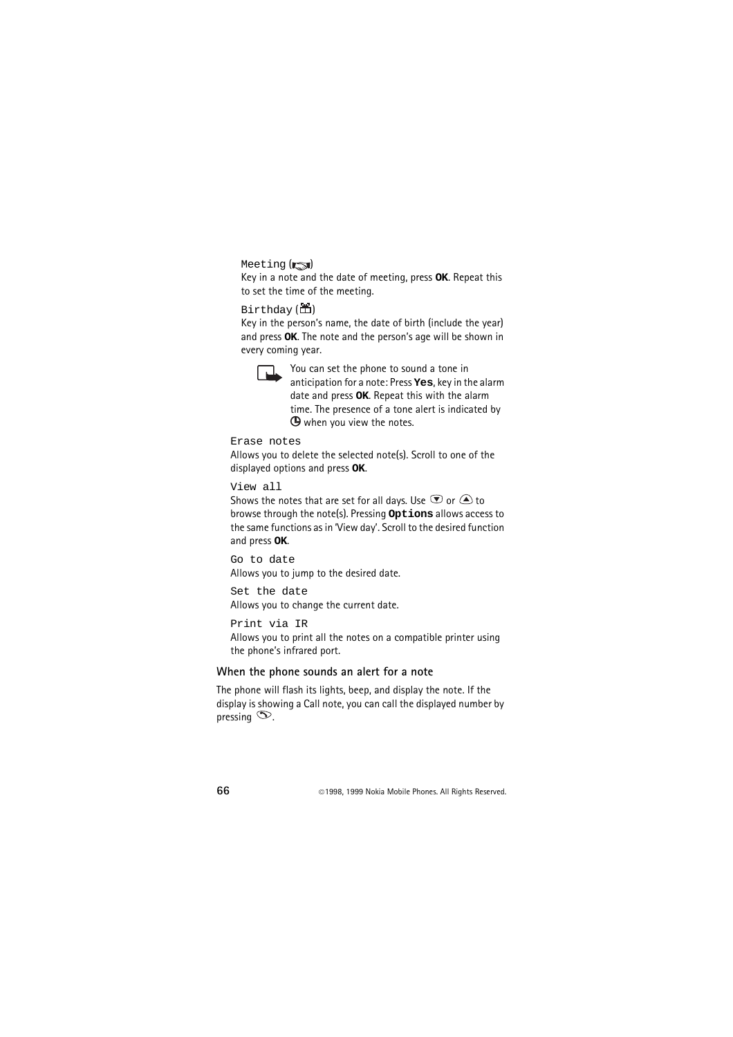Meeting (**rad**)

Key in a note and the date of meeting, press **OK**. Repeat this to set the time of the meeting.

#### $Birth$ day  $(\mathbf{\tilde{m}})$

Key in the person's name, the date of birth (include the year) and press **OK**. The note and the person's age will be shown in every coming year.



You can set the phone to sound a tone in anticipation for a note: Press **Yes**, key in the alarm date and press **OK**. Repeat this with the alarm time. The presence of a tone alert is indicated by  $\Theta$  when you view the notes.

Erase notes

Allows you to delete the selected note(s). Scroll to one of the displayed options and press **OK**.

View all

Shows the notes that are set for all days. Use  $\circledast$  or  $\bigcircledast$  to browse through the note(s). Pressing **Options** allows access to the same functions as in 'View day'. Scroll to the desired function and press **OK**.

Go to date Allows you to jump to the desired date.

Set the date Allows you to change the current date.

Print via IR

Allows you to print all the notes on a compatible printer using the phone's infrared port.

#### **When the phone sounds an alert for a note**

The phone will flash its lights, beep, and display the note. If the display is showing a Call note, you can call the displayed number by pressing  $\infty$ .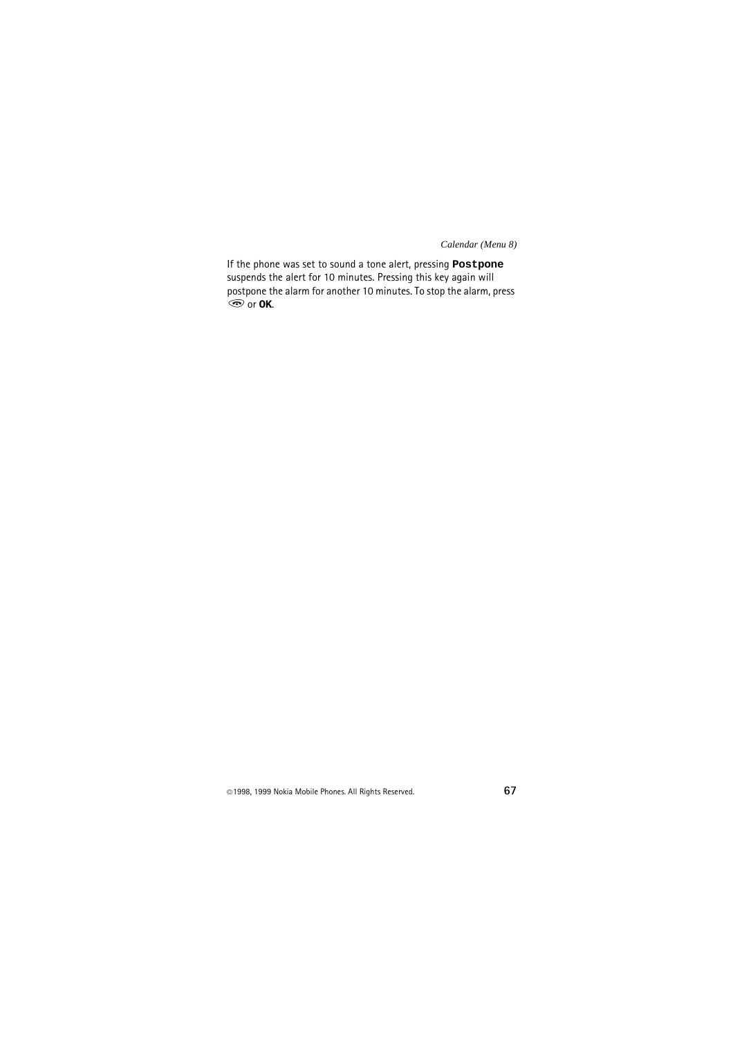If the phone was set to sound a tone alert, pressing **Postpone** suspends the alert for 10 minutes. Pressing this key again will postpone the alarm for another 10 minutes. To stop the alarm, press  $\odot$  or  $\circ$ **K**.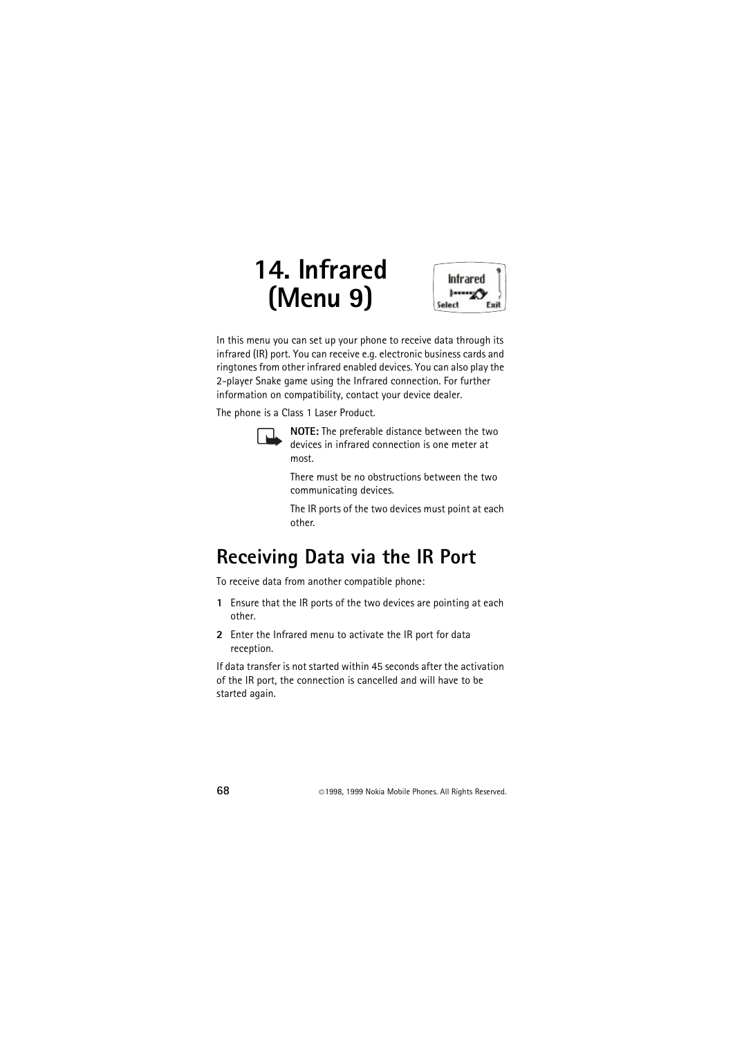# **14. Infrared (Menu 9)**



In this menu you can set up your phone to receive data through its infrared (IR) port. You can receive e.g. electronic business cards and ringtones from other infrared enabled devices. You can also play the 2-player Snake game using the Infrared connection. For further information on compatibility, contact your device dealer.

The phone is a Class 1 Laser Product.



**NOTE:** The preferable distance between the two devices in infrared connection is one meter at most.

There must be no obstructions between the two communicating devices.

The IR ports of the two devices must point at each other.

# **Receiving Data via the IR Port**

To receive data from another compatible phone:

- **1** Ensure that the IR ports of the two devices are pointing at each other.
- **2** Enter the Infrared menu to activate the IR port for data reception.

If data transfer is not started within 45 seconds after the activation of the IR port, the connection is cancelled and will have to be started again.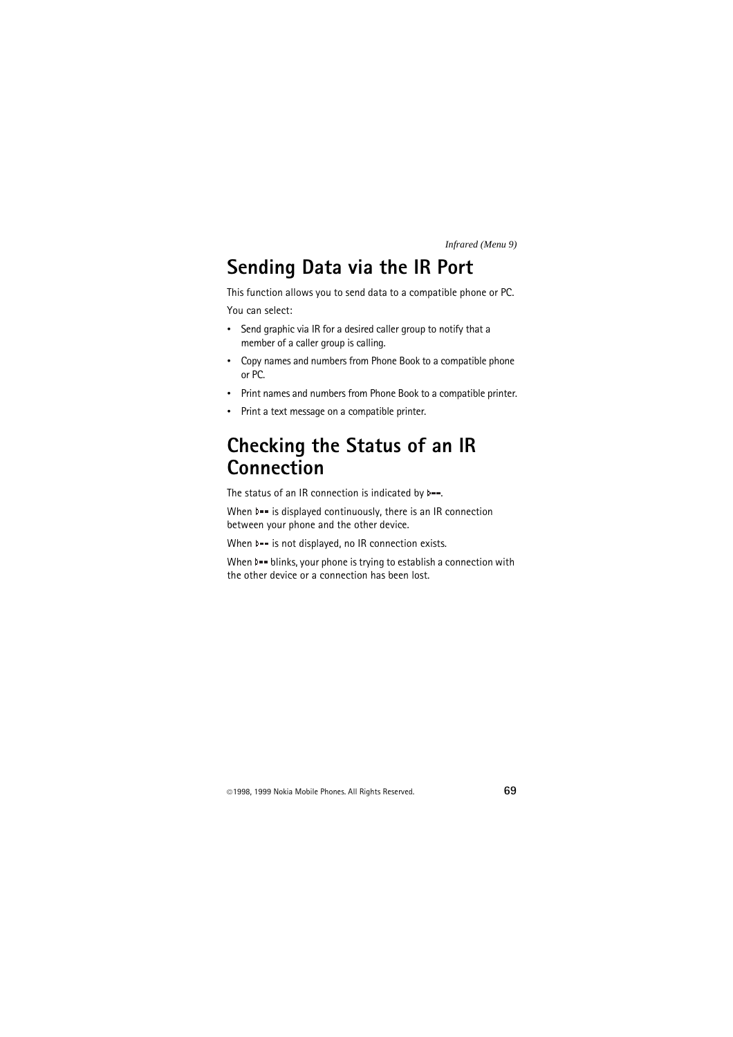## **Sending Data via the IR Port**

This function allows you to send data to a compatible phone or PC.

You can select:

- Send graphic via IR for a desired caller group to notify that a member of a caller group is calling.
- Copy names and numbers from Phone Book to a compatible phone or PC.
- Print names and numbers from Phone Book to a compatible printer.
- Print a text message on a compatible printer.

## **Checking the Status of an IR Connection**

The status of an IR connection is indicated by  $\blacktriangleright$  --.

When  $\triangleright$  = is displayed continuously, there is an IR connection between your phone and the other device.

When  $\mathbf{I}$  = is not displayed, no IR connection exists.

When  $\mathbf{I}$  = blinks, your phone is trying to establish a connection with the other device or a connection has been lost.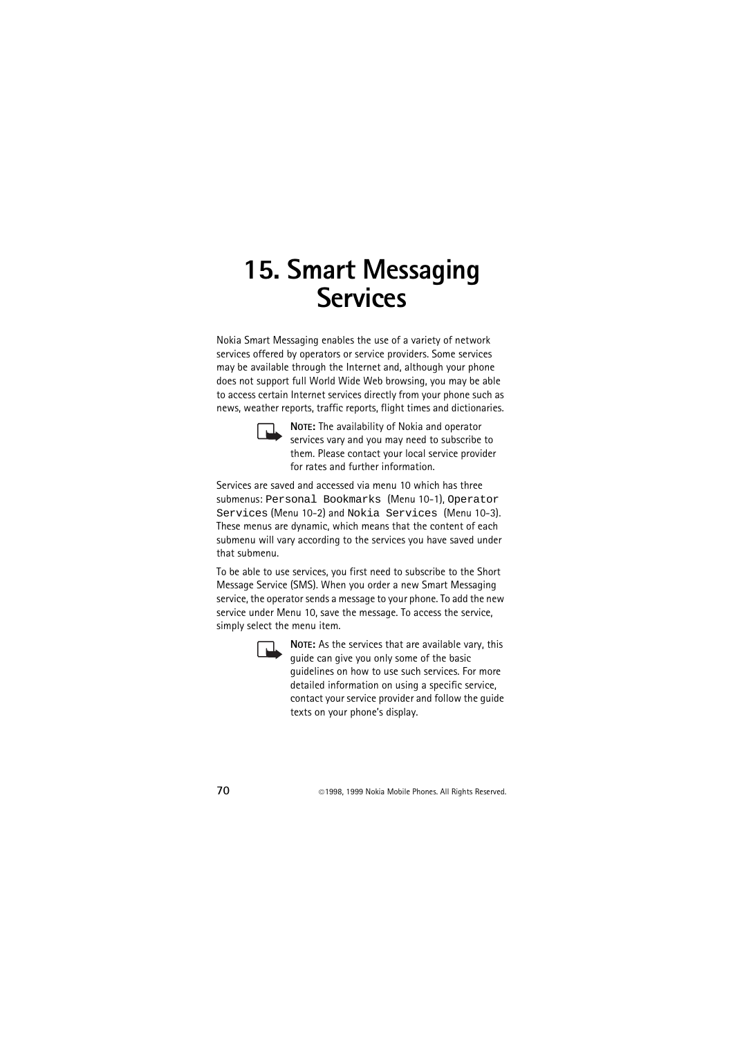# **15. Smart Messaging Services**

Nokia Smart Messaging enables the use of a variety of network services offered by operators or service providers. Some services may be available through the Internet and, although your phone does not support full World Wide Web browsing, you may be able to access certain Internet services directly from your phone such as news, weather reports, traffic reports, flight times and dictionaries.



**NOTE:** The availability of Nokia and operator services vary and you may need to subscribe to them. Please contact your local service provider for rates and further information.

Services are saved and accessed via menu 10 which has three submenus: Personal Bookmarks (Menu 10-1), Operator Services (Menu 10-2) and Nokia Services (Menu 10-3). These menus are dynamic, which means that the content of each submenu will vary according to the services you have saved under that submenu.

To be able to use services, you first need to subscribe to the Short Message Service (SMS). When you order a new Smart Messaging service, the operator sends a message to your phone. To add the new service under Menu 10, save the message. To access the service, simply select the menu item.



**NOTE:** As the services that are available vary, this guide can give you only some of the basic guidelines on how to use such services. For more detailed information on using a specific service, contact your service provider and follow the guide texts on your phone's display.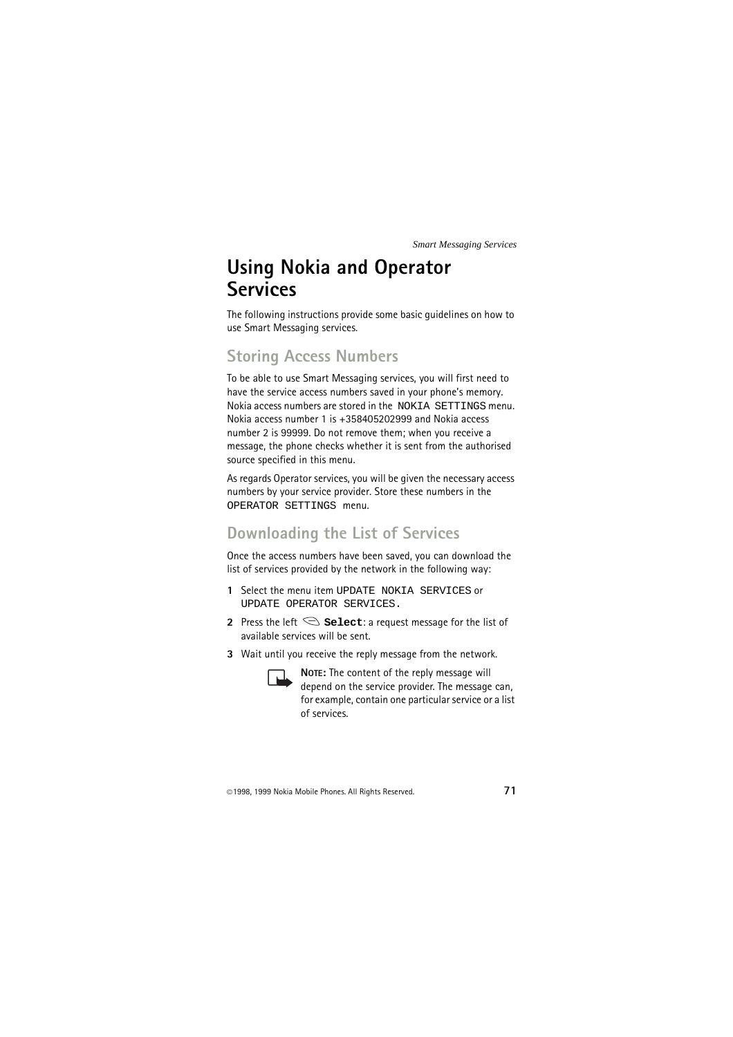## **Using Nokia and Operator Services**

The following instructions provide some basic guidelines on how to use Smart Messaging services.

## **Storing Access Numbers**

To be able to use Smart Messaging services, you will first need to have the service access numbers saved in your phone's memory. Nokia access numbers are stored in the NOKIA SETTINGS menu. Nokia access number 1 is +358405202999 and Nokia access number 2 is 99999. Do not remove them; when you receive a message, the phone checks whether it is sent from the authorised source specified in this menu.

As regards Operator services, you will be given the necessary access numbers by your service provider. Store these numbers in the OPERATOR SETTINGS menu.

### **Downloading the List of Services**

Once the access numbers have been saved, you can download the list of services provided by the network in the following way:

- 1 Select the menu item UPDATE NOKIA SERVICES or UPDATE OPERATOR SERVICES.
- **2** Press the left  $\mathcal{S}$  **Select**: a request message for the list of available services will be sent.
- **3** Wait until you receive the reply message from the network.



**NOTE:** The content of the reply message will depend on the service provider. The message can, for example, contain one particular service or a list of services.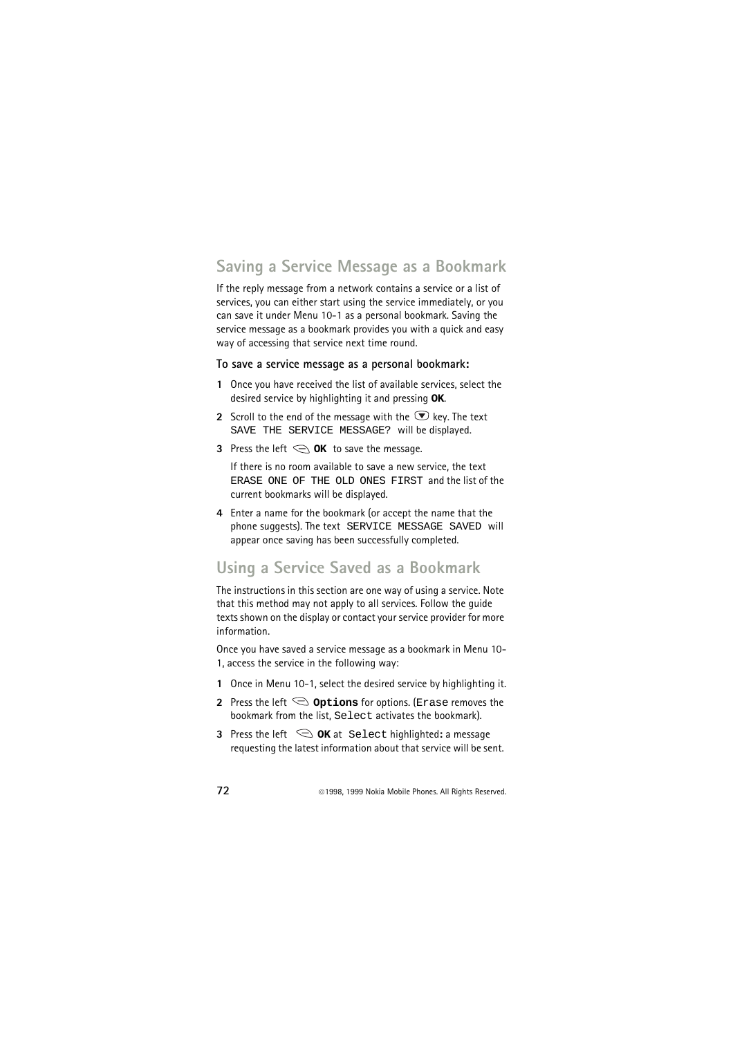### **Saving a Service Message as a Bookmark**

If the reply message from a network contains a service or a list of services, you can either start using the service immediately, or you can save it under Menu 10-1 as a personal bookmark. Saving the service message as a bookmark provides you with a quick and easy way of accessing that service next time round.

#### **To save a service message as a personal bookmark:**

- **1** Once you have received the list of available services, select the desired service by highlighting it and pressing **OK**.
- **2** Scroll to the end of the message with the  $\bullet$  key. The text SAVE THE SERVICE MESSAGE? will be displayed.
- **3** Press the left  $\bigodot$  **OK** to save the message.

If there is no room available to save a new service, the text ERASE ONE OF THE OLD ONES FIRST and the list of the current bookmarks will be displayed.

**4** Enter a name for the bookmark (or accept the name that the phone suggests). The text SERVICE MESSAGE SAVED will appear once saving has been successfully completed.

## **Using a Service Saved as a Bookmark**

The instructions in this section are one way of using a service. Note that this method may not apply to all services. Follow the guide texts shown on the display or contact your service provider for more information.

Once you have saved a service message as a bookmark in Menu 10- 1, access the service in the following way:

- **1** Once in Menu 10-1, select the desired service by highlighting it.
- **2** Press the left  $\bigcirc$  **Options** for options. (Exase removes the bookmark from the list, Select activates the bookmark).
- **3** Press the left  $\mathcal{D}$  **OK** at Select highlighted: a message requesting the latest information about that service will be sent.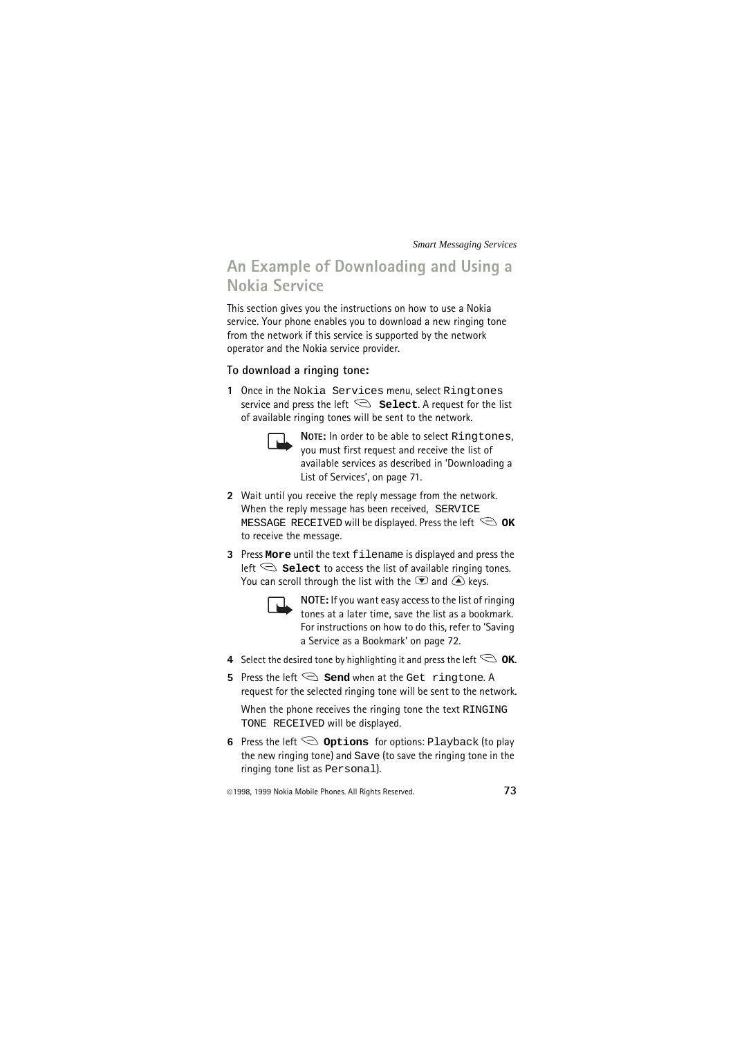### **An Example of Downloading and Using a Nokia Service**

This section gives you the instructions on how to use a Nokia service. Your phone enables you to download a new ringing tone from the network if this service is supported by the network operator and the Nokia service provider.

#### **To download a ringing tone:**

**1** Once in the Nokia Services menu, select Ringtones service and press the left  $\mathcal{S}$  **select**. A request for the list of available ringing tones will be sent to the network.



**NOTE:** In order to be able to select Ringtones, you must first request and receive the list of available services as described in 'Downloading a List of Services', on page 71.

- **2** Wait until you receive the reply message from the network. When the reply message has been received, SERVICE MESSAGE RECEIVED will be displayed. Press the left  $\heartsuit$  **OK** to receive the message.
- **3** Press **More** until the text filename is displayed and press the left  $\leq$  **Select** to access the list of available ringing tones. You can scroll through the list with the  $\bullet$  and  $\bullet$  keys.



**NOTE:** If you want easy access to the list of ringing tones at a later time, save the list as a bookmark. For instructions on how to do this, refer to 'Saving a Service as a Bookmark' on page 72.

- **4** Select the desired tone by highlighting it and press the left  $\bigcirc$  **OK**.
- **5** Press the left  $\mathcal{S}$  **Send** when at the Get ringtone. A request for the selected ringing tone will be sent to the network.

When the phone receives the ringing tone the text RINGING TONE RECEIVED will be displayed.

**6** Press the left  $\leq$  **Options** for options: Playback (to play the new ringing tone) and Save (to save the ringing tone in the ringing tone list as Personal).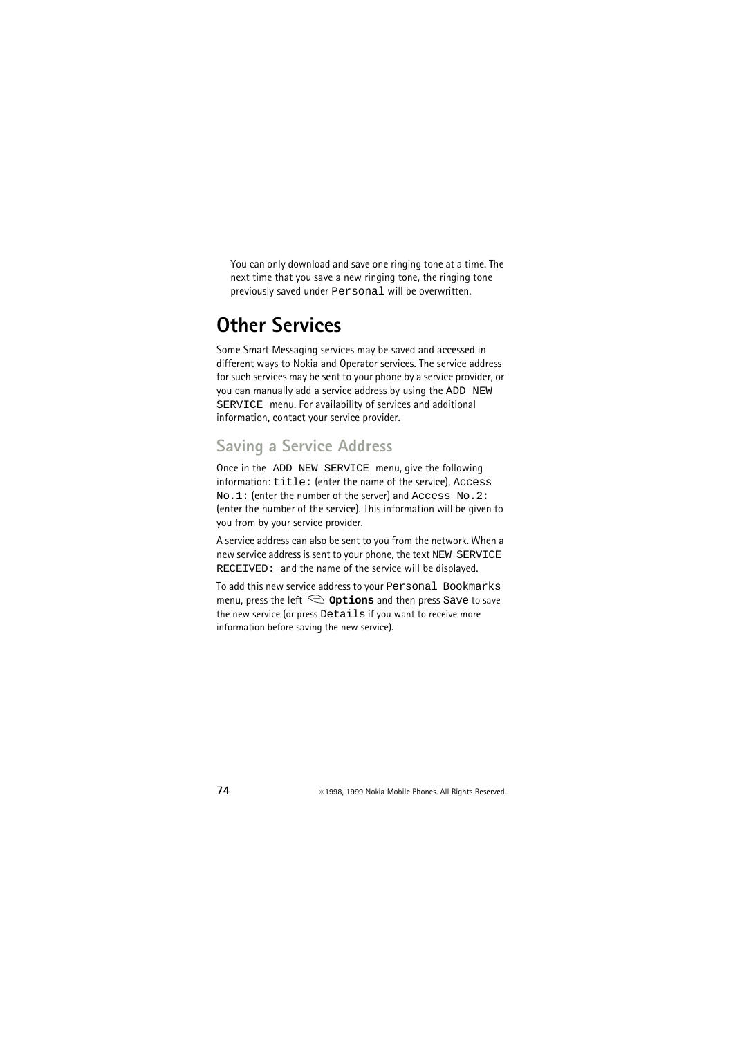You can only download and save one ringing tone at a time. The next time that you save a new ringing tone, the ringing tone previously saved under Personal will be overwritten.

# **Other Services**

Some Smart Messaging services may be saved and accessed in different ways to Nokia and Operator services. The service address for such services may be sent to your phone by a service provider, or you can manually add a service address by using the ADD NEW SERVICE menu. For availability of services and additional information, contact your service provider.

# **Saving a Service Address**

Once in the ADD NEW SERVICE menu, give the following information: title: (enter the name of the service), Access No.1: (enter the number of the server) and Access No.2: (enter the number of the service). This information will be given to you from by your service provider.

A service address can also be sent to you from the network. When a new service address is sent to your phone, the text NEW SERVICE RECEIVED: and the name of the service will be displayed.

To add this new service address to your Personal Bookmarks menu, press the left  $\mathbb{S}$  **Options** and then press Save to save the new service (or press Details if you want to receive more information before saving the new service).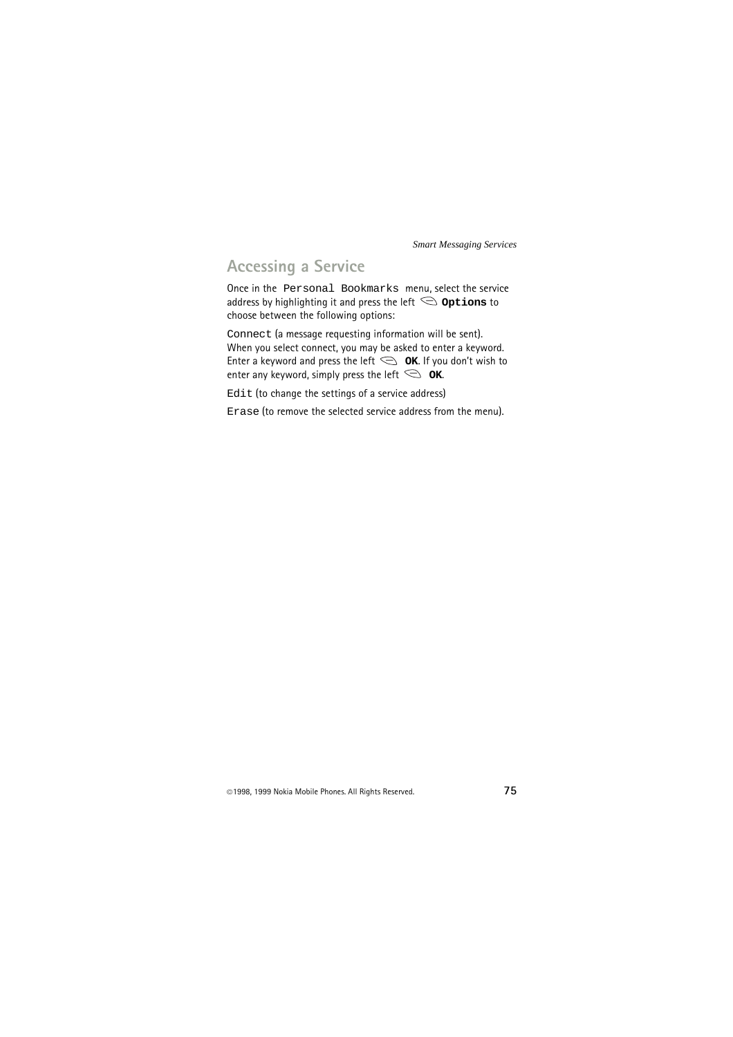### **Accessing a Service**

Once in the Personal Bookmarks menu, select the service address by highlighting it and press the left  $\leq$  **Options** to choose between the following options:

Connect (a message requesting information will be sent). When you select connect, you may be asked to enter a keyword. Enter a keyword and press the left  $\leq$  **OK**. If you don't wish to enter any keyword, simply press the left  $\leq \alpha$ **K**.

Edit (to change the settings of a service address)

Erase (to remove the selected service address from the menu).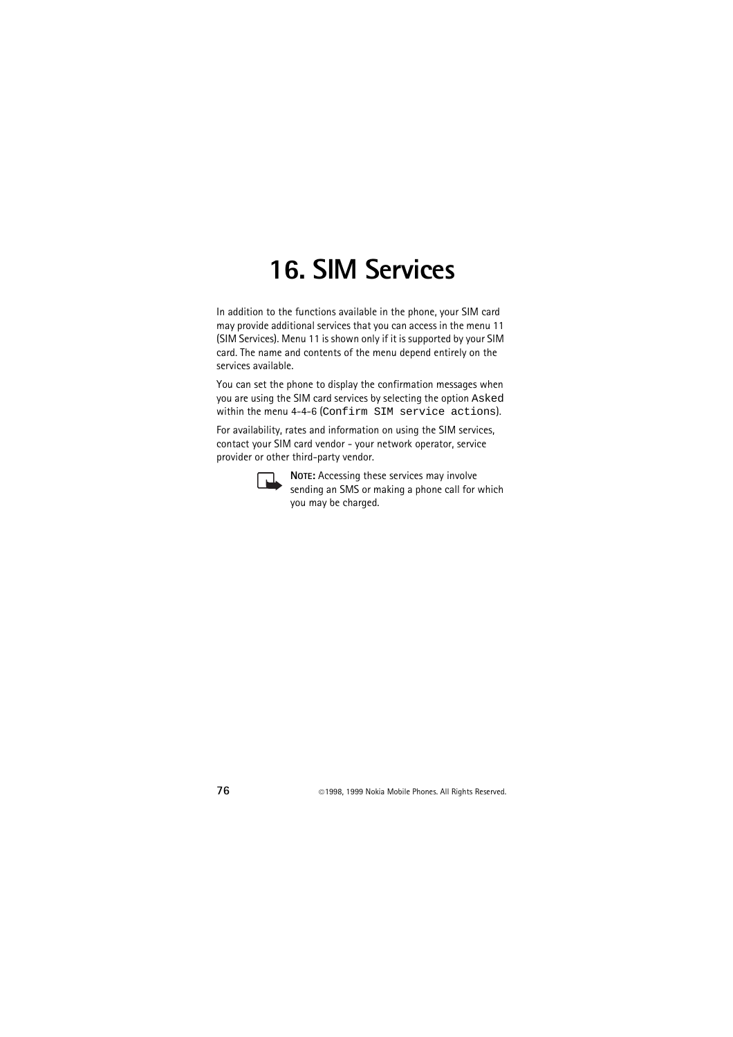# **16. SIM Services**

In addition to the functions available in the phone, your SIM card may provide additional services that you can access in the menu 11 (SIM Services). Menu 11 is shown only if it is supported by your SIM card. The name and contents of the menu depend entirely on the services available.

You can set the phone to display the confirmation messages when you are using the SIM card services by selecting the option Asked within the menu 4-4-6 (Confirm SIM service actions).

For availability, rates and information on using the SIM services, contact your SIM card vendor - your network operator, service provider or other third-party vendor.



**NOTE:** Accessing these services may involve sending an SMS or making a phone call for which you may be charged.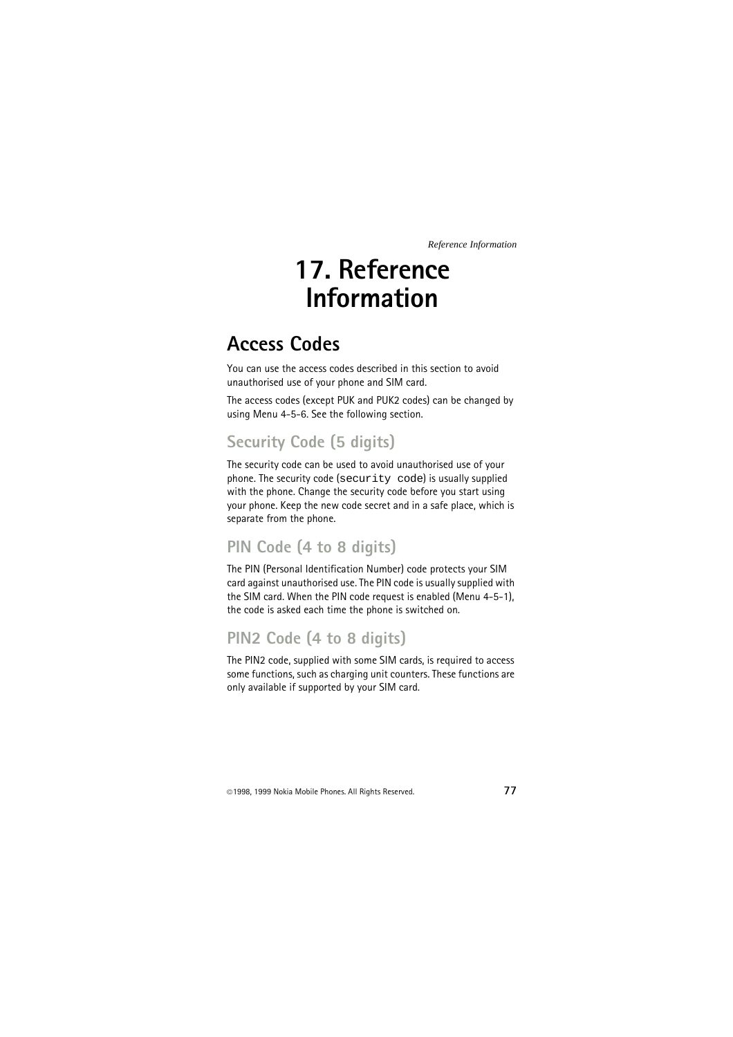# **17. Reference Information**

# **Access Codes**

You can use the access codes described in this section to avoid unauthorised use of your phone and SIM card.

The access codes (except PUK and PUK2 codes) can be changed by using Menu 4-5-6. See the following section.

# **Security Code (5 digits)**

The security code can be used to avoid unauthorised use of your phone. The security code (security code) is usually supplied with the phone. Change the security code before you start using your phone. Keep the new code secret and in a safe place, which is separate from the phone.

# **PIN Code (4 to 8 digits)**

The PIN (Personal Identification Number) code protects your SIM card against unauthorised use. The PIN code is usually supplied with the SIM card. When the PIN code request is enabled (Menu 4-5-1), the code is asked each time the phone is switched on.

### **PIN2 Code (4 to 8 digits)**

The PIN2 code, supplied with some SIM cards, is required to access some functions, such as charging unit counters. These functions are only available if supported by your SIM card.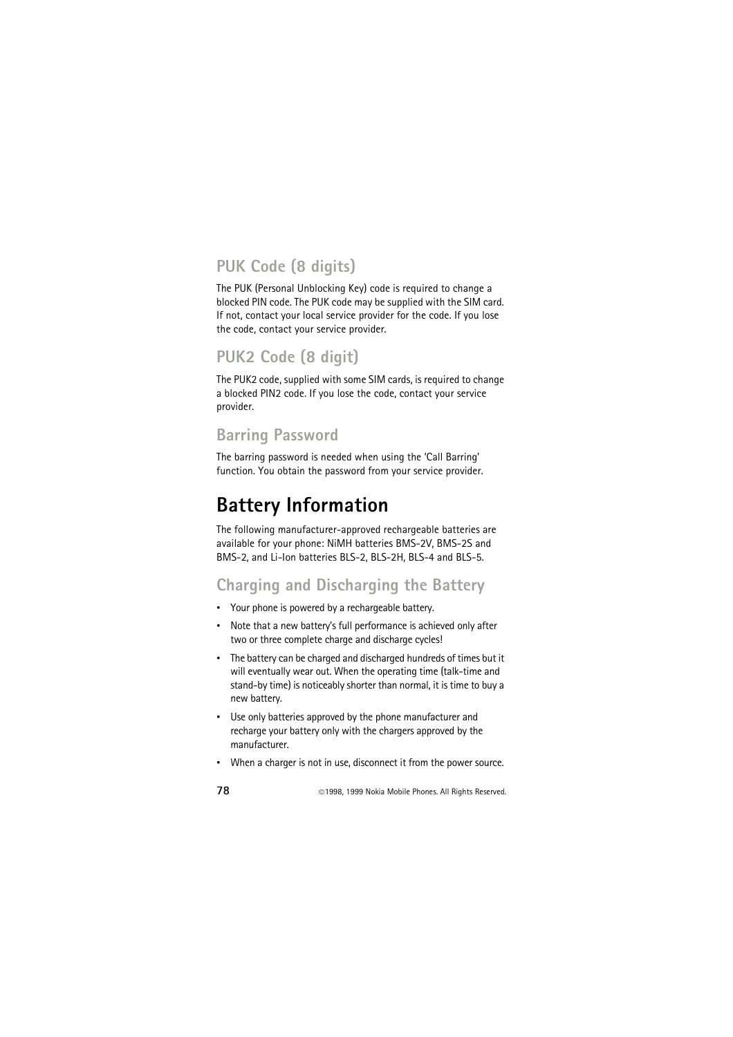# **PUK Code (8 digits)**

The PUK (Personal Unblocking Key) code is required to change a blocked PIN code. The PUK code may be supplied with the SIM card. If not, contact your local service provider for the code. If you lose the code, contact your service provider.

# **PUK2 Code (8 digit)**

The PUK2 code, supplied with some SIM cards, is required to change a blocked PIN2 code. If you lose the code, contact your service provider.

# **Barring Password**

The barring password is needed when using the 'Call Barring' function. You obtain the password from your service provider.

# **Battery Information**

The following manufacturer-approved rechargeable batteries are available for your phone: NiMH batteries BMS-2V, BMS-2S and BMS-2, and Li-Ion batteries BLS-2, BLS-2H, BLS-4 and BLS-5.

# **Charging and Discharging the Battery**

- Your phone is powered by a rechargeable battery.
- Note that a new battery's full performance is achieved only after two or three complete charge and discharge cycles!
- The battery can be charged and discharged hundreds of times but it will eventually wear out. When the operating time (talk-time and stand-by time) is noticeably shorter than normal, it is time to buy a new battery.
- Use only batteries approved by the phone manufacturer and recharge your battery only with the chargers approved by the manufacturer.
- When a charger is not in use, disconnect it from the power source.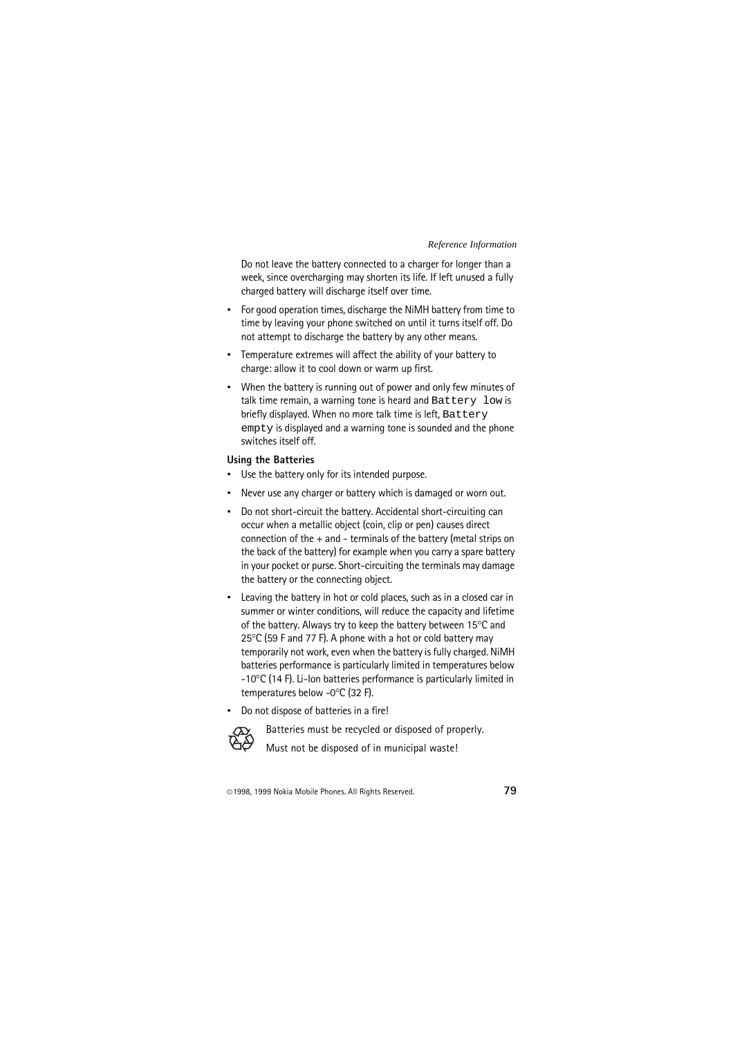Do not leave the battery connected to a charger for longer than a week, since overcharging may shorten its life. If left unused a fully charged battery will discharge itself over time.

- For good operation times, discharge the NiMH battery from time to time by leaving your phone switched on until it turns itself off. Do not attempt to discharge the battery by any other means.
- Temperature extremes will affect the ability of your battery to charge: allow it to cool down or warm up first.
- When the battery is running out of power and only few minutes of talk time remain, a warning tone is heard and Battery low is briefly displayed. When no more talk time is left, Battery empty is displayed and a warning tone is sounded and the phone switches itself off.

#### **Using the Batteries**

- Use the battery only for its intended purpose.
- Never use any charger or battery which is damaged or worn out.
- Do not short-circuit the battery. Accidental short-circuiting can occur when a metallic object (coin, clip or pen) causes direct connection of the + and - terminals of the battery (metal strips on the back of the battery) for example when you carry a spare battery in your pocket or purse. Short-circuiting the terminals may damage the battery or the connecting object.
- Leaving the battery in hot or cold places, such as in a closed car in summer or winter conditions, will reduce the capacity and lifetime of the battery. Always try to keep the battery between  $15^{\circ}$ C and  $25^{\circ}$ C (59 F and 77 F). A phone with a hot or cold battery may temporarily not work, even when the battery is fully charged. NiMH batteries performance is particularly limited in temperatures below  $-10^{\circ}$ C (14 F). Li-Ion batteries performance is particularly limited in temperatures below -0°C (32 F).
- Do not dispose of batteries in a fire!



Batteries must be recycled or disposed of properly.

Must not be disposed of in municipal waste!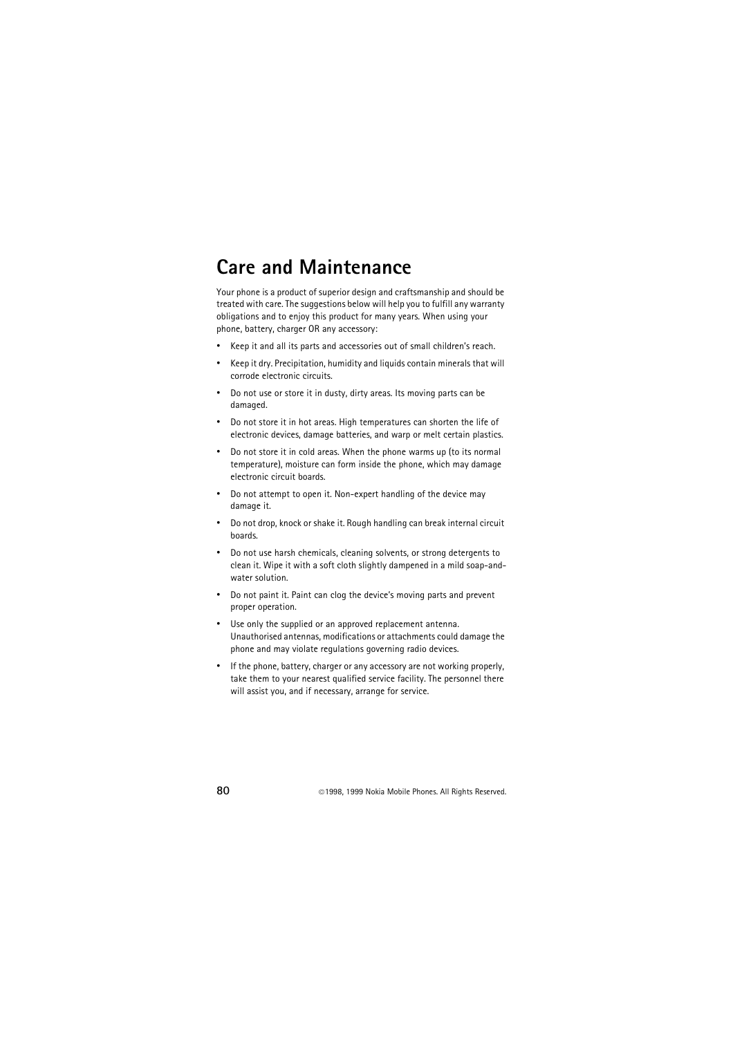# **Care and Maintenance**

Your phone is a product of superior design and craftsmanship and should be treated with care. The suggestions below will help you to fulfill any warranty obligations and to enjoy this product for many years. When using your phone, battery, charger OR any accessory:

- Keep it and all its parts and accessories out of small children's reach.
- Keep it dry. Precipitation, humidity and liquids contain minerals that will corrode electronic circuits.
- Do not use or store it in dusty, dirty areas. Its moving parts can be damaged.
- Do not store it in hot areas. High temperatures can shorten the life of electronic devices, damage batteries, and warp or melt certain plastics.
- Do not store it in cold areas. When the phone warms up (to its normal temperature), moisture can form inside the phone, which may damage electronic circuit boards.
- Do not attempt to open it. Non-expert handling of the device may damage it.
- Do not drop, knock or shake it. Rough handling can break internal circuit boards.
- Do not use harsh chemicals, cleaning solvents, or strong detergents to clean it. Wipe it with a soft cloth slightly dampened in a mild soap-andwater solution.
- Do not paint it. Paint can clog the device's moving parts and prevent proper operation.
- Use only the supplied or an approved replacement antenna. Unauthorised antennas, modifications or attachments could damage the phone and may violate regulations governing radio devices.
- If the phone, battery, charger or any accessory are not working properly, take them to your nearest qualified service facility. The personnel there will assist you, and if necessary, arrange for service.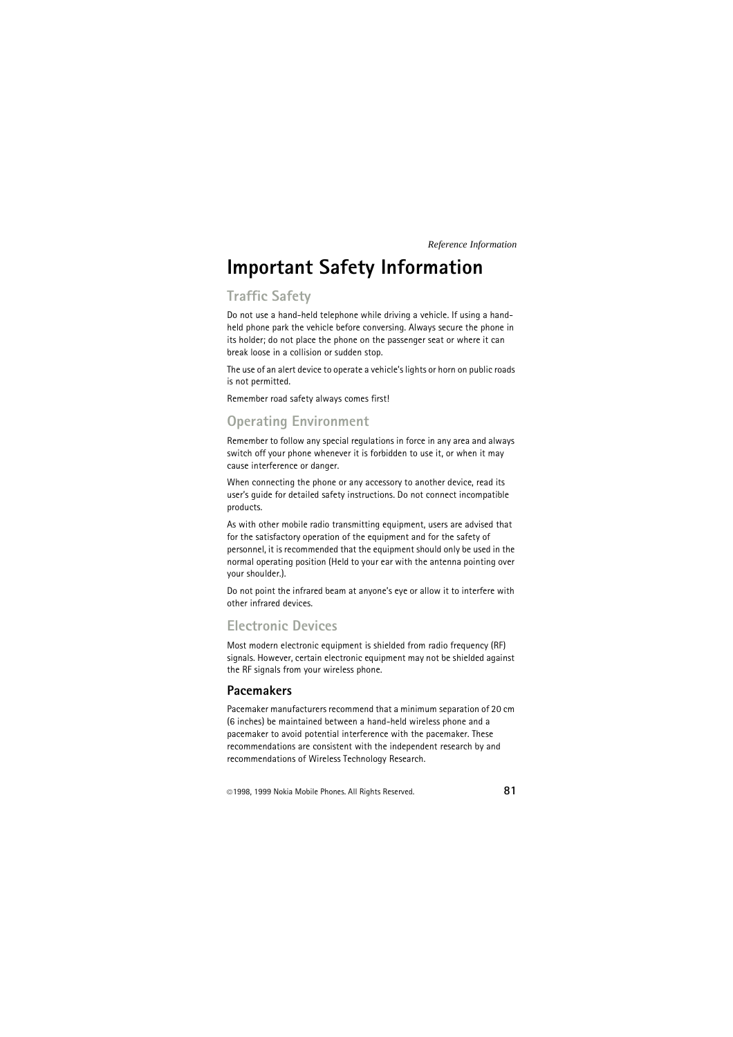# **Important Safety Information**

### **Traffic Safety**

Do not use a hand-held telephone while driving a vehicle. If using a handheld phone park the vehicle before conversing. Always secure the phone in its holder; do not place the phone on the passenger seat or where it can break loose in a collision or sudden stop.

The use of an alert device to operate a vehicle's lights or horn on public roads is not permitted.

Remember road safety always comes first!

### **Operating Environment**

Remember to follow any special regulations in force in any area and always switch off your phone whenever it is forbidden to use it, or when it may cause interference or danger.

When connecting the phone or any accessory to another device, read its user's guide for detailed safety instructions. Do not connect incompatible products.

As with other mobile radio transmitting equipment, users are advised that for the satisfactory operation of the equipment and for the safety of personnel, it is recommended that the equipment should only be used in the normal operating position (Held to your ear with the antenna pointing over your shoulder.).

Do not point the infrared beam at anyone's eye or allow it to interfere with other infrared devices.

### **Electronic Devices**

Most modern electronic equipment is shielded from radio frequency (RF) signals. However, certain electronic equipment may not be shielded against the RF signals from your wireless phone.

### **Pacemakers**

Pacemaker manufacturers recommend that a minimum separation of 20 cm (6 inches) be maintained between a hand-held wireless phone and a pacemaker to avoid potential interference with the pacemaker. These recommendations are consistent with the independent research by and recommendations of Wireless Technology Research.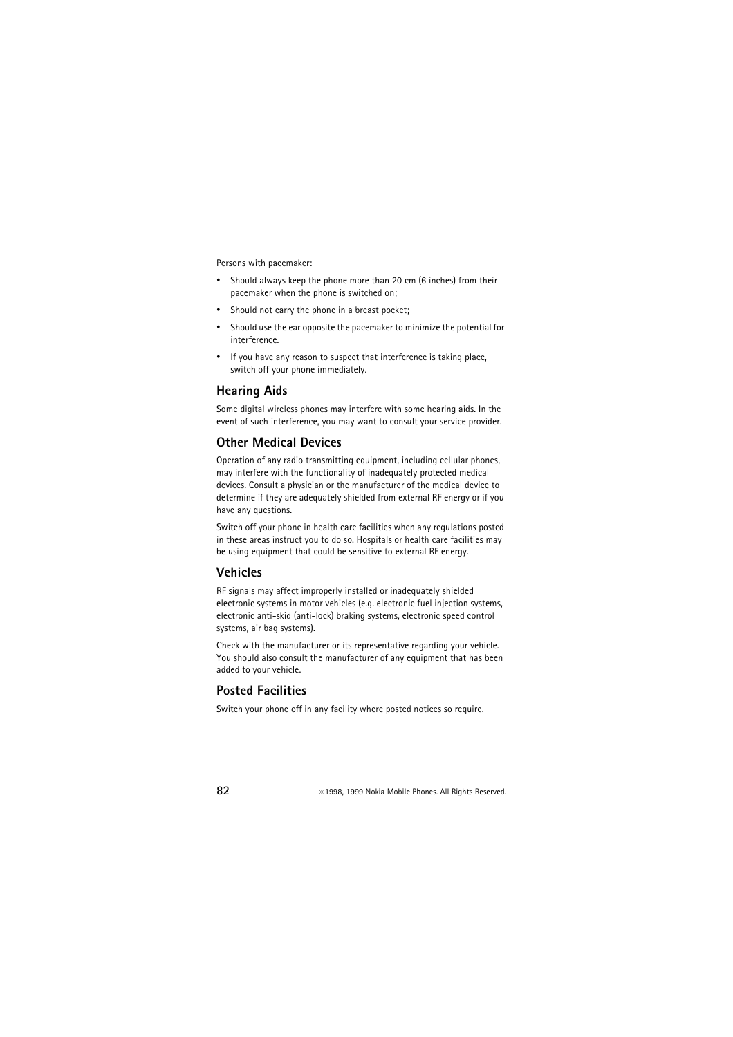Persons with pacemaker:

- Should always keep the phone more than 20 cm (6 inches) from their pacemaker when the phone is switched on;
- Should not carry the phone in a breast pocket:
- Should use the ear opposite the pacemaker to minimize the potential for interference.
- If you have any reason to suspect that interference is taking place, switch off your phone immediately.

### **Hearing Aids**

Some digital wireless phones may interfere with some hearing aids. In the event of such interference, you may want to consult your service provider.

### **Other Medical Devices**

Operation of any radio transmitting equipment, including cellular phones, may interfere with the functionality of inadequately protected medical devices. Consult a physician or the manufacturer of the medical device to determine if they are adequately shielded from external RF energy or if you have any questions.

Switch off your phone in health care facilities when any regulations posted in these areas instruct you to do so. Hospitals or health care facilities may be using equipment that could be sensitive to external RF energy.

#### **Vehicles**

RF signals may affect improperly installed or inadequately shielded electronic systems in motor vehicles (e.g. electronic fuel injection systems, electronic anti-skid (anti-lock) braking systems, electronic speed control systems, air bag systems).

Check with the manufacturer or its representative regarding your vehicle. You should also consult the manufacturer of any equipment that has been added to your vehicle.

### **Posted Facilities**

Switch your phone off in any facility where posted notices so require.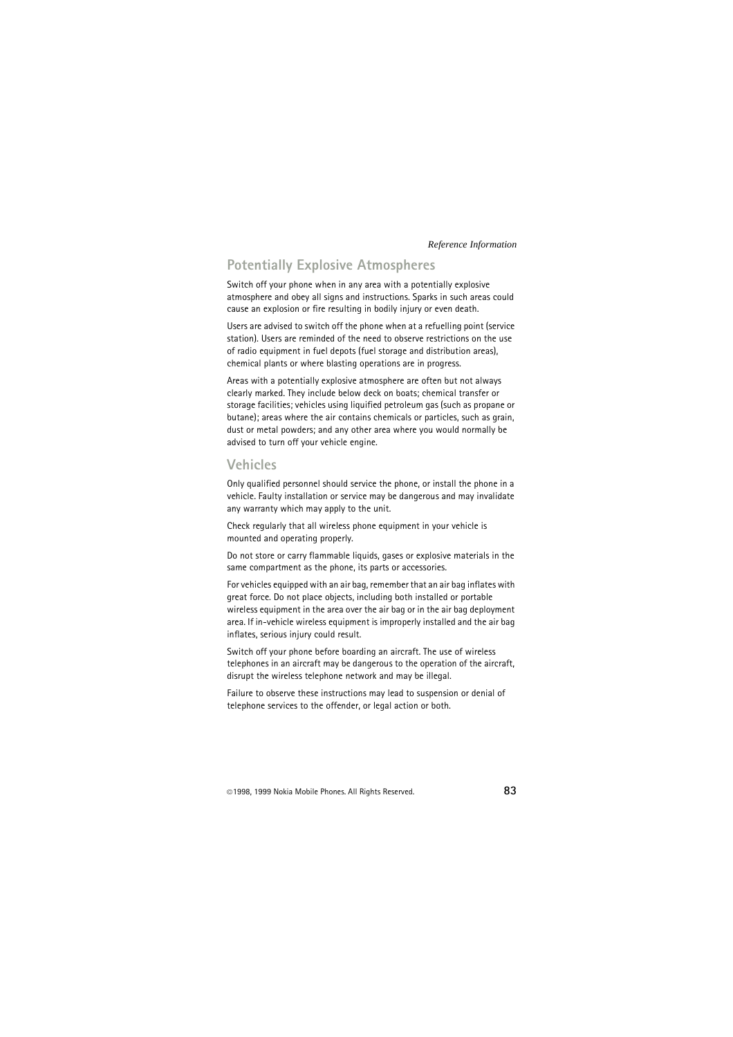### **Potentially Explosive Atmospheres**

Switch off your phone when in any area with a potentially explosive atmosphere and obey all signs and instructions. Sparks in such areas could cause an explosion or fire resulting in bodily injury or even death.

Users are advised to switch off the phone when at a refuelling point (service station). Users are reminded of the need to observe restrictions on the use of radio equipment in fuel depots (fuel storage and distribution areas), chemical plants or where blasting operations are in progress.

Areas with a potentially explosive atmosphere are often but not always clearly marked. They include below deck on boats; chemical transfer or storage facilities; vehicles using liquified petroleum gas (such as propane or butane); areas where the air contains chemicals or particles, such as grain, dust or metal powders; and any other area where you would normally be advised to turn off your vehicle engine.

### **Vehicles**

Only qualified personnel should service the phone, or install the phone in a vehicle. Faulty installation or service may be dangerous and may invalidate any warranty which may apply to the unit.

Check regularly that all wireless phone equipment in your vehicle is mounted and operating properly.

Do not store or carry flammable liquids, gases or explosive materials in the same compartment as the phone, its parts or accessories.

For vehicles equipped with an air bag, remember that an air bag inflates with great force. Do not place objects, including both installed or portable wireless equipment in the area over the air bag or in the air bag deployment area. If in-vehicle wireless equipment is improperly installed and the air bag inflates, serious injury could result.

Switch off your phone before boarding an aircraft. The use of wireless telephones in an aircraft may be dangerous to the operation of the aircraft, disrupt the wireless telephone network and may be illegal.

Failure to observe these instructions may lead to suspension or denial of telephone services to the offender, or legal action or both.